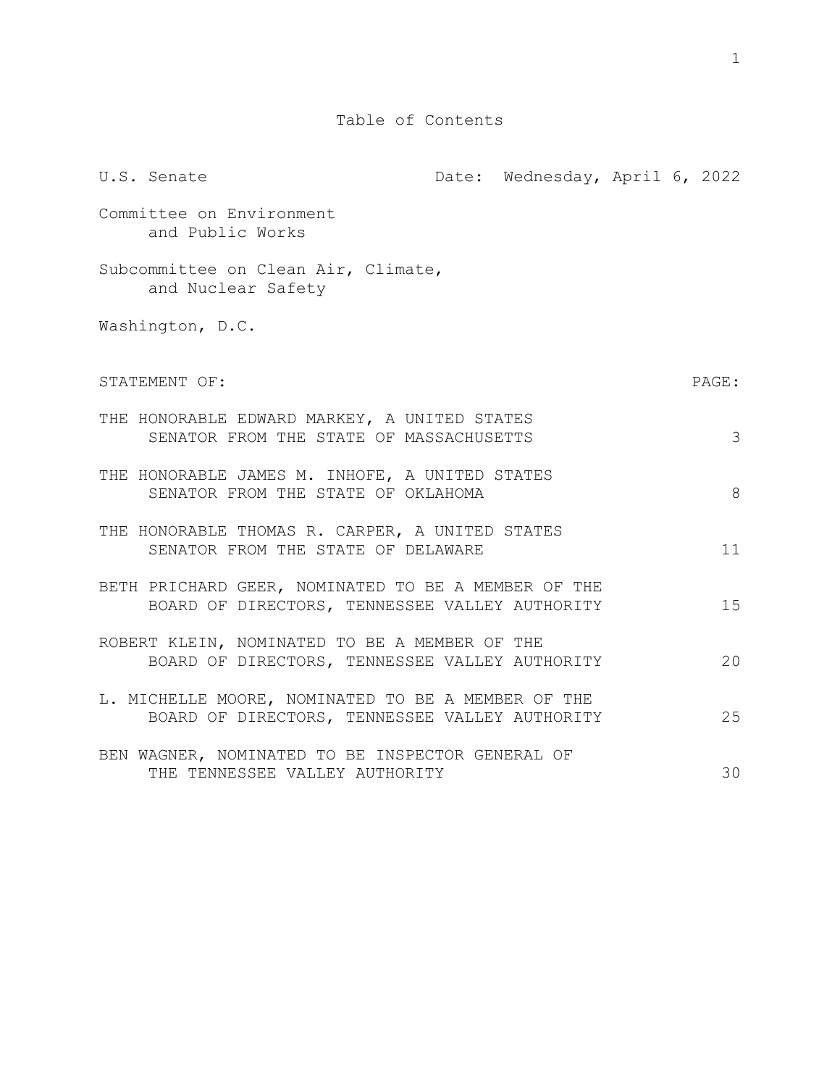Table of Contents

U.S. Senate **Date:** Date: Wednesday, April 6, 2022 Committee on Environment and Public Works Subcommittee on Clean Air, Climate, and Nuclear Safety Washington, D.C. STATEMENT OF: PAGE: THE HONORABLE EDWARD MARKEY, A UNITED STATES SENATOR FROM THE STATE OF MASSACHUSETTS 3 THE HONORABLE JAMES M. INHOFE, A UNITED STATES SENATOR FROM THE STATE OF OKLAHOMA 68 THE HONORABLE THOMAS R. CARPER, A UNITED STATES SENATOR FROM THE STATE OF DELAWARE 11 BETH PRICHARD GEER, NOMINATED TO BE A MEMBER OF THE BOARD OF DIRECTORS, TENNESSEE VALLEY AUTHORITY 15 ROBERT KLEIN, NOMINATED TO BE A MEMBER OF THE BOARD OF DIRECTORS, TENNESSEE VALLEY AUTHORITY 20 L. MICHELLE MOORE, NOMINATED TO BE A MEMBER OF THE BOARD OF DIRECTORS, TENNESSEE VALLEY AUTHORITY 25 BEN WAGNER, NOMINATED TO BE INSPECTOR GENERAL OF THE TENNESSEE VALLEY AUTHORITY **1998** 10 NHZ 30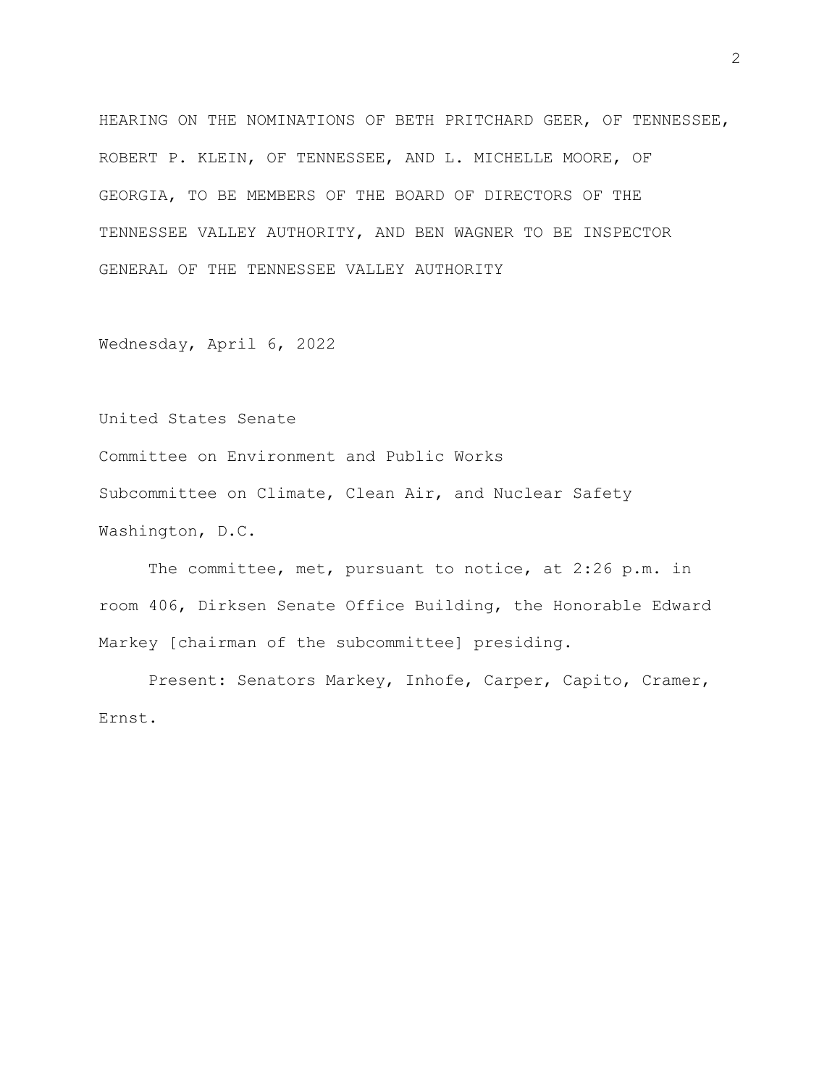HEARING ON THE NOMINATIONS OF BETH PRITCHARD GEER, OF TENNESSEE, ROBERT P. KLEIN, OF TENNESSEE, AND L. MICHELLE MOORE, OF GEORGIA, TO BE MEMBERS OF THE BOARD OF DIRECTORS OF THE TENNESSEE VALLEY AUTHORITY, AND BEN WAGNER TO BE INSPECTOR GENERAL OF THE TENNESSEE VALLEY AUTHORITY

Wednesday, April 6, 2022

United States Senate

Committee on Environment and Public Works Subcommittee on Climate, Clean Air, and Nuclear Safety Washington, D.C.

The committee, met, pursuant to notice, at 2:26 p.m. in room 406, Dirksen Senate Office Building, the Honorable Edward Markey [chairman of the subcommittee] presiding.

Present: Senators Markey, Inhofe, Carper, Capito, Cramer, Ernst.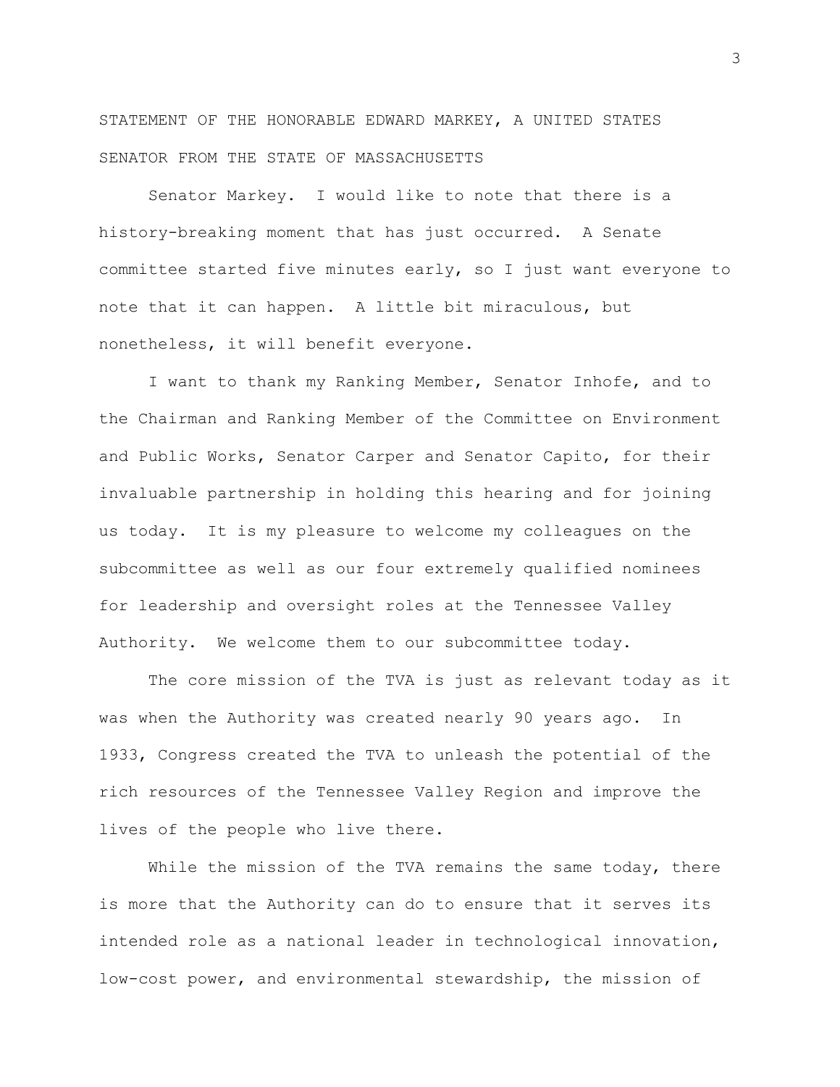STATEMENT OF THE HONORABLE EDWARD MARKEY, A UNITED STATES SENATOR FROM THE STATE OF MASSACHUSETTS

Senator Markey. I would like to note that there is a history-breaking moment that has just occurred. A Senate committee started five minutes early, so I just want everyone to note that it can happen. A little bit miraculous, but nonetheless, it will benefit everyone.

I want to thank my Ranking Member, Senator Inhofe, and to the Chairman and Ranking Member of the Committee on Environment and Public Works, Senator Carper and Senator Capito, for their invaluable partnership in holding this hearing and for joining us today. It is my pleasure to welcome my colleagues on the subcommittee as well as our four extremely qualified nominees for leadership and oversight roles at the Tennessee Valley Authority. We welcome them to our subcommittee today.

The core mission of the TVA is just as relevant today as it was when the Authority was created nearly 90 years ago. In 1933, Congress created the TVA to unleash the potential of the rich resources of the Tennessee Valley Region and improve the lives of the people who live there.

While the mission of the TVA remains the same today, there is more that the Authority can do to ensure that it serves its intended role as a national leader in technological innovation, low-cost power, and environmental stewardship, the mission of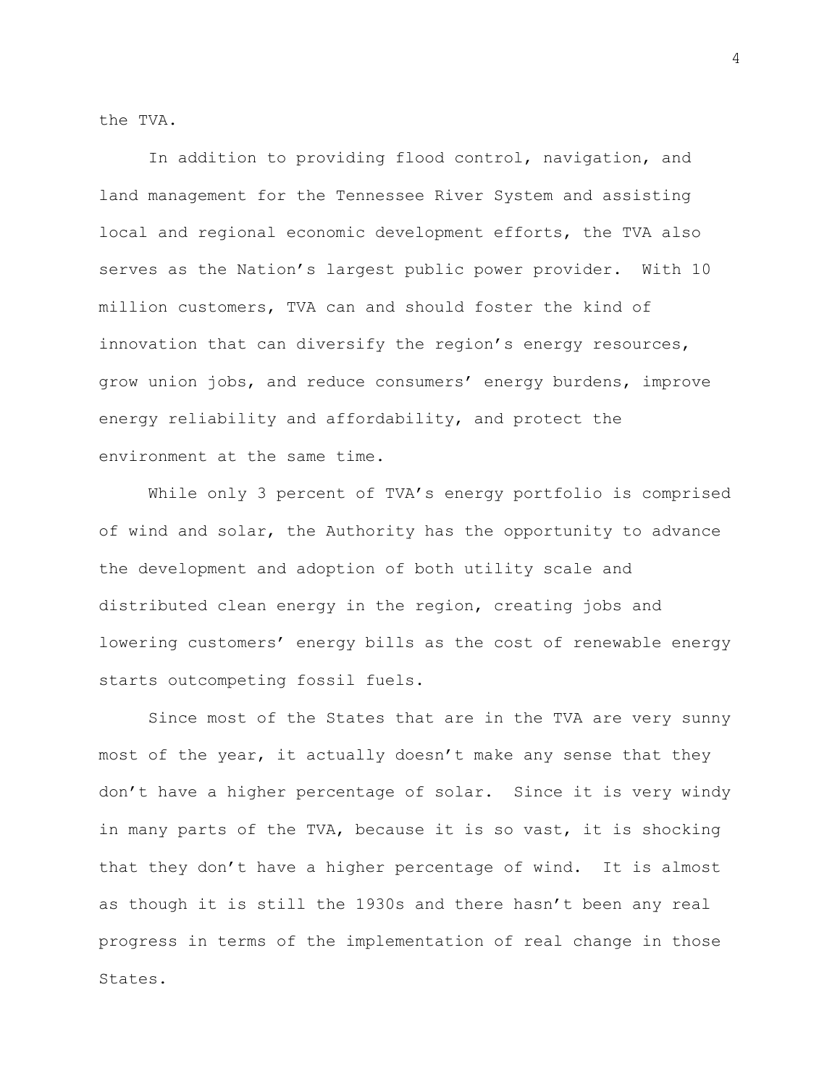the TVA.

In addition to providing flood control, navigation, and land management for the Tennessee River System and assisting local and regional economic development efforts, the TVA also serves as the Nation's largest public power provider. With 10 million customers, TVA can and should foster the kind of innovation that can diversify the region's energy resources, grow union jobs, and reduce consumers' energy burdens, improve energy reliability and affordability, and protect the environment at the same time.

While only 3 percent of TVA's energy portfolio is comprised of wind and solar, the Authority has the opportunity to advance the development and adoption of both utility scale and distributed clean energy in the region, creating jobs and lowering customers' energy bills as the cost of renewable energy starts outcompeting fossil fuels.

Since most of the States that are in the TVA are very sunny most of the year, it actually doesn't make any sense that they don't have a higher percentage of solar. Since it is very windy in many parts of the TVA, because it is so vast, it is shocking that they don't have a higher percentage of wind. It is almost as though it is still the 1930s and there hasn't been any real progress in terms of the implementation of real change in those States.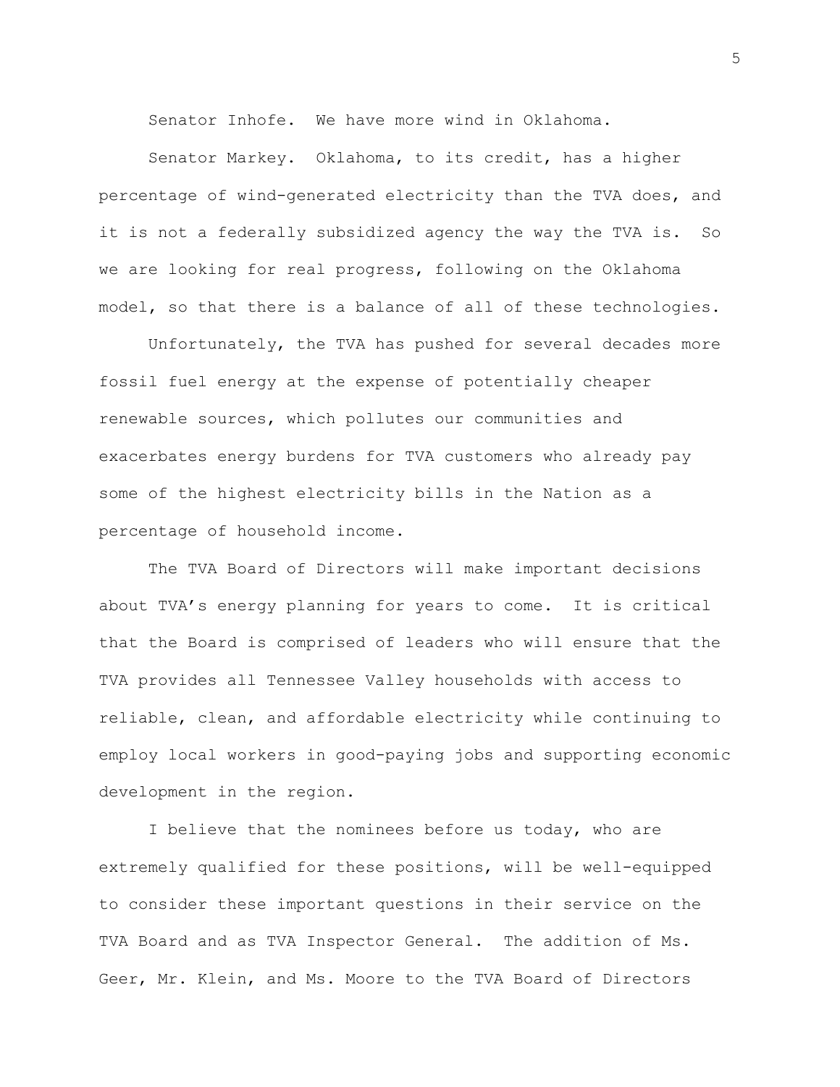Senator Inhofe. We have more wind in Oklahoma.

Senator Markey. Oklahoma, to its credit, has a higher percentage of wind-generated electricity than the TVA does, and it is not a federally subsidized agency the way the TVA is. So we are looking for real progress, following on the Oklahoma model, so that there is a balance of all of these technologies.

Unfortunately, the TVA has pushed for several decades more fossil fuel energy at the expense of potentially cheaper renewable sources, which pollutes our communities and exacerbates energy burdens for TVA customers who already pay some of the highest electricity bills in the Nation as a percentage of household income.

The TVA Board of Directors will make important decisions about TVA's energy planning for years to come. It is critical that the Board is comprised of leaders who will ensure that the TVA provides all Tennessee Valley households with access to reliable, clean, and affordable electricity while continuing to employ local workers in good-paying jobs and supporting economic development in the region.

I believe that the nominees before us today, who are extremely qualified for these positions, will be well-equipped to consider these important questions in their service on the TVA Board and as TVA Inspector General. The addition of Ms. Geer, Mr. Klein, and Ms. Moore to the TVA Board of Directors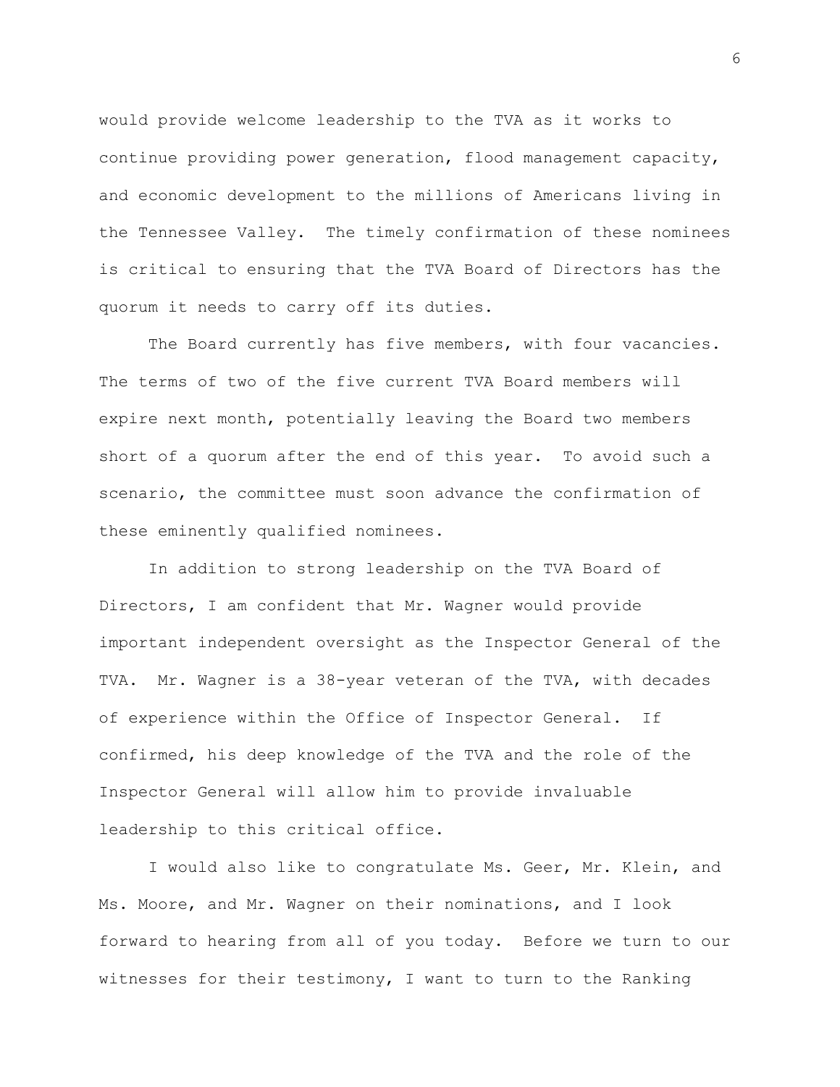would provide welcome leadership to the TVA as it works to continue providing power generation, flood management capacity, and economic development to the millions of Americans living in the Tennessee Valley. The timely confirmation of these nominees is critical to ensuring that the TVA Board of Directors has the quorum it needs to carry off its duties.

The Board currently has five members, with four vacancies. The terms of two of the five current TVA Board members will expire next month, potentially leaving the Board two members short of a quorum after the end of this year. To avoid such a scenario, the committee must soon advance the confirmation of these eminently qualified nominees.

In addition to strong leadership on the TVA Board of Directors, I am confident that Mr. Wagner would provide important independent oversight as the Inspector General of the TVA. Mr. Wagner is a 38-year veteran of the TVA, with decades of experience within the Office of Inspector General. If confirmed, his deep knowledge of the TVA and the role of the Inspector General will allow him to provide invaluable leadership to this critical office.

I would also like to congratulate Ms. Geer, Mr. Klein, and Ms. Moore, and Mr. Wagner on their nominations, and I look forward to hearing from all of you today. Before we turn to our witnesses for their testimony, I want to turn to the Ranking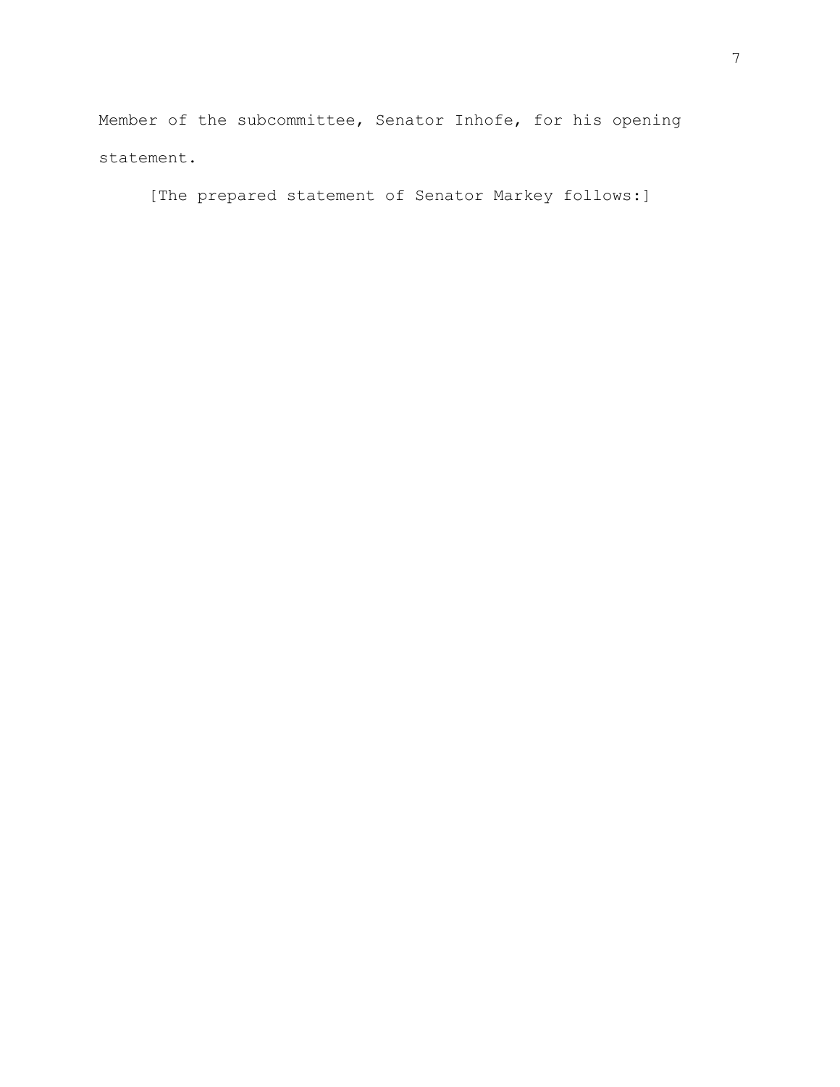Member of the subcommittee, Senator Inhofe, for his opening statement.

[The prepared statement of Senator Markey follows:]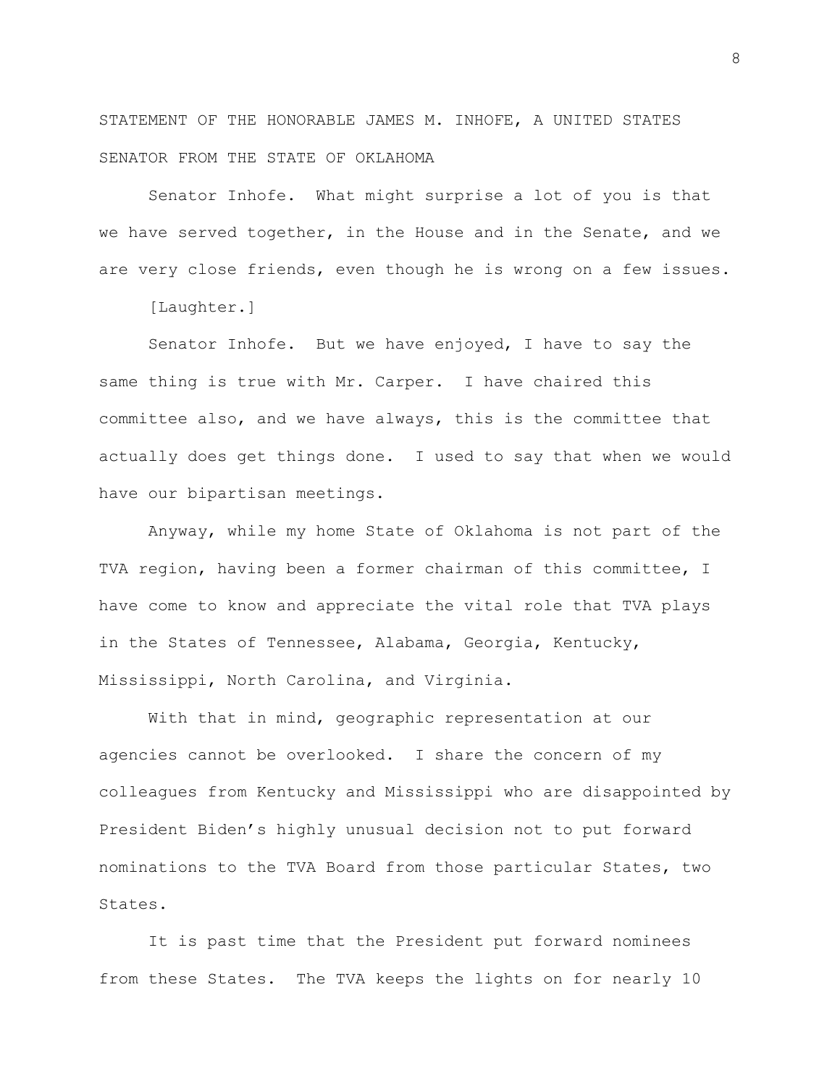STATEMENT OF THE HONORABLE JAMES M. INHOFE, A UNITED STATES SENATOR FROM THE STATE OF OKLAHOMA

Senator Inhofe. What might surprise a lot of you is that we have served together, in the House and in the Senate, and we are very close friends, even though he is wrong on a few issues.

[Laughter.]

Senator Inhofe. But we have enjoyed, I have to say the same thing is true with Mr. Carper. I have chaired this committee also, and we have always, this is the committee that actually does get things done. I used to say that when we would have our bipartisan meetings.

Anyway, while my home State of Oklahoma is not part of the TVA region, having been a former chairman of this committee, I have come to know and appreciate the vital role that TVA plays in the States of Tennessee, Alabama, Georgia, Kentucky, Mississippi, North Carolina, and Virginia.

With that in mind, geographic representation at our agencies cannot be overlooked. I share the concern of my colleagues from Kentucky and Mississippi who are disappointed by President Biden's highly unusual decision not to put forward nominations to the TVA Board from those particular States, two States.

It is past time that the President put forward nominees from these States. The TVA keeps the lights on for nearly 10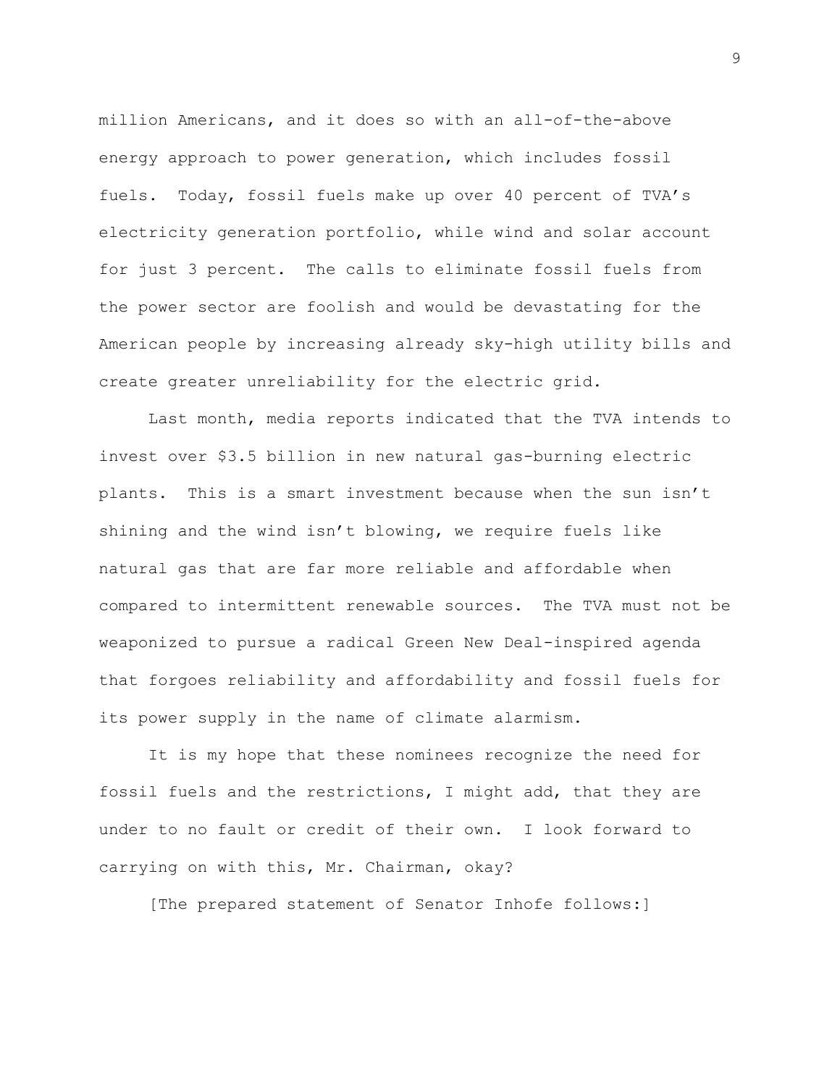million Americans, and it does so with an all-of-the-above energy approach to power generation, which includes fossil fuels. Today, fossil fuels make up over 40 percent of TVA's electricity generation portfolio, while wind and solar account for just 3 percent. The calls to eliminate fossil fuels from the power sector are foolish and would be devastating for the American people by increasing already sky-high utility bills and create greater unreliability for the electric grid.

Last month, media reports indicated that the TVA intends to invest over \$3.5 billion in new natural gas-burning electric plants. This is a smart investment because when the sun isn't shining and the wind isn't blowing, we require fuels like natural gas that are far more reliable and affordable when compared to intermittent renewable sources. The TVA must not be weaponized to pursue a radical Green New Deal-inspired agenda that forgoes reliability and affordability and fossil fuels for its power supply in the name of climate alarmism.

It is my hope that these nominees recognize the need for fossil fuels and the restrictions, I might add, that they are under to no fault or credit of their own. I look forward to carrying on with this, Mr. Chairman, okay?

[The prepared statement of Senator Inhofe follows:]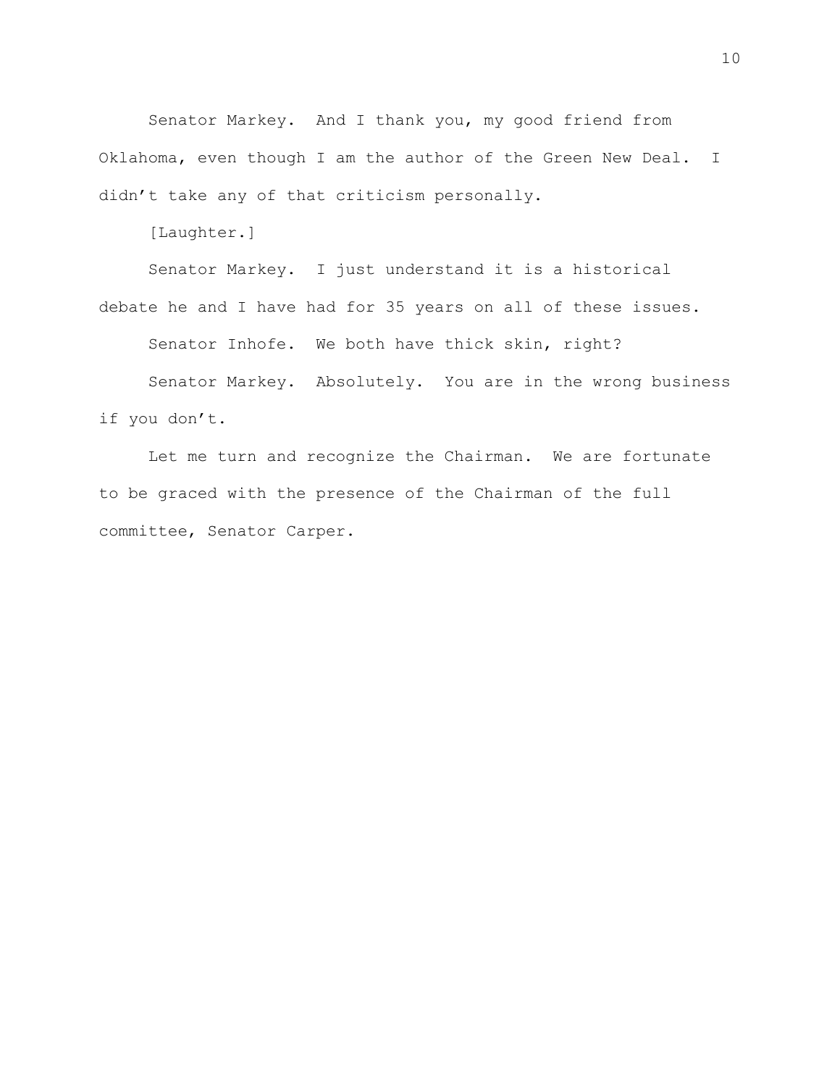Senator Markey. And I thank you, my good friend from Oklahoma, even though I am the author of the Green New Deal. I didn't take any of that criticism personally.

[Laughter.]

Senator Markey. I just understand it is a historical debate he and I have had for 35 years on all of these issues.

Senator Inhofe. We both have thick skin, right?

Senator Markey. Absolutely. You are in the wrong business if you don't.

Let me turn and recognize the Chairman. We are fortunate to be graced with the presence of the Chairman of the full committee, Senator Carper.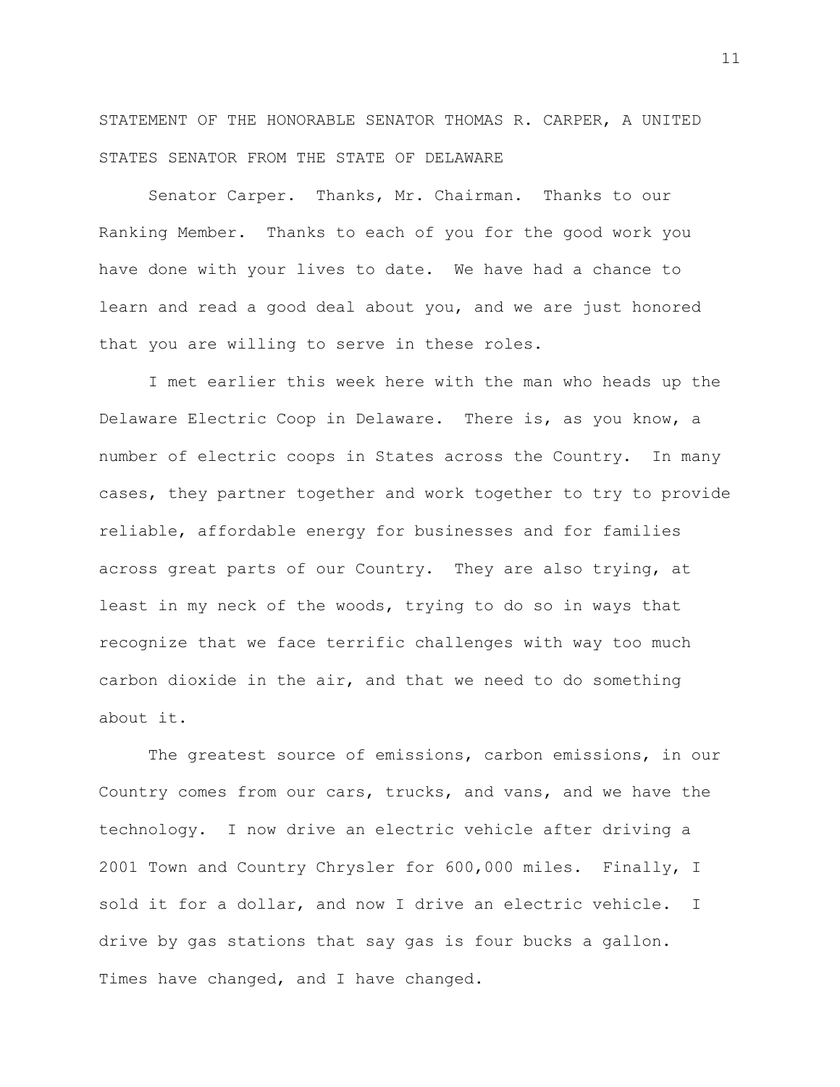STATEMENT OF THE HONORABLE SENATOR THOMAS R. CARPER, A UNITED STATES SENATOR FROM THE STATE OF DELAWARE

Senator Carper. Thanks, Mr. Chairman. Thanks to our Ranking Member. Thanks to each of you for the good work you have done with your lives to date. We have had a chance to learn and read a good deal about you, and we are just honored that you are willing to serve in these roles.

I met earlier this week here with the man who heads up the Delaware Electric Coop in Delaware. There is, as you know, a number of electric coops in States across the Country. In many cases, they partner together and work together to try to provide reliable, affordable energy for businesses and for families across great parts of our Country. They are also trying, at least in my neck of the woods, trying to do so in ways that recognize that we face terrific challenges with way too much carbon dioxide in the air, and that we need to do something about it.

The greatest source of emissions, carbon emissions, in our Country comes from our cars, trucks, and vans, and we have the technology. I now drive an electric vehicle after driving a 2001 Town and Country Chrysler for 600,000 miles. Finally, I sold it for a dollar, and now I drive an electric vehicle. I drive by gas stations that say gas is four bucks a gallon. Times have changed, and I have changed.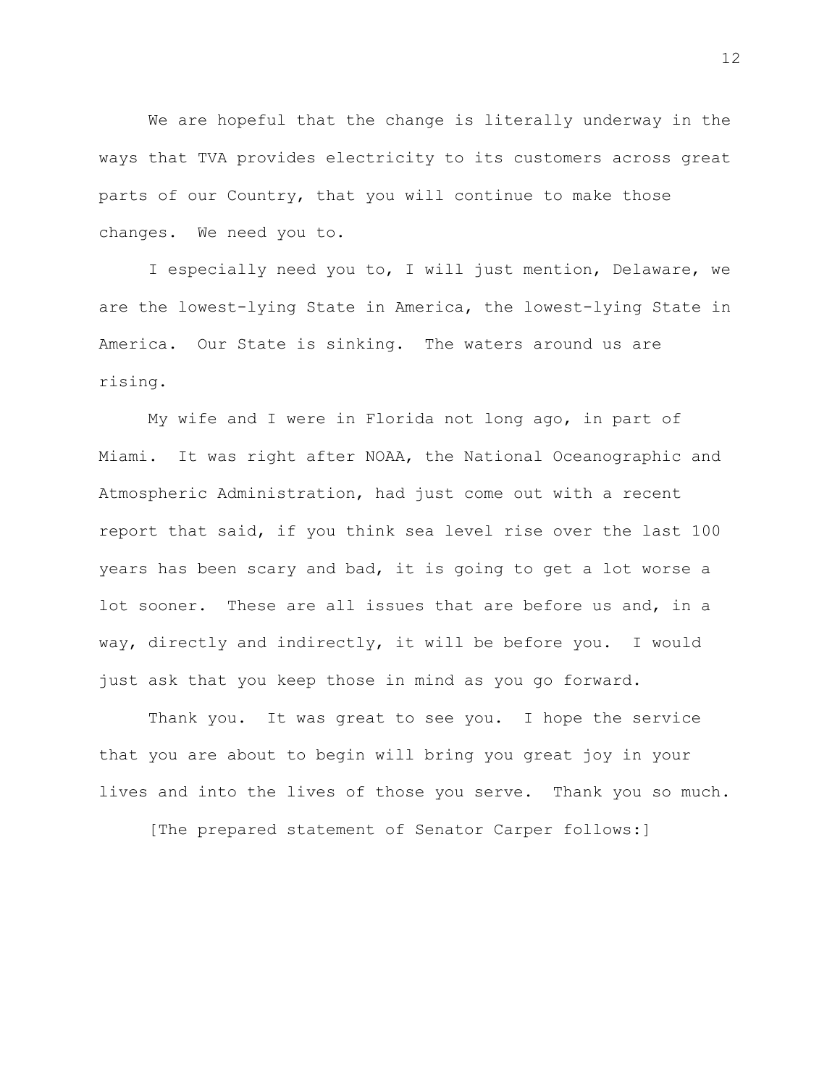We are hopeful that the change is literally underway in the ways that TVA provides electricity to its customers across great parts of our Country, that you will continue to make those changes. We need you to.

I especially need you to, I will just mention, Delaware, we are the lowest-lying State in America, the lowest-lying State in America. Our State is sinking. The waters around us are rising.

My wife and I were in Florida not long ago, in part of Miami. It was right after NOAA, the National Oceanographic and Atmospheric Administration, had just come out with a recent report that said, if you think sea level rise over the last 100 years has been scary and bad, it is going to get a lot worse a lot sooner. These are all issues that are before us and, in a way, directly and indirectly, it will be before you. I would just ask that you keep those in mind as you go forward.

Thank you. It was great to see you. I hope the service that you are about to begin will bring you great joy in your lives and into the lives of those you serve. Thank you so much.

[The prepared statement of Senator Carper follows:]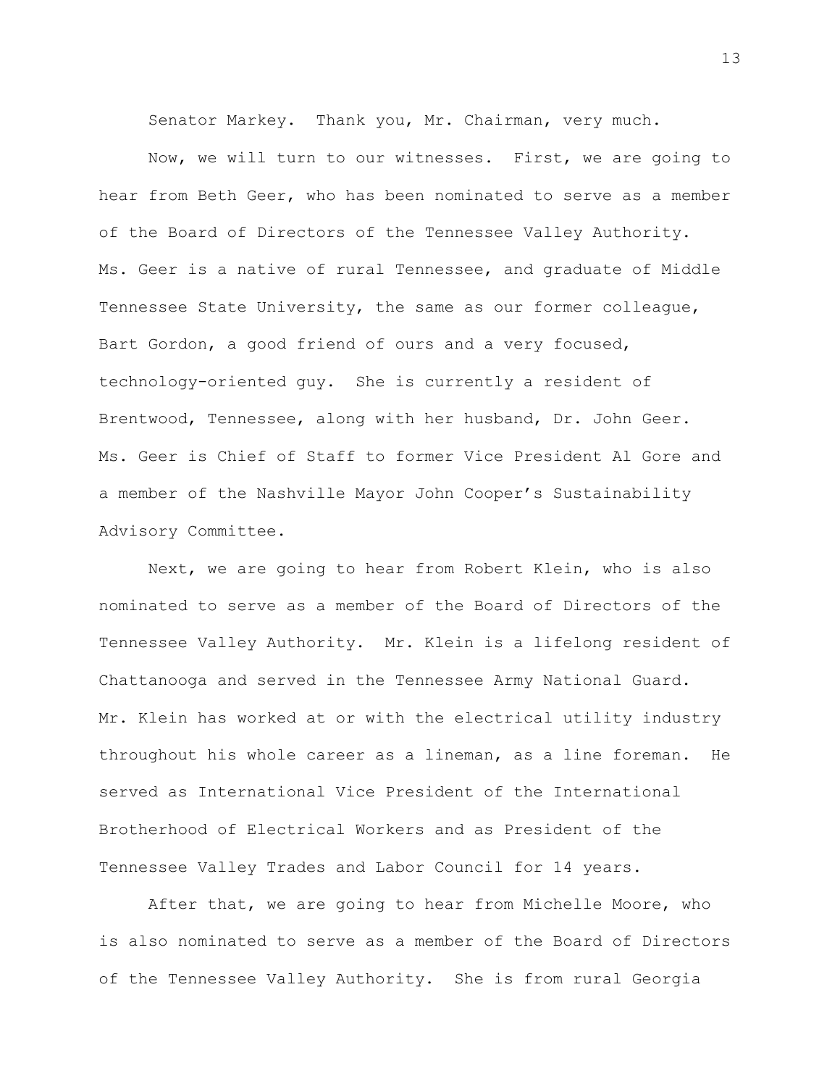Senator Markey. Thank you, Mr. Chairman, very much.

Now, we will turn to our witnesses. First, we are going to hear from Beth Geer, who has been nominated to serve as a member of the Board of Directors of the Tennessee Valley Authority. Ms. Geer is a native of rural Tennessee, and graduate of Middle Tennessee State University, the same as our former colleague, Bart Gordon, a good friend of ours and a very focused, technology-oriented guy. She is currently a resident of Brentwood, Tennessee, along with her husband, Dr. John Geer. Ms. Geer is Chief of Staff to former Vice President Al Gore and a member of the Nashville Mayor John Cooper's Sustainability Advisory Committee.

Next, we are going to hear from Robert Klein, who is also nominated to serve as a member of the Board of Directors of the Tennessee Valley Authority. Mr. Klein is a lifelong resident of Chattanooga and served in the Tennessee Army National Guard. Mr. Klein has worked at or with the electrical utility industry throughout his whole career as a lineman, as a line foreman. He served as International Vice President of the International Brotherhood of Electrical Workers and as President of the Tennessee Valley Trades and Labor Council for 14 years.

After that, we are going to hear from Michelle Moore, who is also nominated to serve as a member of the Board of Directors of the Tennessee Valley Authority. She is from rural Georgia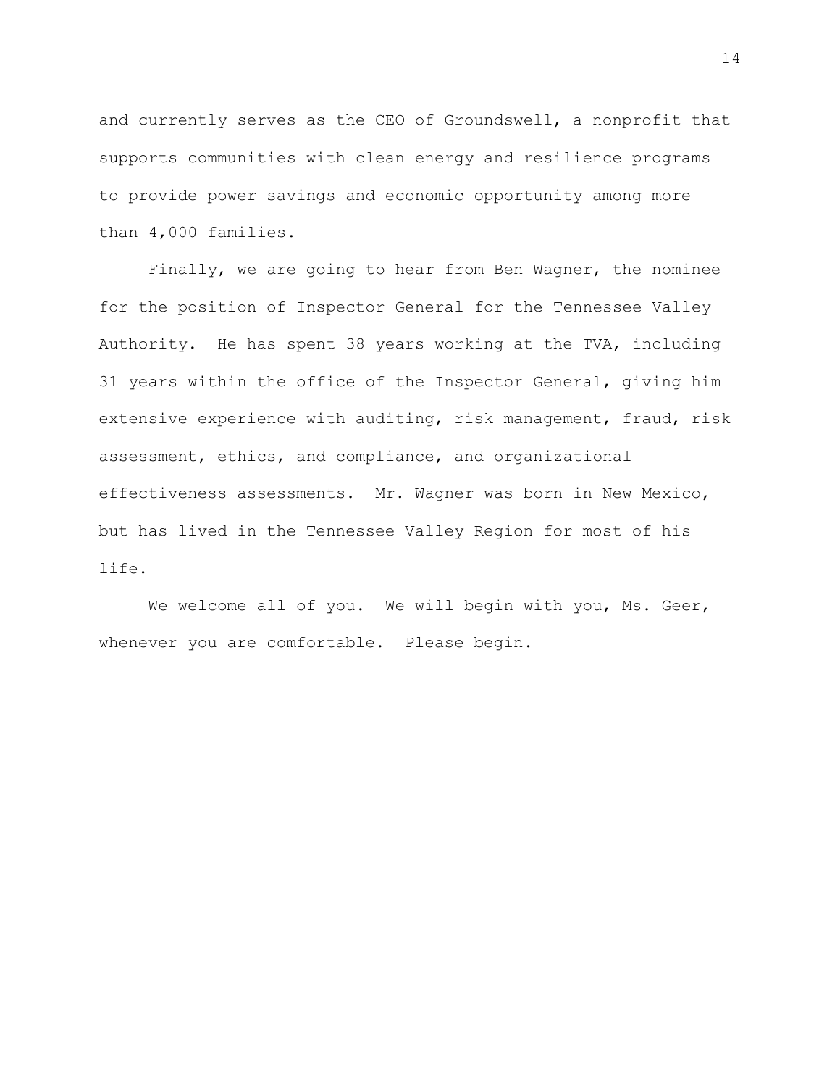and currently serves as the CEO of Groundswell, a nonprofit that supports communities with clean energy and resilience programs to provide power savings and economic opportunity among more than 4,000 families.

Finally, we are going to hear from Ben Wagner, the nominee for the position of Inspector General for the Tennessee Valley Authority. He has spent 38 years working at the TVA, including 31 years within the office of the Inspector General, giving him extensive experience with auditing, risk management, fraud, risk assessment, ethics, and compliance, and organizational effectiveness assessments. Mr. Wagner was born in New Mexico, but has lived in the Tennessee Valley Region for most of his life.

We welcome all of you. We will begin with you, Ms. Geer, whenever you are comfortable. Please begin.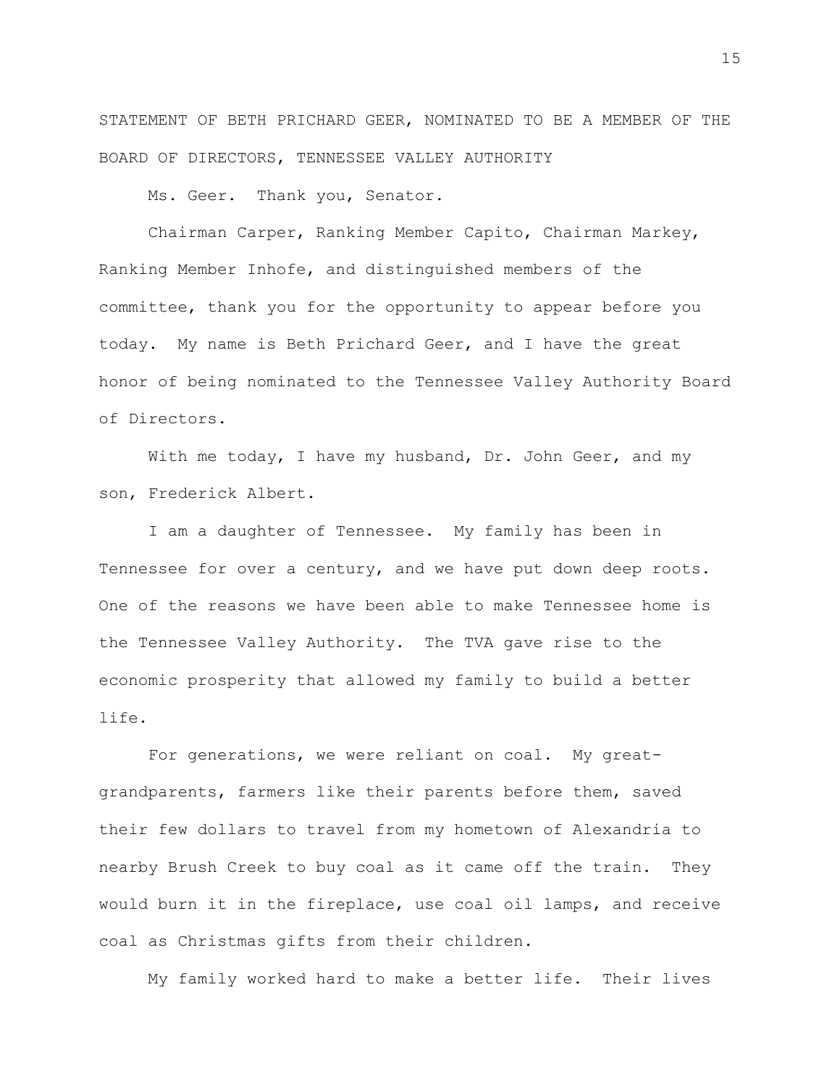STATEMENT OF BETH PRICHARD GEER, NOMINATED TO BE A MEMBER OF THE BOARD OF DIRECTORS, TENNESSEE VALLEY AUTHORITY

Ms. Geer. Thank you, Senator.

Chairman Carper, Ranking Member Capito, Chairman Markey, Ranking Member Inhofe, and distinguished members of the committee, thank you for the opportunity to appear before you today. My name is Beth Prichard Geer, and I have the great honor of being nominated to the Tennessee Valley Authority Board of Directors.

With me today, I have my husband, Dr. John Geer, and my son, Frederick Albert.

I am a daughter of Tennessee. My family has been in Tennessee for over a century, and we have put down deep roots. One of the reasons we have been able to make Tennessee home is the Tennessee Valley Authority. The TVA gave rise to the economic prosperity that allowed my family to build a better life.

For generations, we were reliant on coal. My greatgrandparents, farmers like their parents before them, saved their few dollars to travel from my hometown of Alexandria to nearby Brush Creek to buy coal as it came off the train. They would burn it in the fireplace, use coal oil lamps, and receive coal as Christmas gifts from their children.

My family worked hard to make a better life. Their lives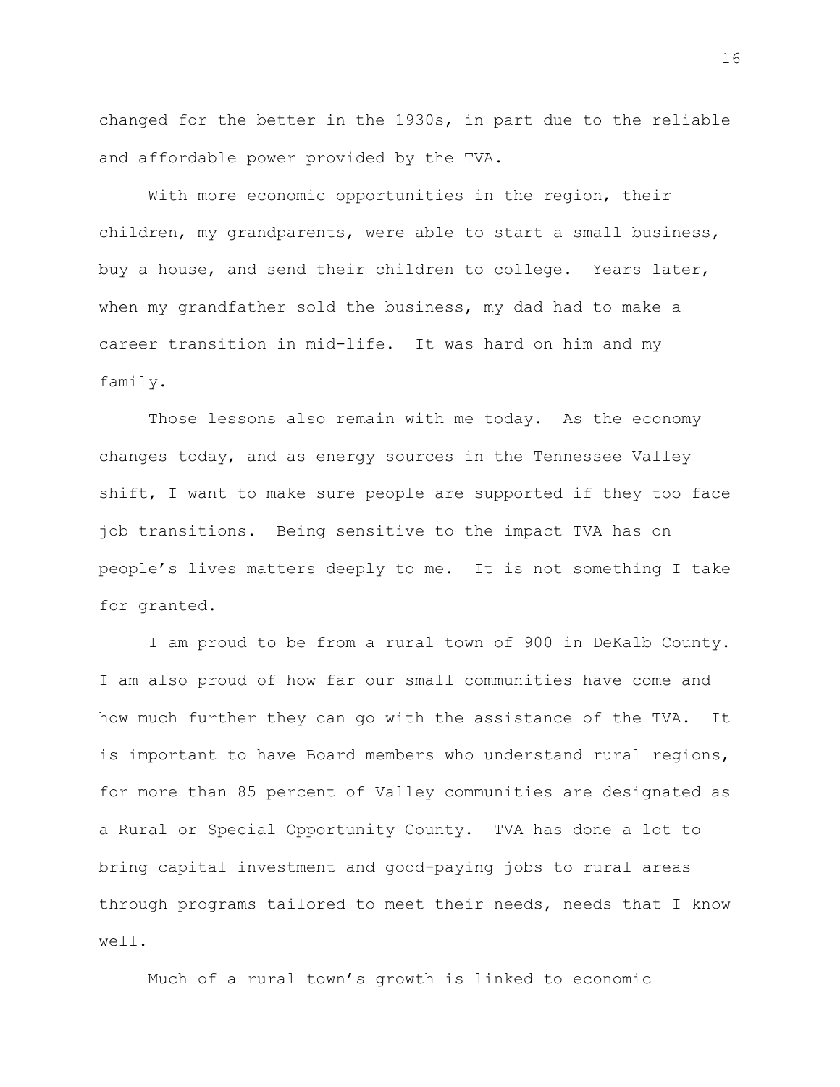changed for the better in the 1930s, in part due to the reliable and affordable power provided by the TVA.

With more economic opportunities in the region, their children, my grandparents, were able to start a small business, buy a house, and send their children to college. Years later, when my grandfather sold the business, my dad had to make a career transition in mid-life. It was hard on him and my family.

Those lessons also remain with me today. As the economy changes today, and as energy sources in the Tennessee Valley shift, I want to make sure people are supported if they too face job transitions. Being sensitive to the impact TVA has on people's lives matters deeply to me. It is not something I take for granted.

I am proud to be from a rural town of 900 in DeKalb County. I am also proud of how far our small communities have come and how much further they can go with the assistance of the TVA. It is important to have Board members who understand rural regions, for more than 85 percent of Valley communities are designated as a Rural or Special Opportunity County. TVA has done a lot to bring capital investment and good-paying jobs to rural areas through programs tailored to meet their needs, needs that I know well.

Much of a rural town's growth is linked to economic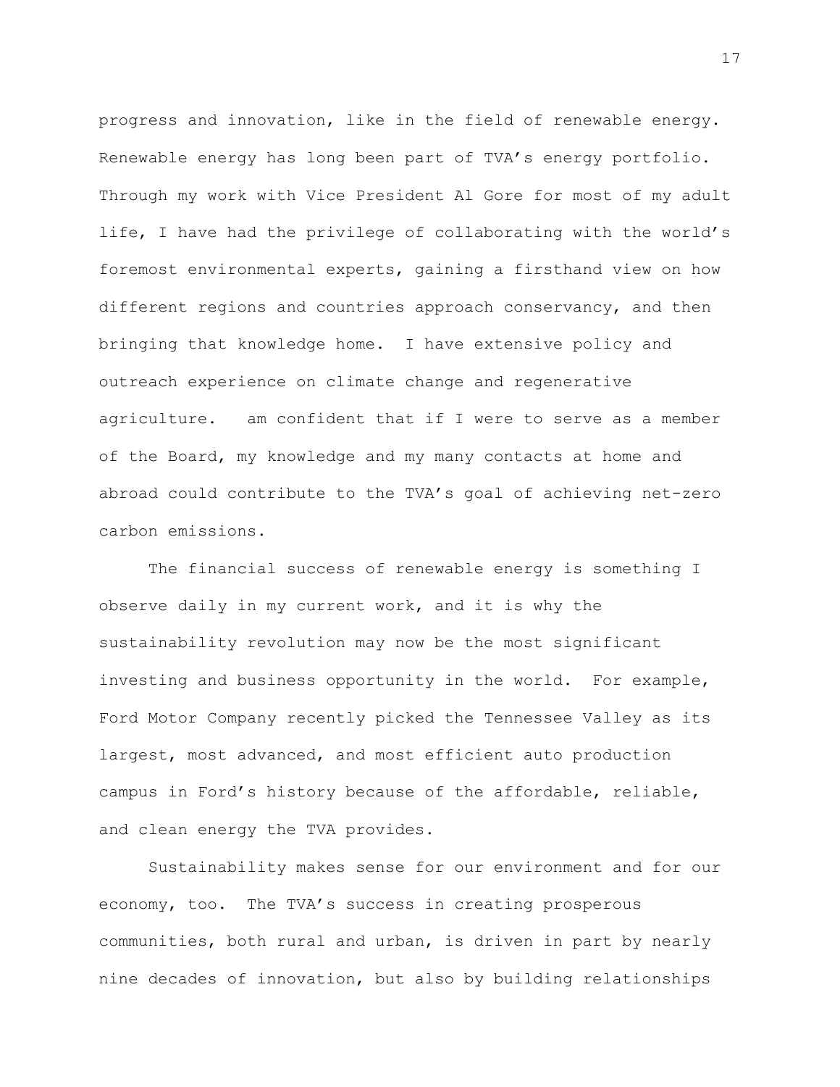progress and innovation, like in the field of renewable energy. Renewable energy has long been part of TVA's energy portfolio. Through my work with Vice President Al Gore for most of my adult life, I have had the privilege of collaborating with the world's foremost environmental experts, gaining a firsthand view on how different regions and countries approach conservancy, and then bringing that knowledge home. I have extensive policy and outreach experience on climate change and regenerative agriculture. am confident that if I were to serve as a member of the Board, my knowledge and my many contacts at home and abroad could contribute to the TVA's goal of achieving net-zero carbon emissions.

The financial success of renewable energy is something I observe daily in my current work, and it is why the sustainability revolution may now be the most significant investing and business opportunity in the world. For example, Ford Motor Company recently picked the Tennessee Valley as its largest, most advanced, and most efficient auto production campus in Ford's history because of the affordable, reliable, and clean energy the TVA provides.

Sustainability makes sense for our environment and for our economy, too. The TVA's success in creating prosperous communities, both rural and urban, is driven in part by nearly nine decades of innovation, but also by building relationships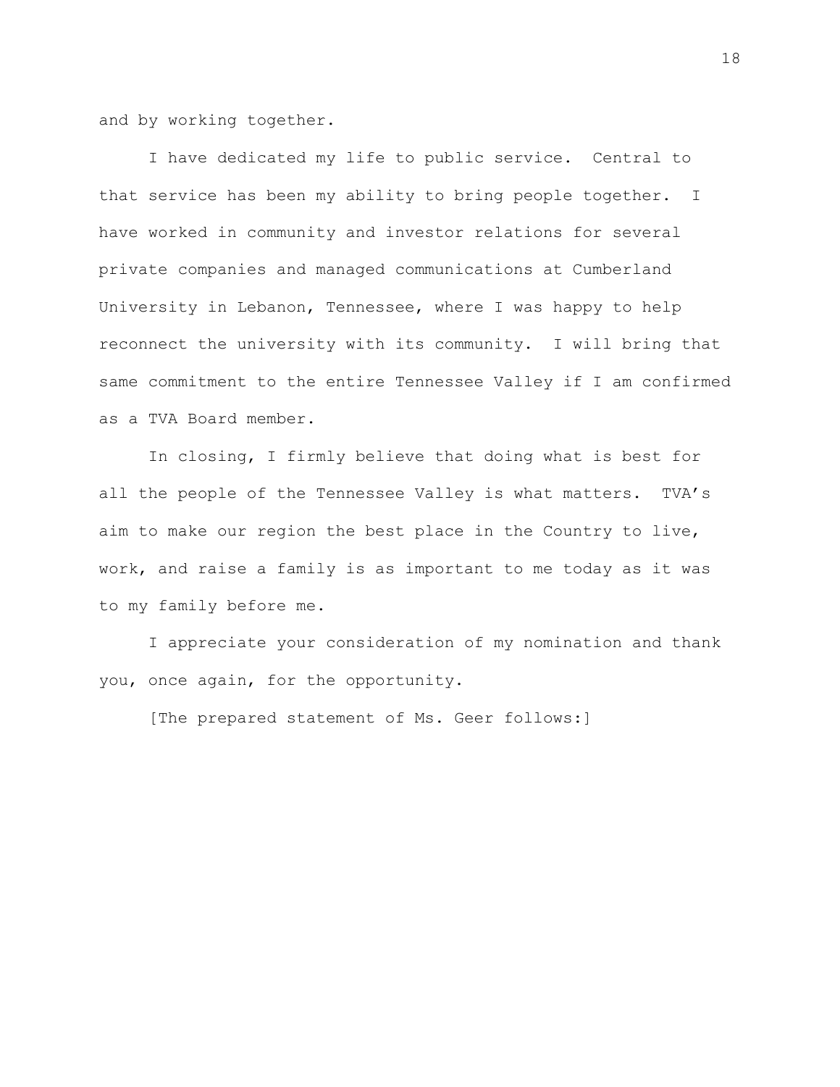and by working together.

I have dedicated my life to public service. Central to that service has been my ability to bring people together. I have worked in community and investor relations for several private companies and managed communications at Cumberland University in Lebanon, Tennessee, where I was happy to help reconnect the university with its community. I will bring that same commitment to the entire Tennessee Valley if I am confirmed as a TVA Board member.

In closing, I firmly believe that doing what is best for all the people of the Tennessee Valley is what matters. TVA's aim to make our region the best place in the Country to live, work, and raise a family is as important to me today as it was to my family before me.

I appreciate your consideration of my nomination and thank you, once again, for the opportunity.

[The prepared statement of Ms. Geer follows:]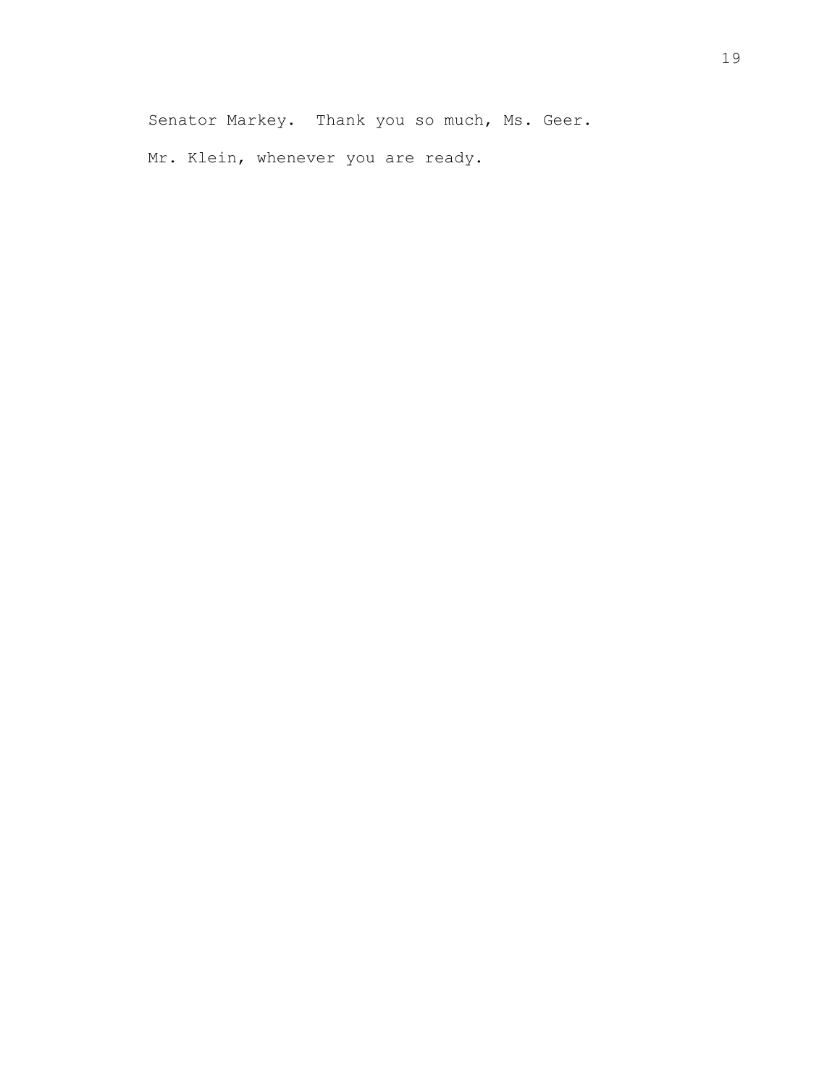Mr. Klein, whenever you are ready.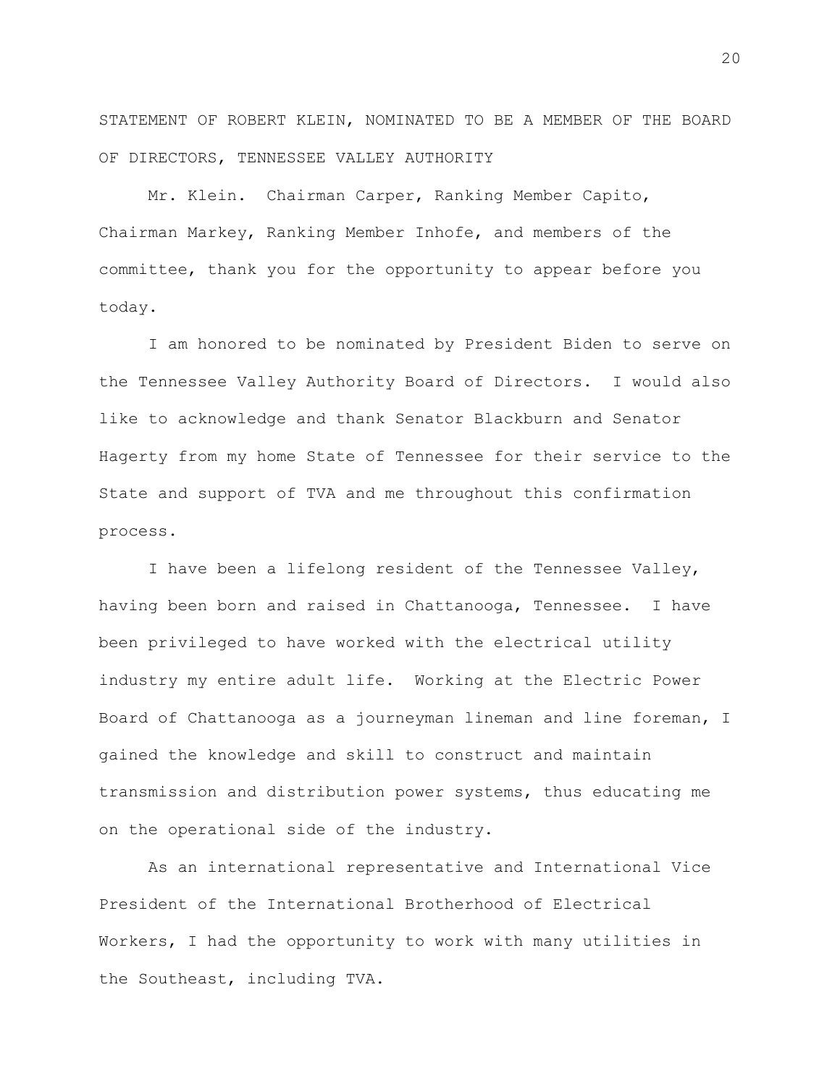STATEMENT OF ROBERT KLEIN, NOMINATED TO BE A MEMBER OF THE BOARD OF DIRECTORS, TENNESSEE VALLEY AUTHORITY

Mr. Klein. Chairman Carper, Ranking Member Capito, Chairman Markey, Ranking Member Inhofe, and members of the committee, thank you for the opportunity to appear before you today.

I am honored to be nominated by President Biden to serve on the Tennessee Valley Authority Board of Directors. I would also like to acknowledge and thank Senator Blackburn and Senator Hagerty from my home State of Tennessee for their service to the State and support of TVA and me throughout this confirmation process.

I have been a lifelong resident of the Tennessee Valley, having been born and raised in Chattanooga, Tennessee. I have been privileged to have worked with the electrical utility industry my entire adult life. Working at the Electric Power Board of Chattanooga as a journeyman lineman and line foreman, I gained the knowledge and skill to construct and maintain transmission and distribution power systems, thus educating me on the operational side of the industry.

As an international representative and International Vice President of the International Brotherhood of Electrical Workers, I had the opportunity to work with many utilities in the Southeast, including TVA.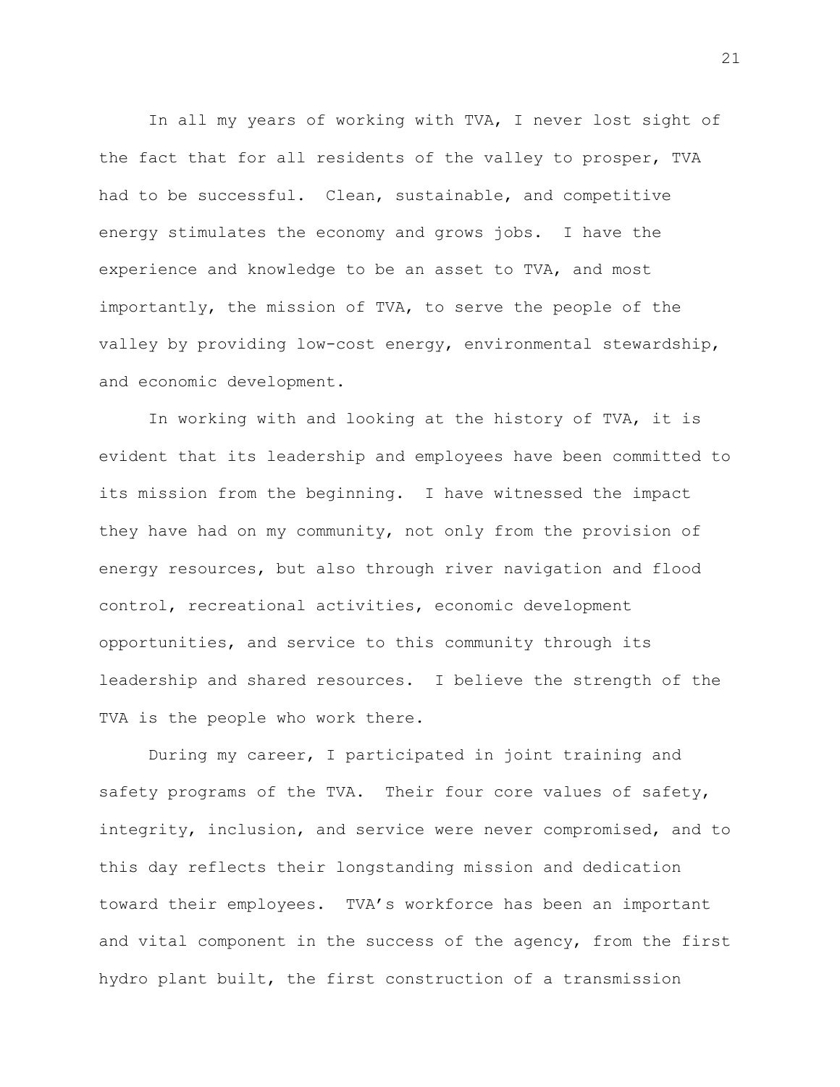In all my years of working with TVA, I never lost sight of the fact that for all residents of the valley to prosper, TVA had to be successful. Clean, sustainable, and competitive energy stimulates the economy and grows jobs. I have the experience and knowledge to be an asset to TVA, and most importantly, the mission of TVA, to serve the people of the valley by providing low-cost energy, environmental stewardship, and economic development.

In working with and looking at the history of TVA, it is evident that its leadership and employees have been committed to its mission from the beginning. I have witnessed the impact they have had on my community, not only from the provision of energy resources, but also through river navigation and flood control, recreational activities, economic development opportunities, and service to this community through its leadership and shared resources. I believe the strength of the TVA is the people who work there.

During my career, I participated in joint training and safety programs of the TVA. Their four core values of safety, integrity, inclusion, and service were never compromised, and to this day reflects their longstanding mission and dedication toward their employees. TVA's workforce has been an important and vital component in the success of the agency, from the first hydro plant built, the first construction of a transmission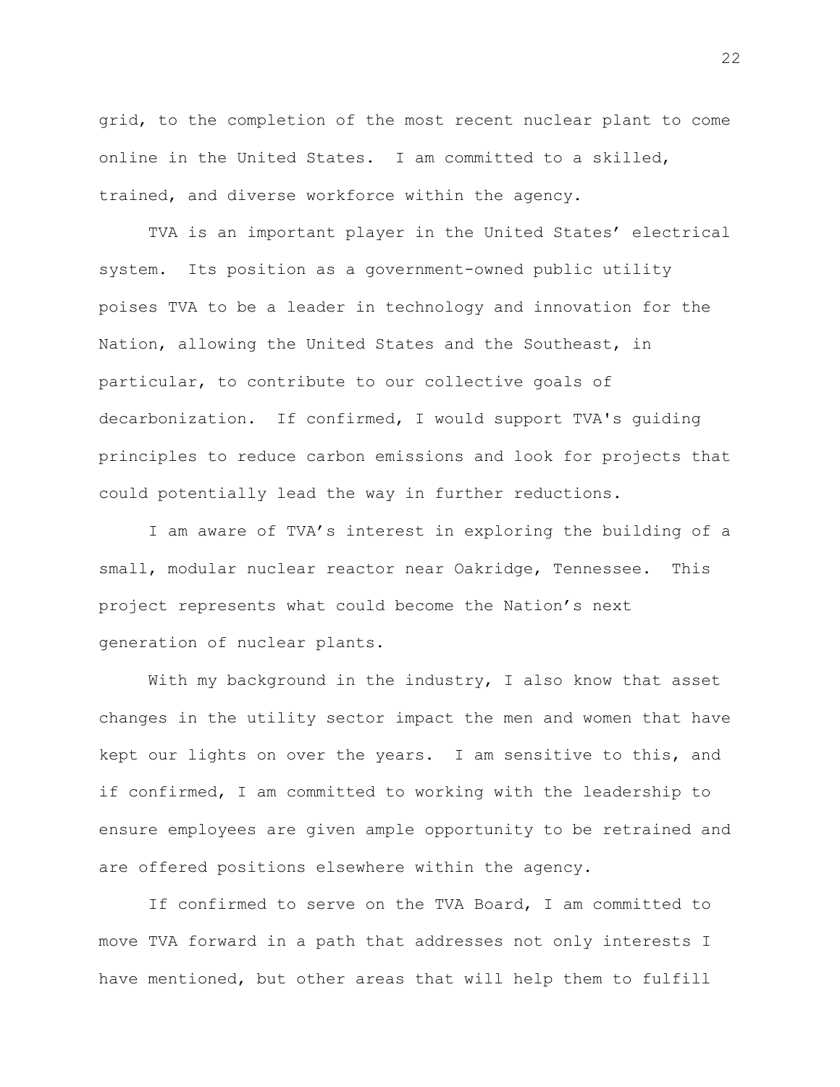grid, to the completion of the most recent nuclear plant to come online in the United States. I am committed to a skilled, trained, and diverse workforce within the agency.

TVA is an important player in the United States' electrical system. Its position as a government-owned public utility poises TVA to be a leader in technology and innovation for the Nation, allowing the United States and the Southeast, in particular, to contribute to our collective goals of decarbonization. If confirmed, I would support TVA's guiding principles to reduce carbon emissions and look for projects that could potentially lead the way in further reductions.

I am aware of TVA's interest in exploring the building of a small, modular nuclear reactor near Oakridge, Tennessee. This project represents what could become the Nation's next generation of nuclear plants.

With my background in the industry, I also know that asset changes in the utility sector impact the men and women that have kept our lights on over the years. I am sensitive to this, and if confirmed, I am committed to working with the leadership to ensure employees are given ample opportunity to be retrained and are offered positions elsewhere within the agency.

If confirmed to serve on the TVA Board, I am committed to move TVA forward in a path that addresses not only interests I have mentioned, but other areas that will help them to fulfill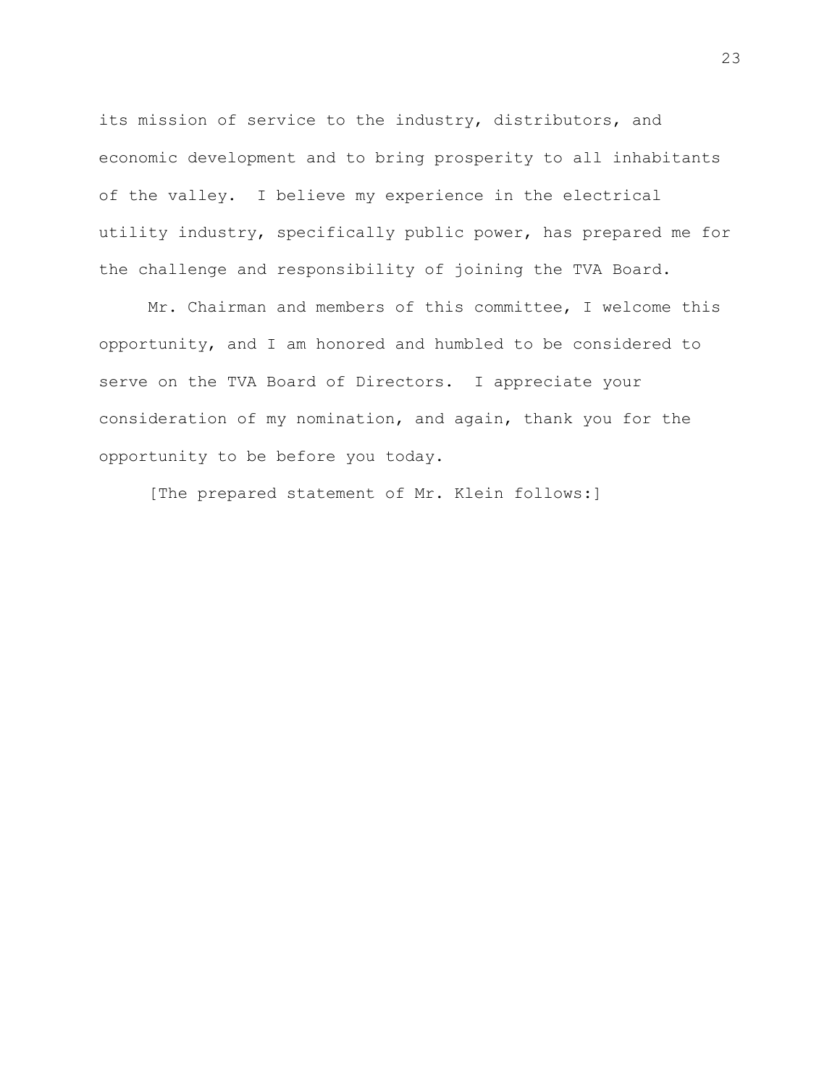its mission of service to the industry, distributors, and economic development and to bring prosperity to all inhabitants of the valley. I believe my experience in the electrical utility industry, specifically public power, has prepared me for the challenge and responsibility of joining the TVA Board.

Mr. Chairman and members of this committee, I welcome this opportunity, and I am honored and humbled to be considered to serve on the TVA Board of Directors. I appreciate your consideration of my nomination, and again, thank you for the opportunity to be before you today.

[The prepared statement of Mr. Klein follows:]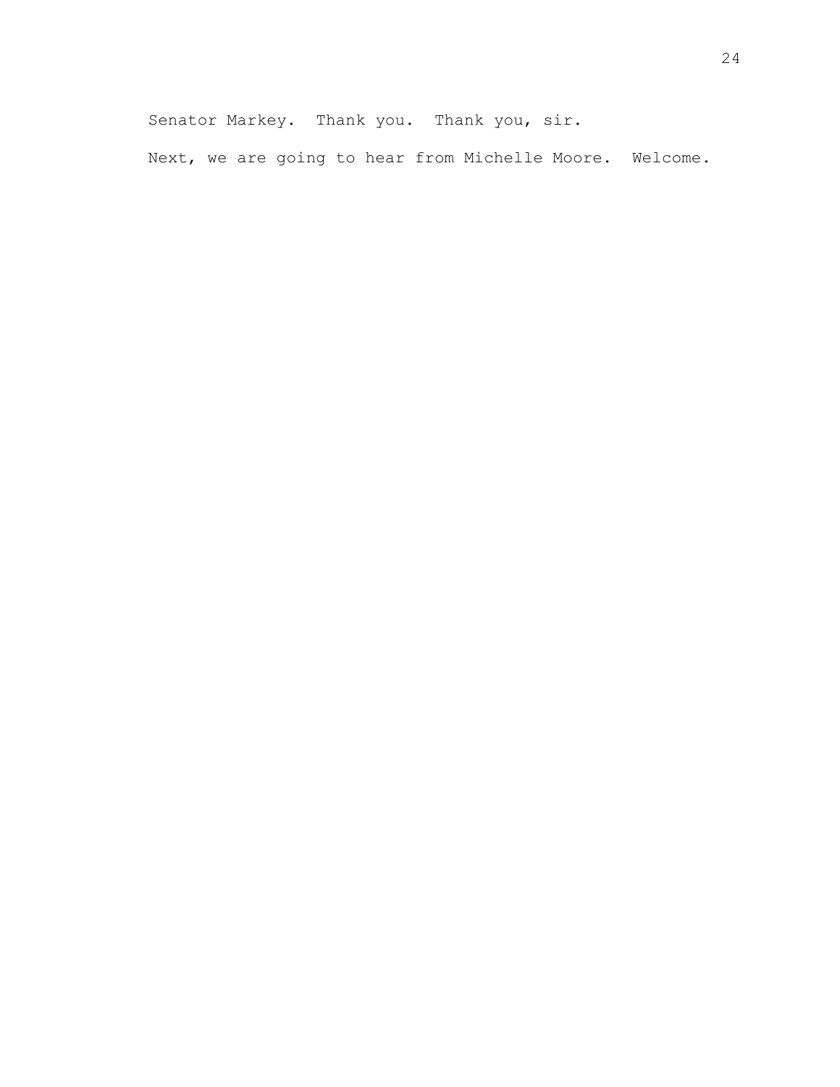Senator Markey. Thank you. Thank you, sir. Next, we are going to hear from Michelle Moore. Welcome.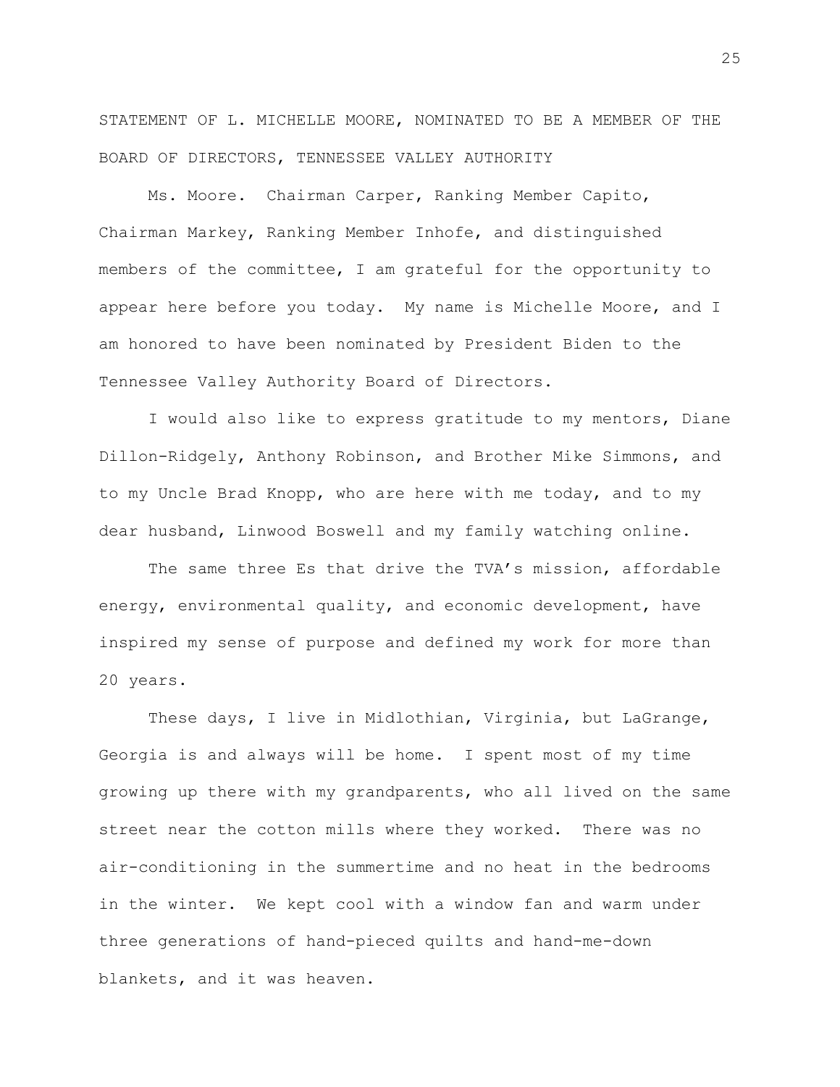STATEMENT OF L. MICHELLE MOORE, NOMINATED TO BE A MEMBER OF THE BOARD OF DIRECTORS, TENNESSEE VALLEY AUTHORITY

Ms. Moore. Chairman Carper, Ranking Member Capito, Chairman Markey, Ranking Member Inhofe, and distinguished members of the committee, I am grateful for the opportunity to appear here before you today. My name is Michelle Moore, and I am honored to have been nominated by President Biden to the Tennessee Valley Authority Board of Directors.

I would also like to express gratitude to my mentors, Diane Dillon-Ridgely, Anthony Robinson, and Brother Mike Simmons, and to my Uncle Brad Knopp, who are here with me today, and to my dear husband, Linwood Boswell and my family watching online.

The same three Es that drive the TVA's mission, affordable energy, environmental quality, and economic development, have inspired my sense of purpose and defined my work for more than 20 years.

These days, I live in Midlothian, Virginia, but LaGrange, Georgia is and always will be home. I spent most of my time growing up there with my grandparents, who all lived on the same street near the cotton mills where they worked. There was no air-conditioning in the summertime and no heat in the bedrooms in the winter. We kept cool with a window fan and warm under three generations of hand-pieced quilts and hand-me-down blankets, and it was heaven.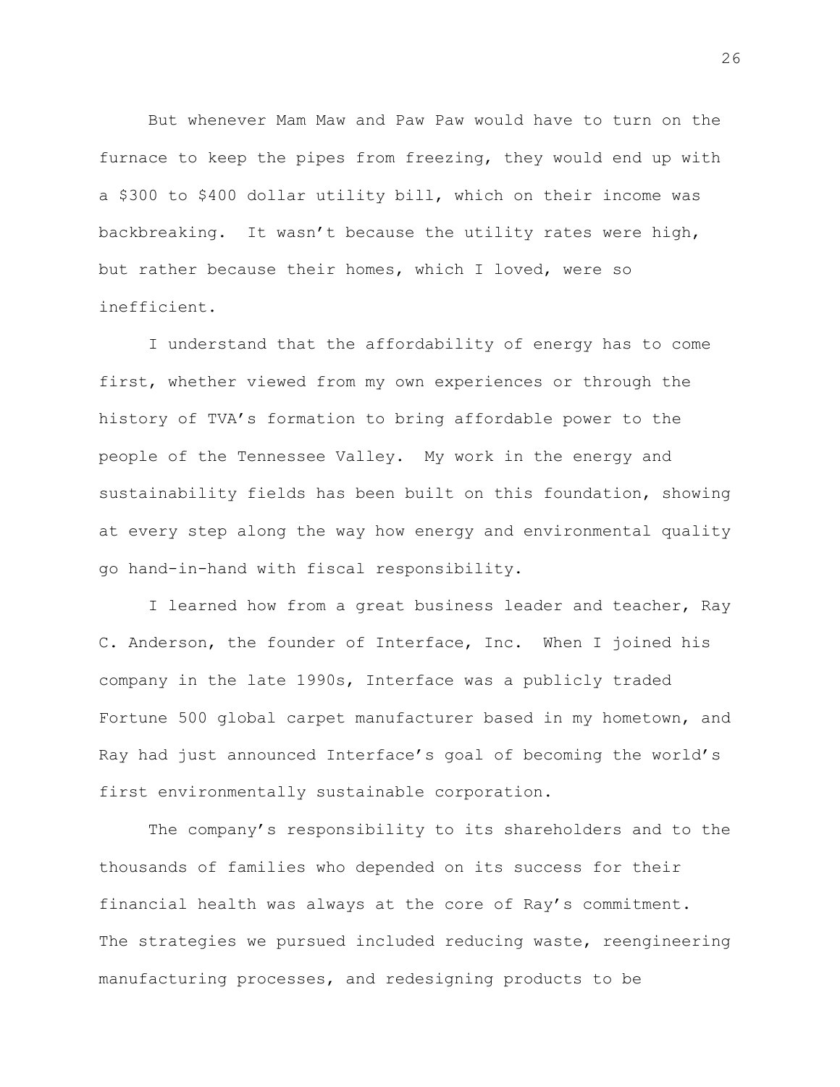But whenever Mam Maw and Paw Paw would have to turn on the furnace to keep the pipes from freezing, they would end up with a \$300 to \$400 dollar utility bill, which on their income was backbreaking. It wasn't because the utility rates were high, but rather because their homes, which I loved, were so inefficient.

I understand that the affordability of energy has to come first, whether viewed from my own experiences or through the history of TVA's formation to bring affordable power to the people of the Tennessee Valley. My work in the energy and sustainability fields has been built on this foundation, showing at every step along the way how energy and environmental quality go hand-in-hand with fiscal responsibility.

I learned how from a great business leader and teacher, Ray C. Anderson, the founder of Interface, Inc. When I joined his company in the late 1990s, Interface was a publicly traded Fortune 500 global carpet manufacturer based in my hometown, and Ray had just announced Interface's goal of becoming the world's first environmentally sustainable corporation.

The company's responsibility to its shareholders and to the thousands of families who depended on its success for their financial health was always at the core of Ray's commitment. The strategies we pursued included reducing waste, reengineering manufacturing processes, and redesigning products to be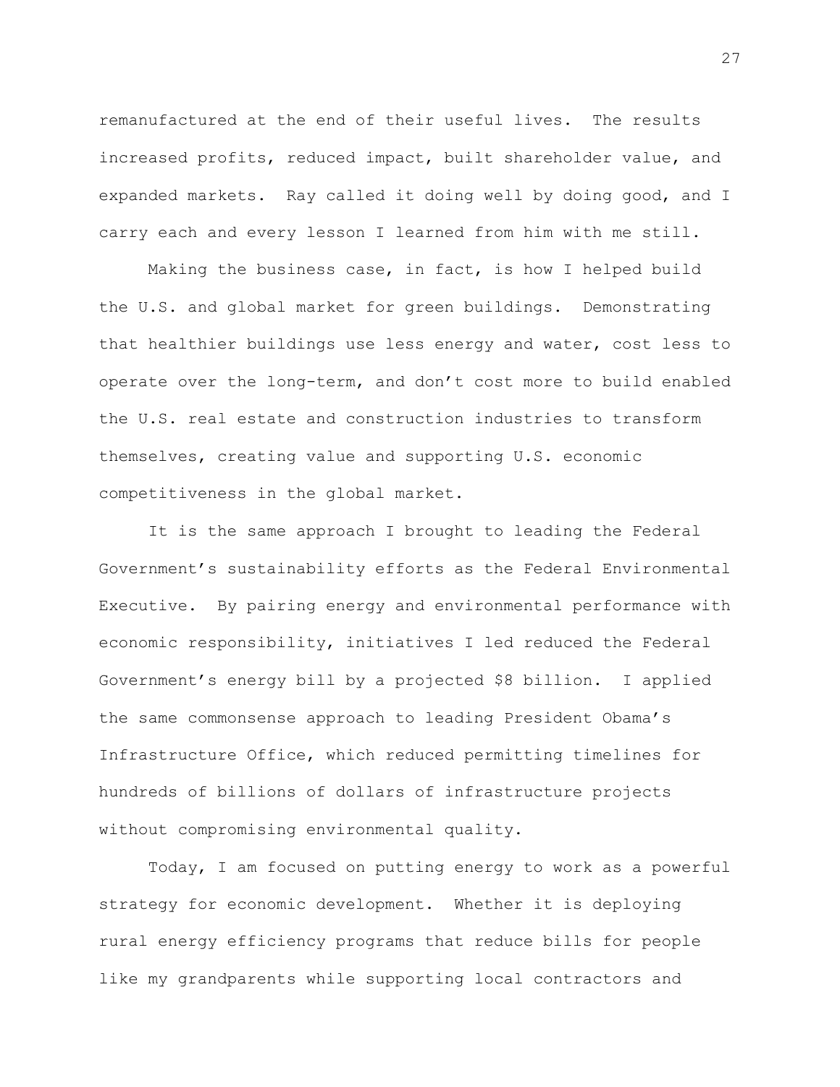remanufactured at the end of their useful lives. The results increased profits, reduced impact, built shareholder value, and expanded markets. Ray called it doing well by doing good, and I carry each and every lesson I learned from him with me still.

Making the business case, in fact, is how I helped build the U.S. and global market for green buildings. Demonstrating that healthier buildings use less energy and water, cost less to operate over the long-term, and don't cost more to build enabled the U.S. real estate and construction industries to transform themselves, creating value and supporting U.S. economic competitiveness in the global market.

It is the same approach I brought to leading the Federal Government's sustainability efforts as the Federal Environmental Executive. By pairing energy and environmental performance with economic responsibility, initiatives I led reduced the Federal Government's energy bill by a projected \$8 billion. I applied the same commonsense approach to leading President Obama's Infrastructure Office, which reduced permitting timelines for hundreds of billions of dollars of infrastructure projects without compromising environmental quality.

Today, I am focused on putting energy to work as a powerful strategy for economic development. Whether it is deploying rural energy efficiency programs that reduce bills for people like my grandparents while supporting local contractors and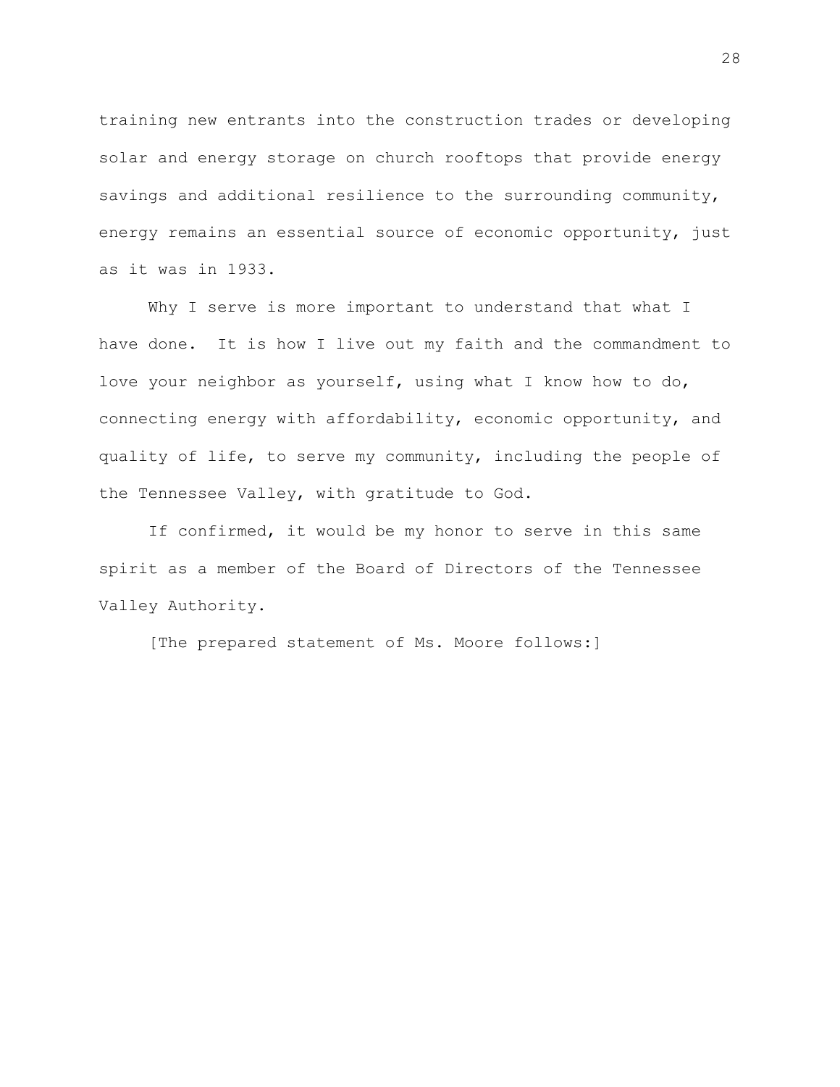training new entrants into the construction trades or developing solar and energy storage on church rooftops that provide energy savings and additional resilience to the surrounding community, energy remains an essential source of economic opportunity, just as it was in 1933.

Why I serve is more important to understand that what I have done. It is how I live out my faith and the commandment to love your neighbor as yourself, using what I know how to do, connecting energy with affordability, economic opportunity, and quality of life, to serve my community, including the people of the Tennessee Valley, with gratitude to God.

If confirmed, it would be my honor to serve in this same spirit as a member of the Board of Directors of the Tennessee Valley Authority.

[The prepared statement of Ms. Moore follows:]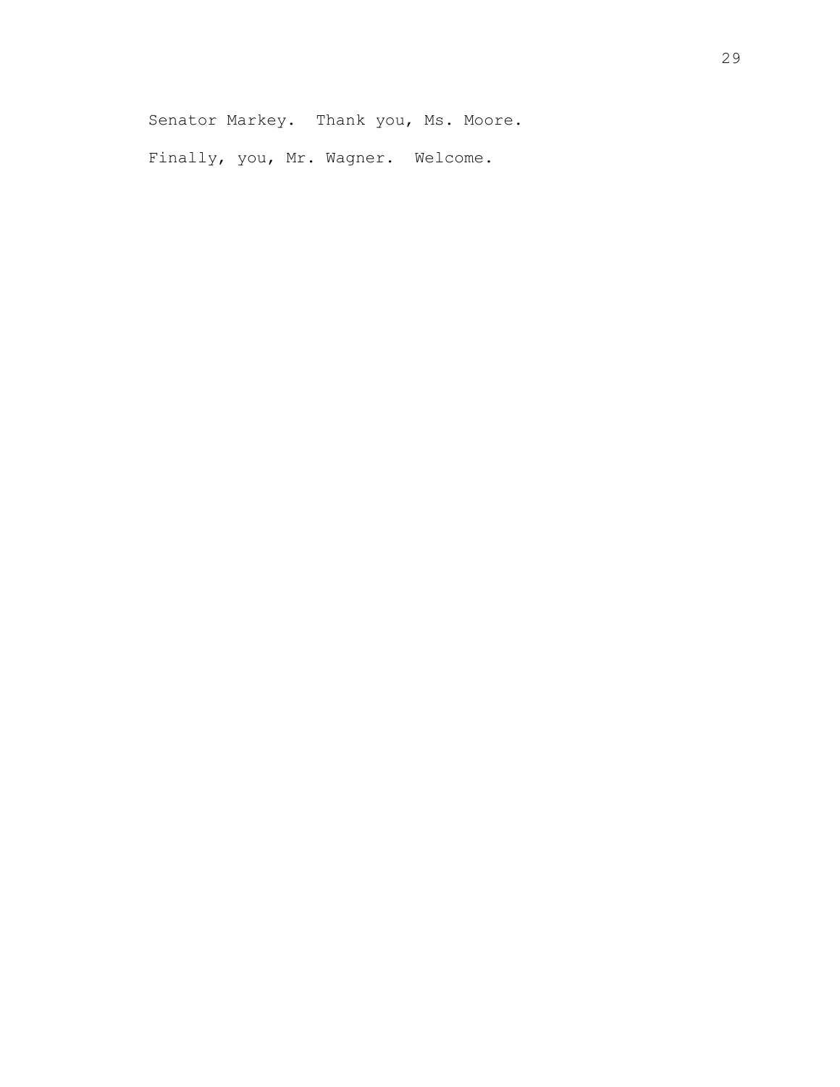Finally, you, Mr. Wagner. Welcome.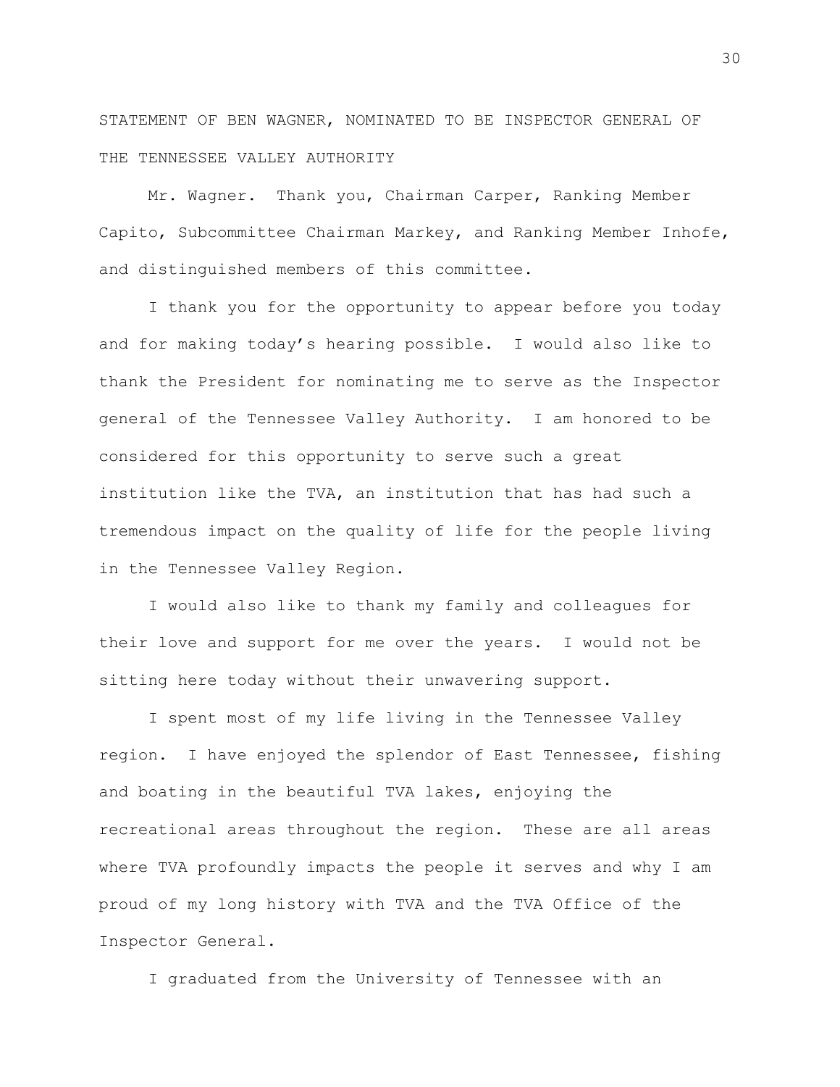STATEMENT OF BEN WAGNER, NOMINATED TO BE INSPECTOR GENERAL OF THE TENNESSEE VALLEY AUTHORITY

Mr. Wagner. Thank you, Chairman Carper, Ranking Member Capito, Subcommittee Chairman Markey, and Ranking Member Inhofe, and distinguished members of this committee.

I thank you for the opportunity to appear before you today and for making today's hearing possible. I would also like to thank the President for nominating me to serve as the Inspector general of the Tennessee Valley Authority. I am honored to be considered for this opportunity to serve such a great institution like the TVA, an institution that has had such a tremendous impact on the quality of life for the people living in the Tennessee Valley Region.

I would also like to thank my family and colleagues for their love and support for me over the years. I would not be sitting here today without their unwavering support.

I spent most of my life living in the Tennessee Valley region. I have enjoyed the splendor of East Tennessee, fishing and boating in the beautiful TVA lakes, enjoying the recreational areas throughout the region. These are all areas where TVA profoundly impacts the people it serves and why I am proud of my long history with TVA and the TVA Office of the Inspector General.

I graduated from the University of Tennessee with an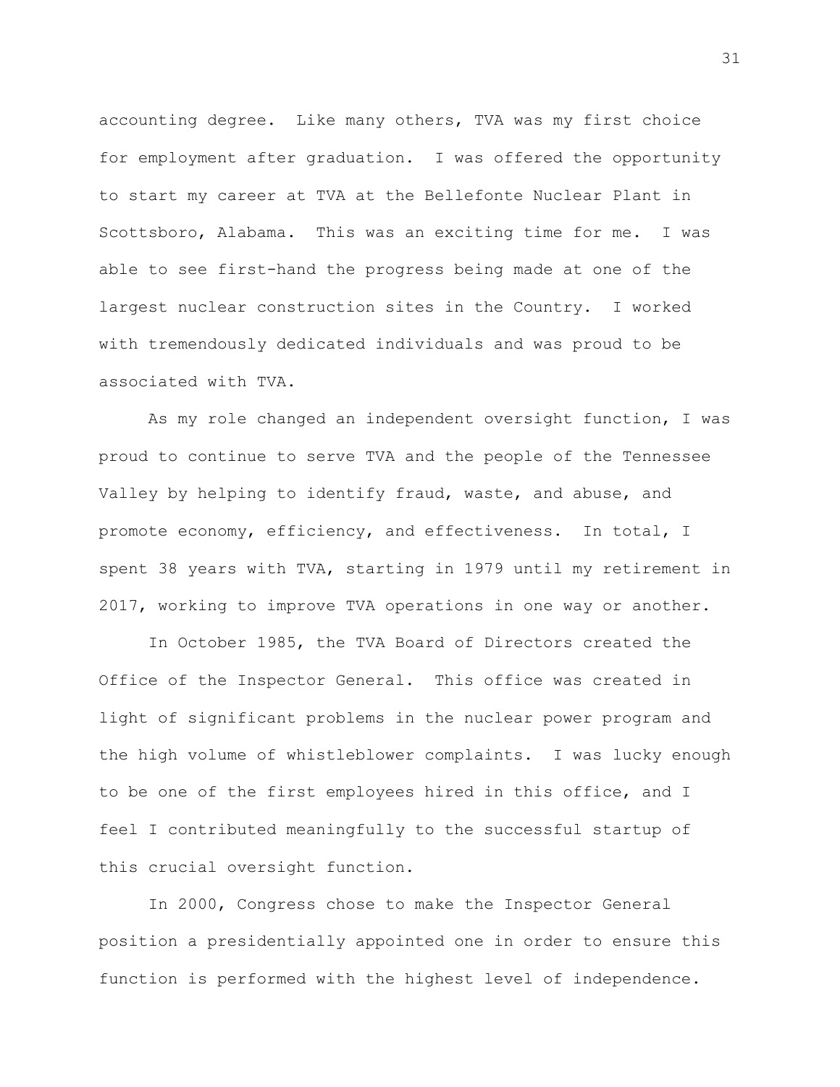accounting degree. Like many others, TVA was my first choice for employment after graduation. I was offered the opportunity to start my career at TVA at the Bellefonte Nuclear Plant in Scottsboro, Alabama. This was an exciting time for me. I was able to see first-hand the progress being made at one of the largest nuclear construction sites in the Country. I worked with tremendously dedicated individuals and was proud to be associated with TVA.

As my role changed an independent oversight function, I was proud to continue to serve TVA and the people of the Tennessee Valley by helping to identify fraud, waste, and abuse, and promote economy, efficiency, and effectiveness. In total, I spent 38 years with TVA, starting in 1979 until my retirement in 2017, working to improve TVA operations in one way or another.

In October 1985, the TVA Board of Directors created the Office of the Inspector General. This office was created in light of significant problems in the nuclear power program and the high volume of whistleblower complaints. I was lucky enough to be one of the first employees hired in this office, and I feel I contributed meaningfully to the successful startup of this crucial oversight function.

In 2000, Congress chose to make the Inspector General position a presidentially appointed one in order to ensure this function is performed with the highest level of independence.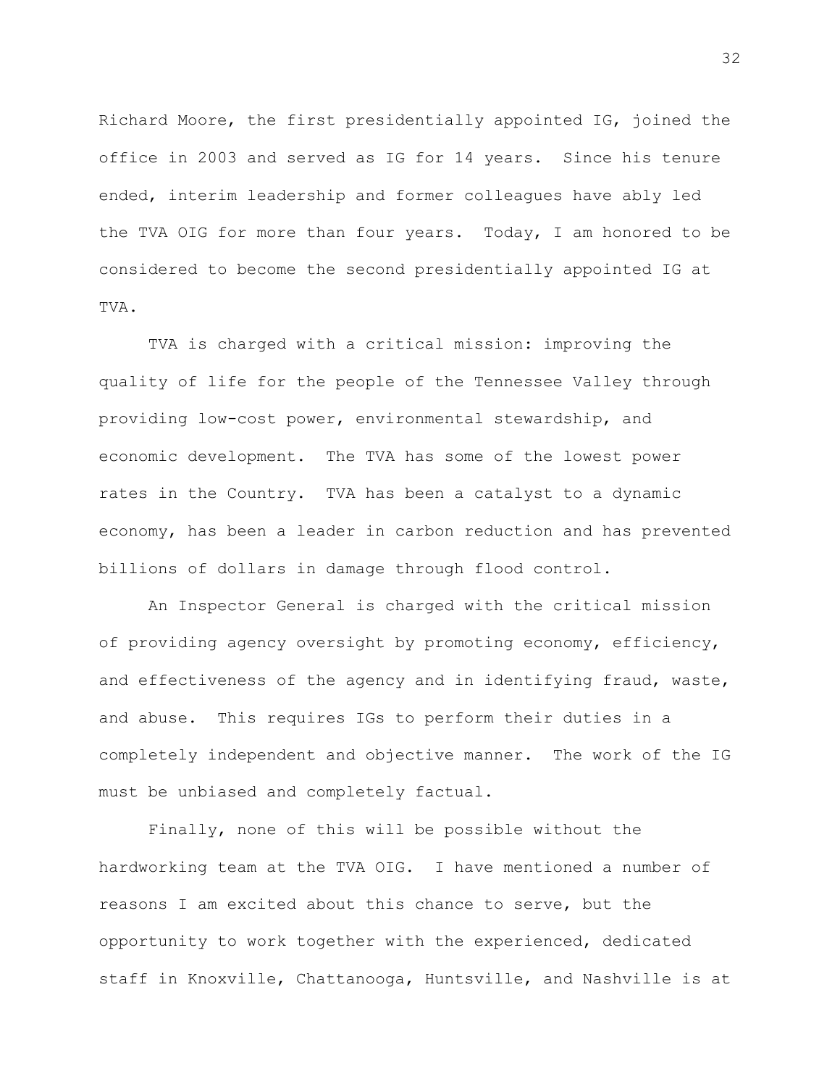Richard Moore, the first presidentially appointed IG, joined the office in 2003 and served as IG for 14 years. Since his tenure ended, interim leadership and former colleagues have ably led the TVA OIG for more than four years. Today, I am honored to be considered to become the second presidentially appointed IG at TVA.

TVA is charged with a critical mission: improving the quality of life for the people of the Tennessee Valley through providing low-cost power, environmental stewardship, and economic development. The TVA has some of the lowest power rates in the Country. TVA has been a catalyst to a dynamic economy, has been a leader in carbon reduction and has prevented billions of dollars in damage through flood control.

An Inspector General is charged with the critical mission of providing agency oversight by promoting economy, efficiency, and effectiveness of the agency and in identifying fraud, waste, and abuse. This requires IGs to perform their duties in a completely independent and objective manner. The work of the IG must be unbiased and completely factual.

Finally, none of this will be possible without the hardworking team at the TVA OIG. I have mentioned a number of reasons I am excited about this chance to serve, but the opportunity to work together with the experienced, dedicated staff in Knoxville, Chattanooga, Huntsville, and Nashville is at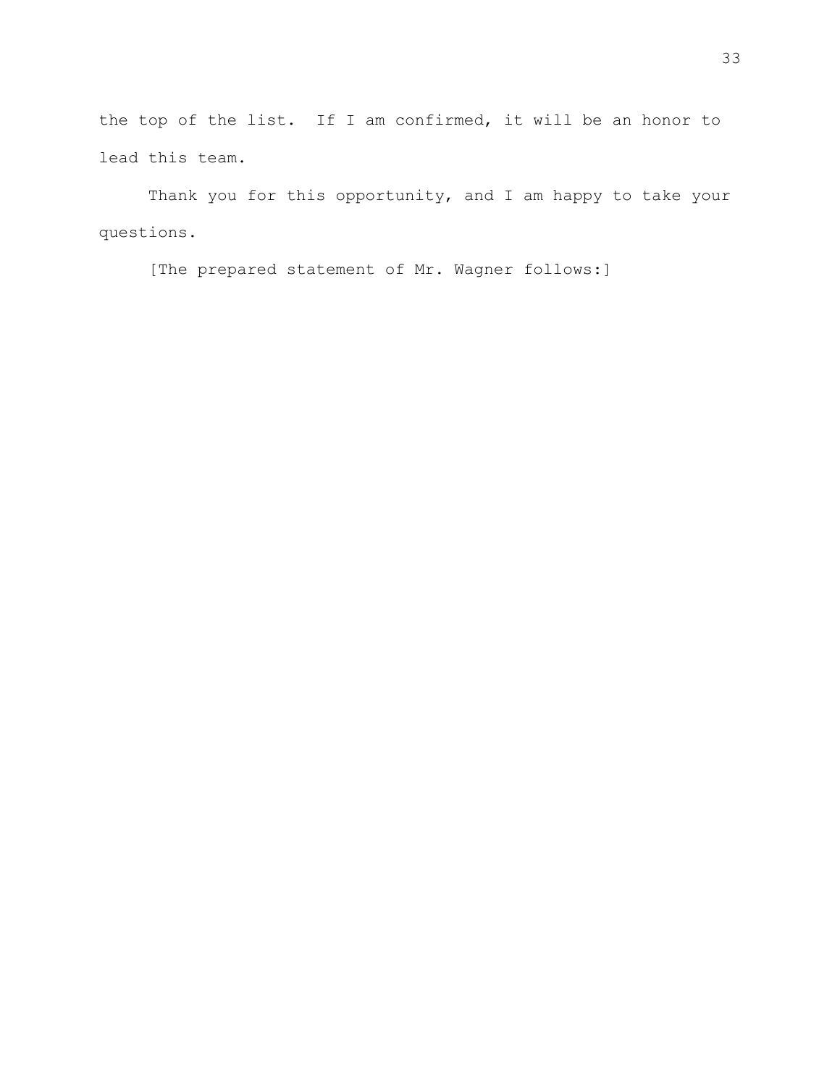the top of the list. If I am confirmed, it will be an honor to lead this team.

Thank you for this opportunity, and I am happy to take your questions.

[The prepared statement of Mr. Wagner follows:]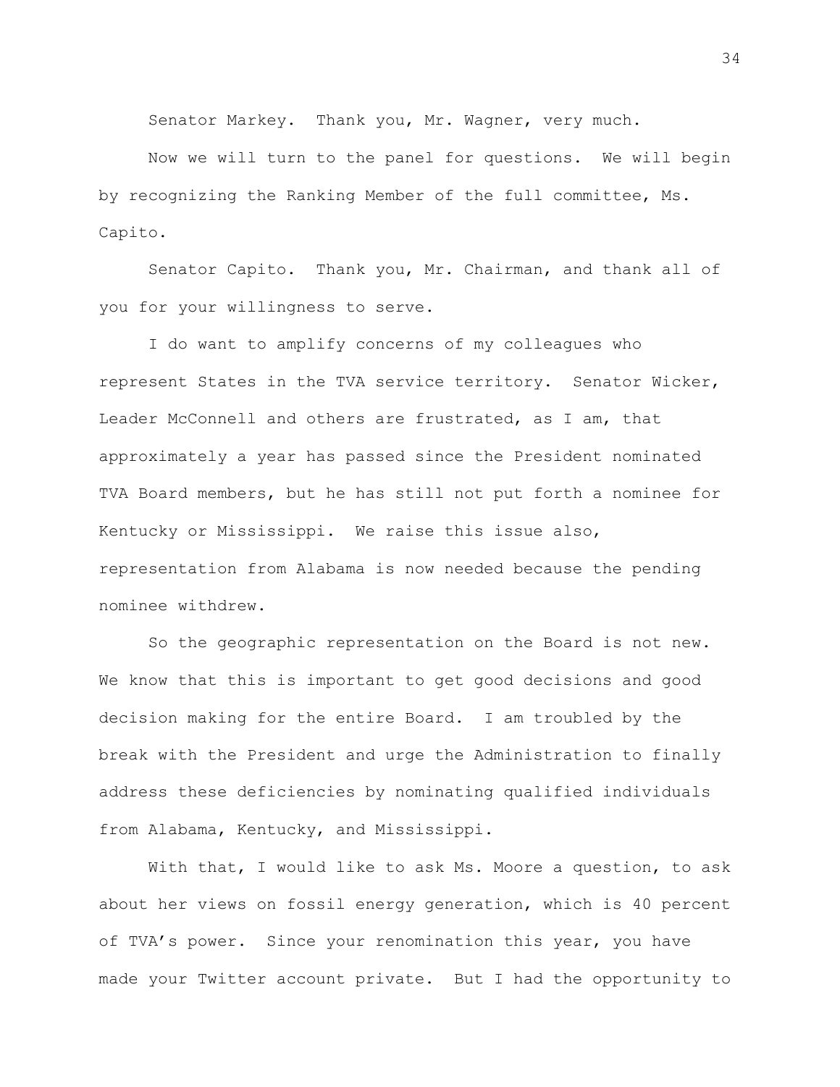Senator Markey. Thank you, Mr. Wagner, very much.

Now we will turn to the panel for questions. We will begin by recognizing the Ranking Member of the full committee, Ms. Capito.

Senator Capito. Thank you, Mr. Chairman, and thank all of you for your willingness to serve.

I do want to amplify concerns of my colleagues who represent States in the TVA service territory. Senator Wicker, Leader McConnell and others are frustrated, as I am, that approximately a year has passed since the President nominated TVA Board members, but he has still not put forth a nominee for Kentucky or Mississippi. We raise this issue also, representation from Alabama is now needed because the pending nominee withdrew.

So the geographic representation on the Board is not new. We know that this is important to get good decisions and good decision making for the entire Board. I am troubled by the break with the President and urge the Administration to finally address these deficiencies by nominating qualified individuals from Alabama, Kentucky, and Mississippi.

With that, I would like to ask Ms. Moore a question, to ask about her views on fossil energy generation, which is 40 percent of TVA's power. Since your renomination this year, you have made your Twitter account private. But I had the opportunity to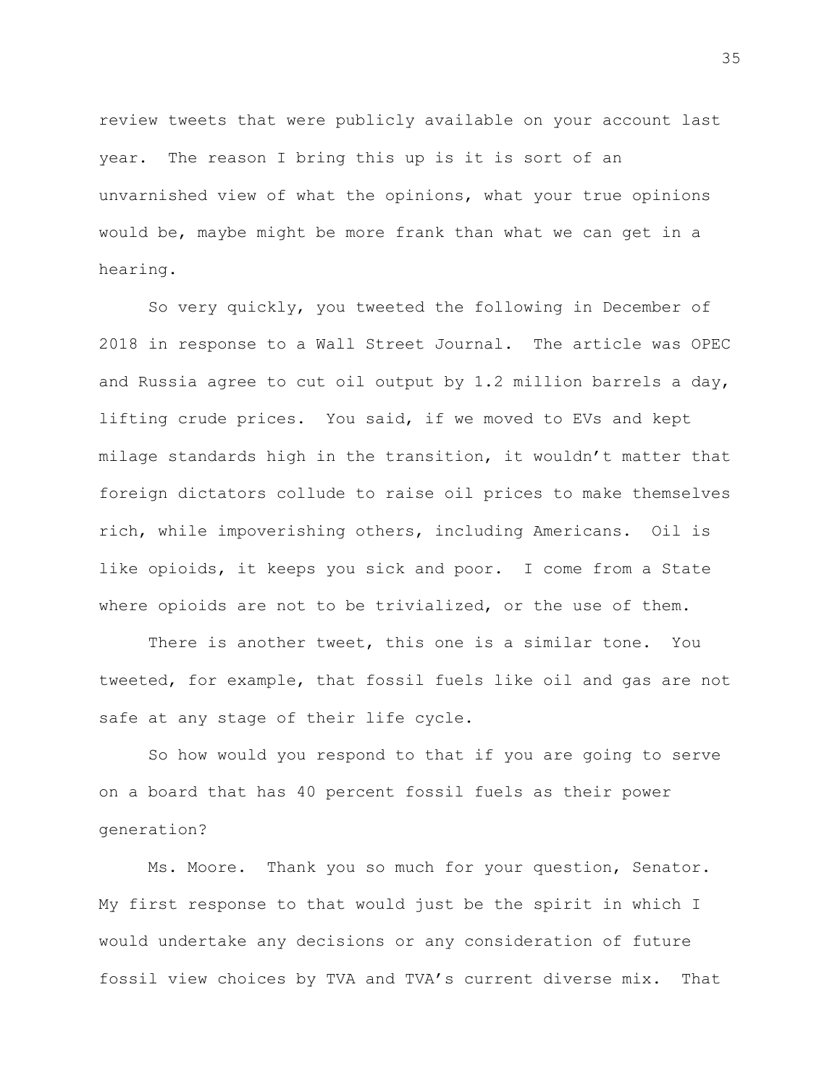review tweets that were publicly available on your account last year. The reason I bring this up is it is sort of an unvarnished view of what the opinions, what your true opinions would be, maybe might be more frank than what we can get in a hearing.

So very quickly, you tweeted the following in December of 2018 in response to a Wall Street Journal. The article was OPEC and Russia agree to cut oil output by 1.2 million barrels a day, lifting crude prices. You said, if we moved to EVs and kept milage standards high in the transition, it wouldn't matter that foreign dictators collude to raise oil prices to make themselves rich, while impoverishing others, including Americans. Oil is like opioids, it keeps you sick and poor. I come from a State where opioids are not to be trivialized, or the use of them.

There is another tweet, this one is a similar tone. You tweeted, for example, that fossil fuels like oil and gas are not safe at any stage of their life cycle.

So how would you respond to that if you are going to serve on a board that has 40 percent fossil fuels as their power generation?

Ms. Moore. Thank you so much for your question, Senator. My first response to that would just be the spirit in which I would undertake any decisions or any consideration of future fossil view choices by TVA and TVA's current diverse mix. That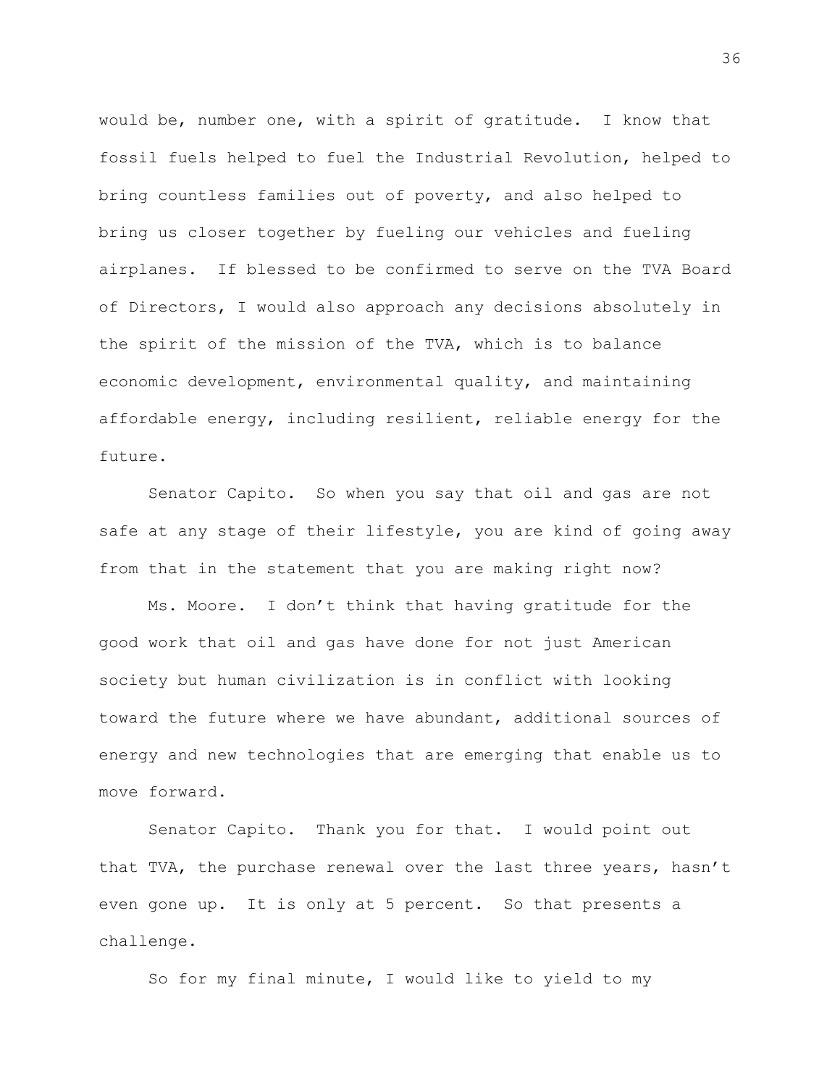would be, number one, with a spirit of gratitude. I know that fossil fuels helped to fuel the Industrial Revolution, helped to bring countless families out of poverty, and also helped to bring us closer together by fueling our vehicles and fueling airplanes. If blessed to be confirmed to serve on the TVA Board of Directors, I would also approach any decisions absolutely in the spirit of the mission of the TVA, which is to balance economic development, environmental quality, and maintaining affordable energy, including resilient, reliable energy for the future.

Senator Capito. So when you say that oil and gas are not safe at any stage of their lifestyle, you are kind of going away from that in the statement that you are making right now?

Ms. Moore. I don't think that having gratitude for the good work that oil and gas have done for not just American society but human civilization is in conflict with looking toward the future where we have abundant, additional sources of energy and new technologies that are emerging that enable us to move forward.

Senator Capito. Thank you for that. I would point out that TVA, the purchase renewal over the last three years, hasn't even gone up. It is only at 5 percent. So that presents a challenge.

So for my final minute, I would like to yield to my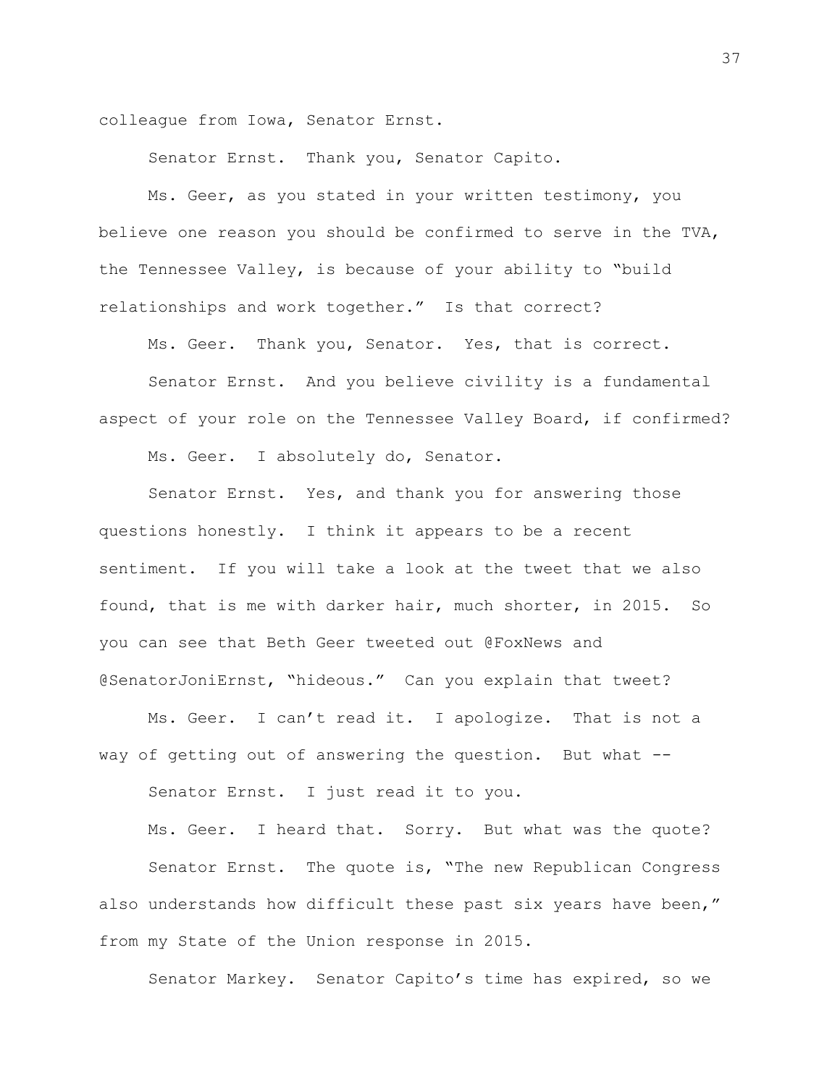colleague from Iowa, Senator Ernst.

Senator Ernst. Thank you, Senator Capito.

Ms. Geer, as you stated in your written testimony, you believe one reason you should be confirmed to serve in the TVA, the Tennessee Valley, is because of your ability to "build relationships and work together." Is that correct?

Ms. Geer. Thank you, Senator. Yes, that is correct.

Senator Ernst. And you believe civility is a fundamental aspect of your role on the Tennessee Valley Board, if confirmed?

Ms. Geer. I absolutely do, Senator.

Senator Ernst. Yes, and thank you for answering those questions honestly. I think it appears to be a recent sentiment. If you will take a look at the tweet that we also found, that is me with darker hair, much shorter, in 2015. So you can see that Beth Geer tweeted out @FoxNews and @SenatorJoniErnst, "hideous." Can you explain that tweet?

Ms. Geer. I can't read it. I apologize. That is not a way of getting out of answering the question. But what --

Senator Ernst. I just read it to you.

Ms. Geer. I heard that. Sorry. But what was the quote? Senator Ernst. The quote is, "The new Republican Congress also understands how difficult these past six years have been," from my State of the Union response in 2015.

Senator Markey. Senator Capito's time has expired, so we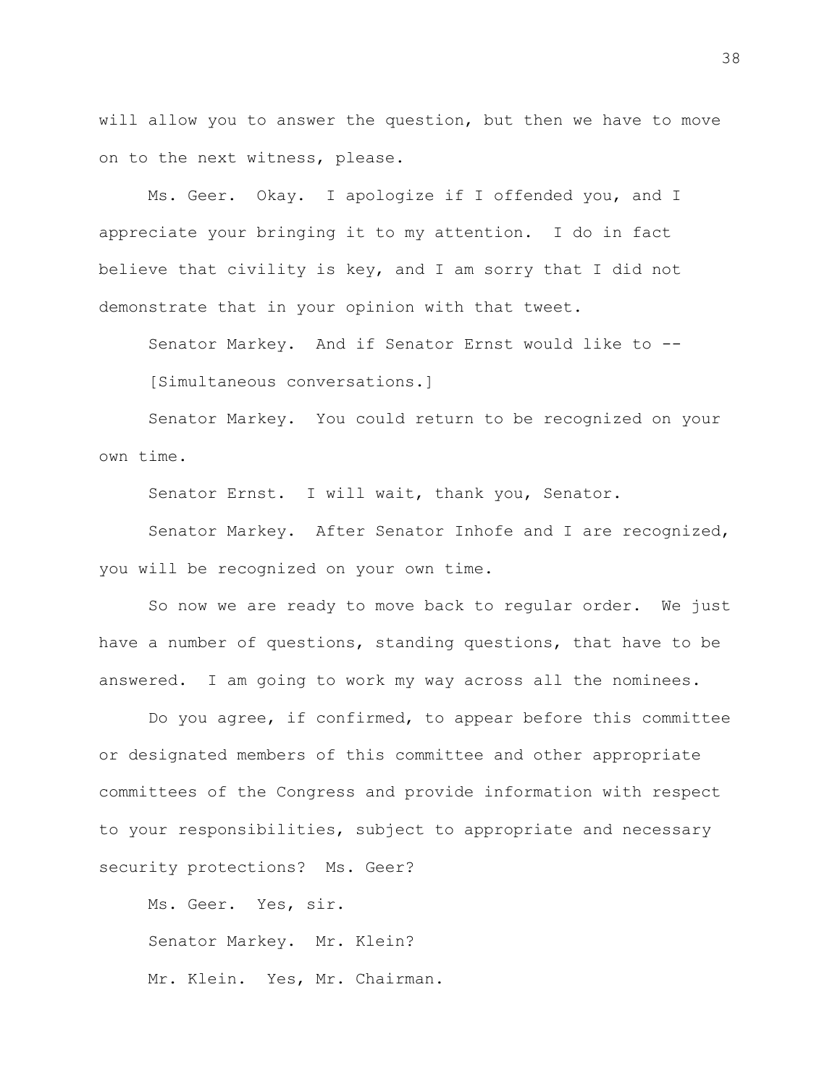will allow you to answer the question, but then we have to move on to the next witness, please.

Ms. Geer. Okay. I apologize if I offended you, and I appreciate your bringing it to my attention. I do in fact believe that civility is key, and I am sorry that I did not demonstrate that in your opinion with that tweet.

Senator Markey. And if Senator Ernst would like to -- [Simultaneous conversations.]

Senator Markey. You could return to be recognized on your own time.

Senator Ernst. I will wait, thank you, Senator.

Senator Markey. After Senator Inhofe and I are recognized, you will be recognized on your own time.

So now we are ready to move back to regular order. We just have a number of questions, standing questions, that have to be answered. I am going to work my way across all the nominees.

Do you agree, if confirmed, to appear before this committee or designated members of this committee and other appropriate committees of the Congress and provide information with respect to your responsibilities, subject to appropriate and necessary security protections? Ms. Geer?

Ms. Geer. Yes, sir. Senator Markey. Mr. Klein? Mr. Klein. Yes, Mr. Chairman.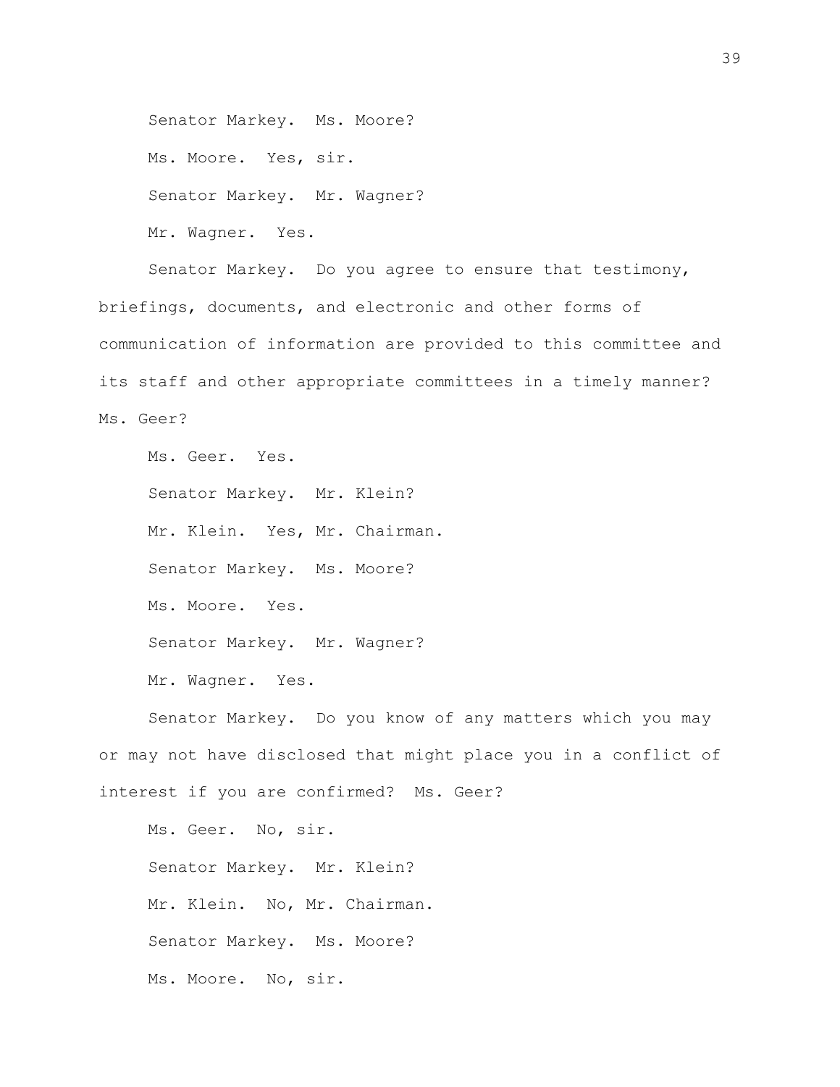Senator Markey. Ms. Moore? Ms. Moore. Yes, sir. Senator Markey. Mr. Wagner? Mr. Wagner. Yes.

Senator Markey. Do you agree to ensure that testimony, briefings, documents, and electronic and other forms of communication of information are provided to this committee and its staff and other appropriate committees in a timely manner? Ms. Geer?

Ms. Geer. Yes. Senator Markey. Mr. Klein? Mr. Klein. Yes, Mr. Chairman. Senator Markey. Ms. Moore? Ms. Moore. Yes. Senator Markey. Mr. Wagner? Mr. Wagner. Yes.

Senator Markey. Do you know of any matters which you may or may not have disclosed that might place you in a conflict of interest if you are confirmed? Ms. Geer?

Ms. Geer. No, sir. Senator Markey. Mr. Klein? Mr. Klein. No, Mr. Chairman. Senator Markey. Ms. Moore? Ms. Moore. No, sir.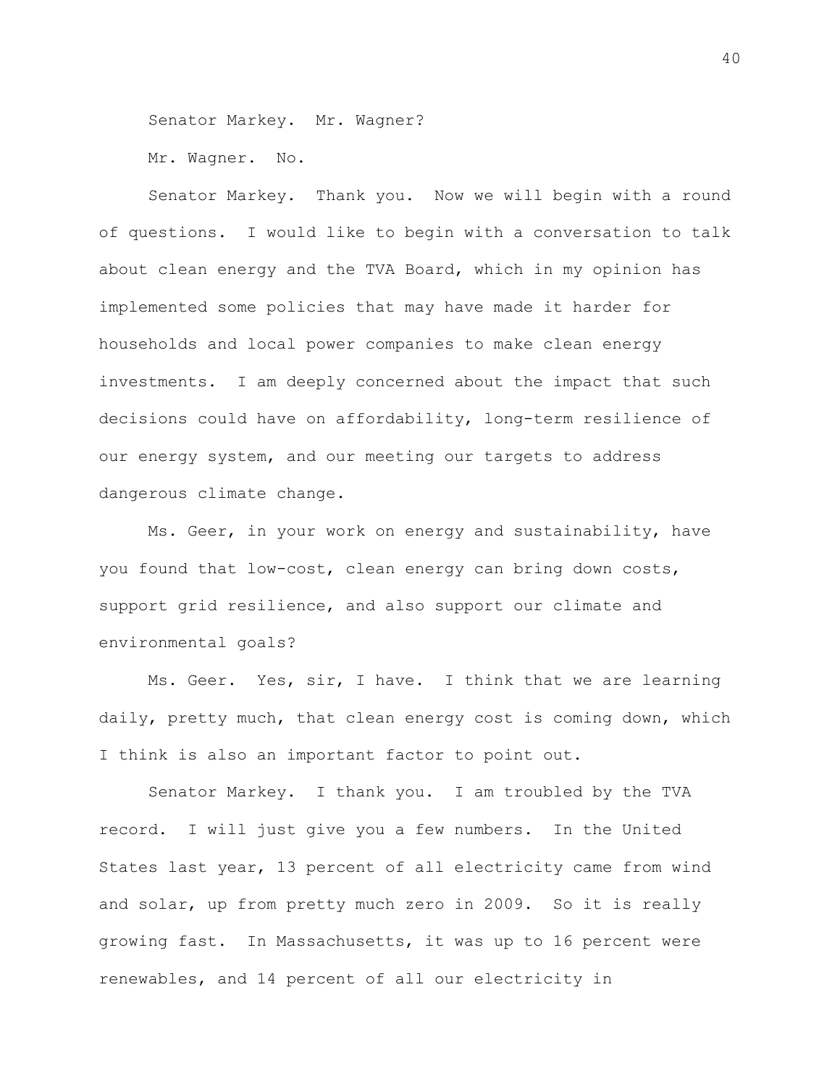Senator Markey. Mr. Wagner?

Mr. Wagner. No.

Senator Markey. Thank you. Now we will begin with a round of questions. I would like to begin with a conversation to talk about clean energy and the TVA Board, which in my opinion has implemented some policies that may have made it harder for households and local power companies to make clean energy investments. I am deeply concerned about the impact that such decisions could have on affordability, long-term resilience of our energy system, and our meeting our targets to address dangerous climate change.

Ms. Geer, in your work on energy and sustainability, have you found that low-cost, clean energy can bring down costs, support grid resilience, and also support our climate and environmental goals?

Ms. Geer. Yes, sir, I have. I think that we are learning daily, pretty much, that clean energy cost is coming down, which I think is also an important factor to point out.

Senator Markey. I thank you. I am troubled by the TVA record. I will just give you a few numbers. In the United States last year, 13 percent of all electricity came from wind and solar, up from pretty much zero in 2009. So it is really growing fast. In Massachusetts, it was up to 16 percent were renewables, and 14 percent of all our electricity in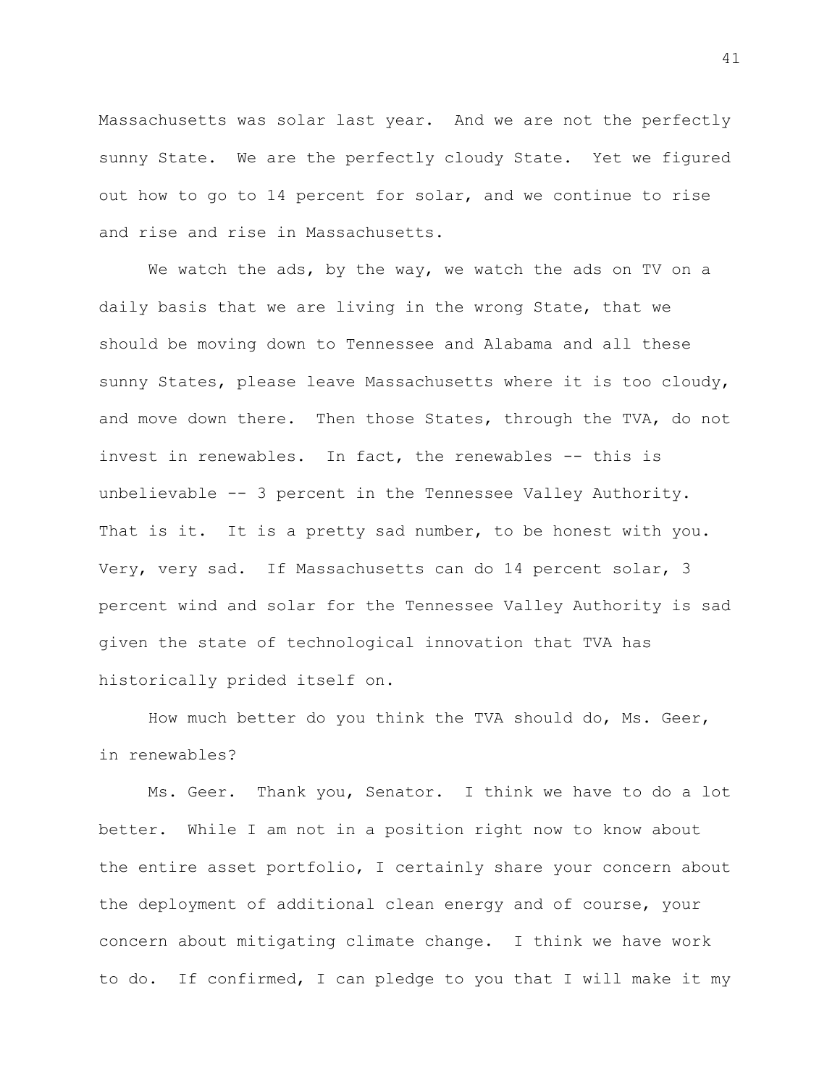Massachusetts was solar last year. And we are not the perfectly sunny State. We are the perfectly cloudy State. Yet we figured out how to go to 14 percent for solar, and we continue to rise and rise and rise in Massachusetts.

We watch the ads, by the way, we watch the ads on TV on a daily basis that we are living in the wrong State, that we should be moving down to Tennessee and Alabama and all these sunny States, please leave Massachusetts where it is too cloudy, and move down there. Then those States, through the TVA, do not invest in renewables. In fact, the renewables -- this is unbelievable -- 3 percent in the Tennessee Valley Authority. That is it. It is a pretty sad number, to be honest with you. Very, very sad. If Massachusetts can do 14 percent solar, 3 percent wind and solar for the Tennessee Valley Authority is sad given the state of technological innovation that TVA has historically prided itself on.

How much better do you think the TVA should do, Ms. Geer, in renewables?

Ms. Geer. Thank you, Senator. I think we have to do a lot better. While I am not in a position right now to know about the entire asset portfolio, I certainly share your concern about the deployment of additional clean energy and of course, your concern about mitigating climate change. I think we have work to do. If confirmed, I can pledge to you that I will make it my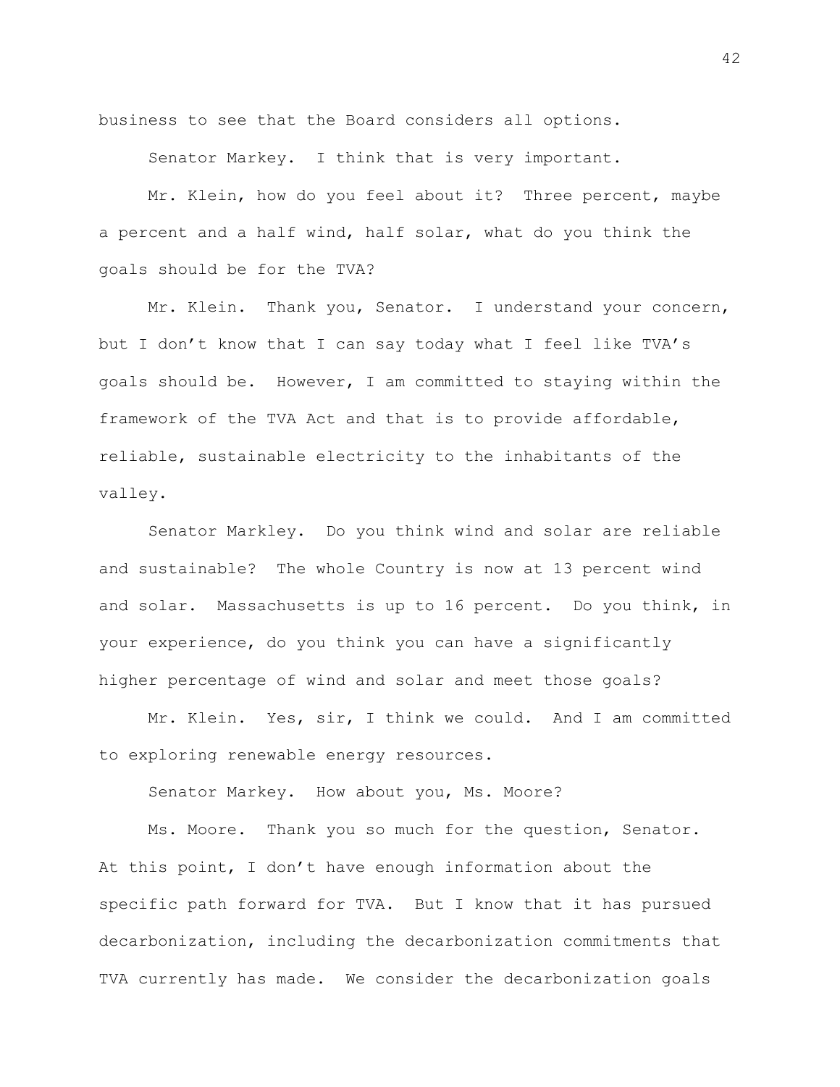business to see that the Board considers all options.

Senator Markey. I think that is very important.

Mr. Klein, how do you feel about it? Three percent, maybe a percent and a half wind, half solar, what do you think the goals should be for the TVA?

Mr. Klein. Thank you, Senator. I understand your concern, but I don't know that I can say today what I feel like TVA's goals should be. However, I am committed to staying within the framework of the TVA Act and that is to provide affordable, reliable, sustainable electricity to the inhabitants of the valley.

Senator Markley. Do you think wind and solar are reliable and sustainable? The whole Country is now at 13 percent wind and solar. Massachusetts is up to 16 percent. Do you think, in your experience, do you think you can have a significantly higher percentage of wind and solar and meet those goals?

Mr. Klein. Yes, sir, I think we could. And I am committed to exploring renewable energy resources.

Senator Markey. How about you, Ms. Moore?

Ms. Moore. Thank you so much for the question, Senator. At this point, I don't have enough information about the specific path forward for TVA. But I know that it has pursued decarbonization, including the decarbonization commitments that TVA currently has made. We consider the decarbonization goals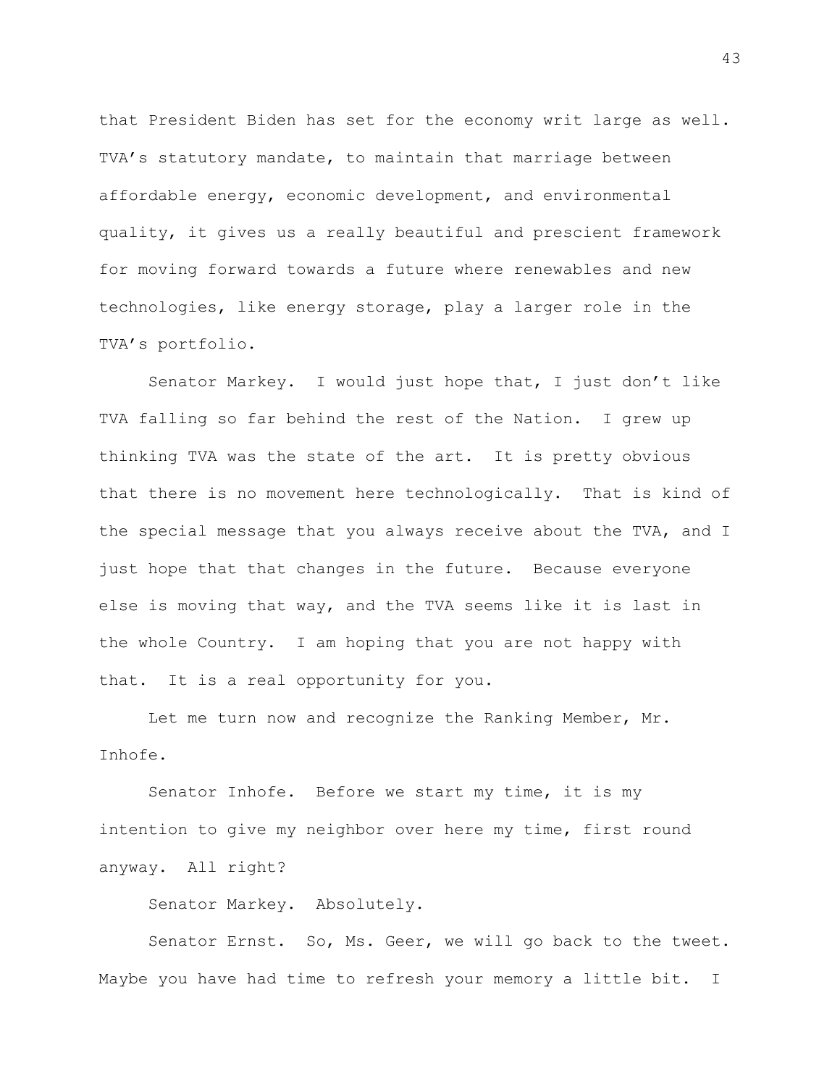that President Biden has set for the economy writ large as well. TVA's statutory mandate, to maintain that marriage between affordable energy, economic development, and environmental quality, it gives us a really beautiful and prescient framework for moving forward towards a future where renewables and new technologies, like energy storage, play a larger role in the TVA's portfolio.

Senator Markey. I would just hope that, I just don't like TVA falling so far behind the rest of the Nation. I grew up thinking TVA was the state of the art. It is pretty obvious that there is no movement here technologically. That is kind of the special message that you always receive about the TVA, and I just hope that that changes in the future. Because everyone else is moving that way, and the TVA seems like it is last in the whole Country. I am hoping that you are not happy with that. It is a real opportunity for you.

Let me turn now and recognize the Ranking Member, Mr. Inhofe.

Senator Inhofe. Before we start my time, it is my intention to give my neighbor over here my time, first round anyway. All right?

Senator Markey. Absolutely.

Senator Ernst. So, Ms. Geer, we will go back to the tweet. Maybe you have had time to refresh your memory a little bit. I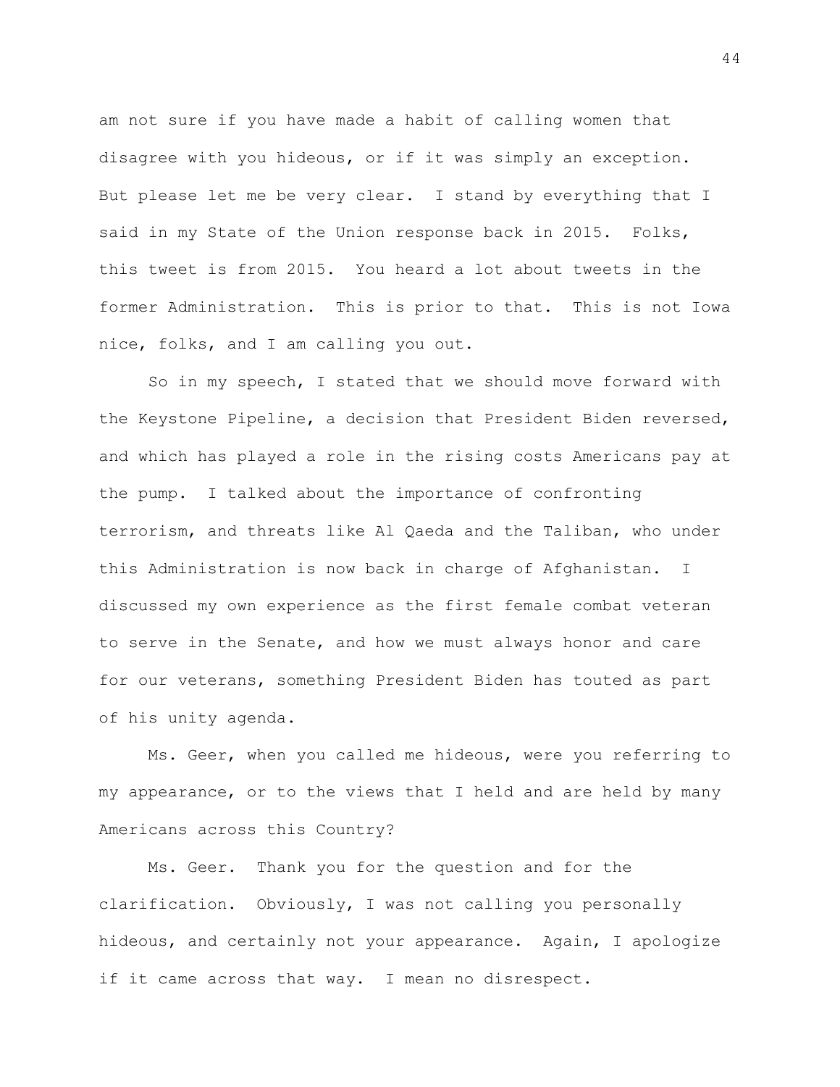am not sure if you have made a habit of calling women that disagree with you hideous, or if it was simply an exception. But please let me be very clear. I stand by everything that I said in my State of the Union response back in 2015. Folks, this tweet is from 2015. You heard a lot about tweets in the former Administration. This is prior to that. This is not Iowa nice, folks, and I am calling you out.

So in my speech, I stated that we should move forward with the Keystone Pipeline, a decision that President Biden reversed, and which has played a role in the rising costs Americans pay at the pump. I talked about the importance of confronting terrorism, and threats like Al Qaeda and the Taliban, who under this Administration is now back in charge of Afghanistan. I discussed my own experience as the first female combat veteran to serve in the Senate, and how we must always honor and care for our veterans, something President Biden has touted as part of his unity agenda.

Ms. Geer, when you called me hideous, were you referring to my appearance, or to the views that I held and are held by many Americans across this Country?

Ms. Geer. Thank you for the question and for the clarification. Obviously, I was not calling you personally hideous, and certainly not your appearance. Again, I apologize if it came across that way. I mean no disrespect.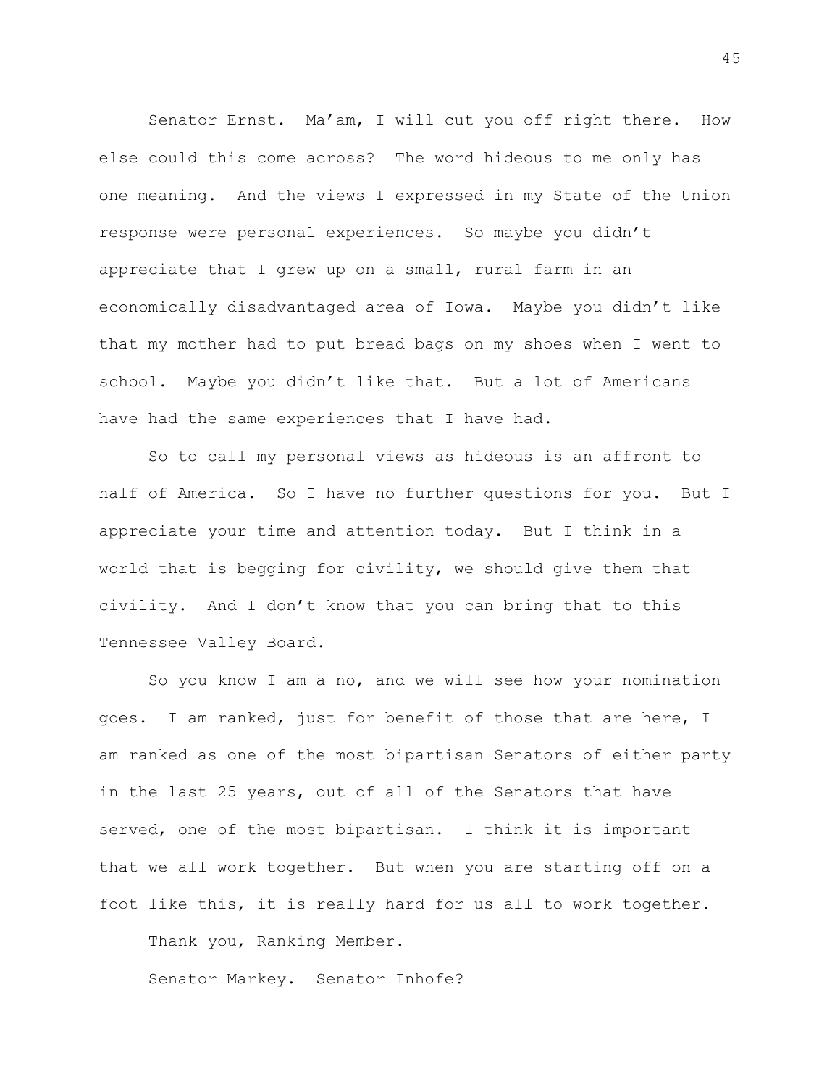Senator Ernst. Ma'am, I will cut you off right there. How else could this come across? The word hideous to me only has one meaning. And the views I expressed in my State of the Union response were personal experiences. So maybe you didn't appreciate that I grew up on a small, rural farm in an economically disadvantaged area of Iowa. Maybe you didn't like that my mother had to put bread bags on my shoes when I went to school. Maybe you didn't like that. But a lot of Americans have had the same experiences that I have had.

So to call my personal views as hideous is an affront to half of America. So I have no further questions for you. But I appreciate your time and attention today. But I think in a world that is begging for civility, we should give them that civility. And I don't know that you can bring that to this Tennessee Valley Board.

So you know I am a no, and we will see how your nomination goes. I am ranked, just for benefit of those that are here, I am ranked as one of the most bipartisan Senators of either party in the last 25 years, out of all of the Senators that have served, one of the most bipartisan. I think it is important that we all work together. But when you are starting off on a foot like this, it is really hard for us all to work together.

Thank you, Ranking Member.

Senator Markey. Senator Inhofe?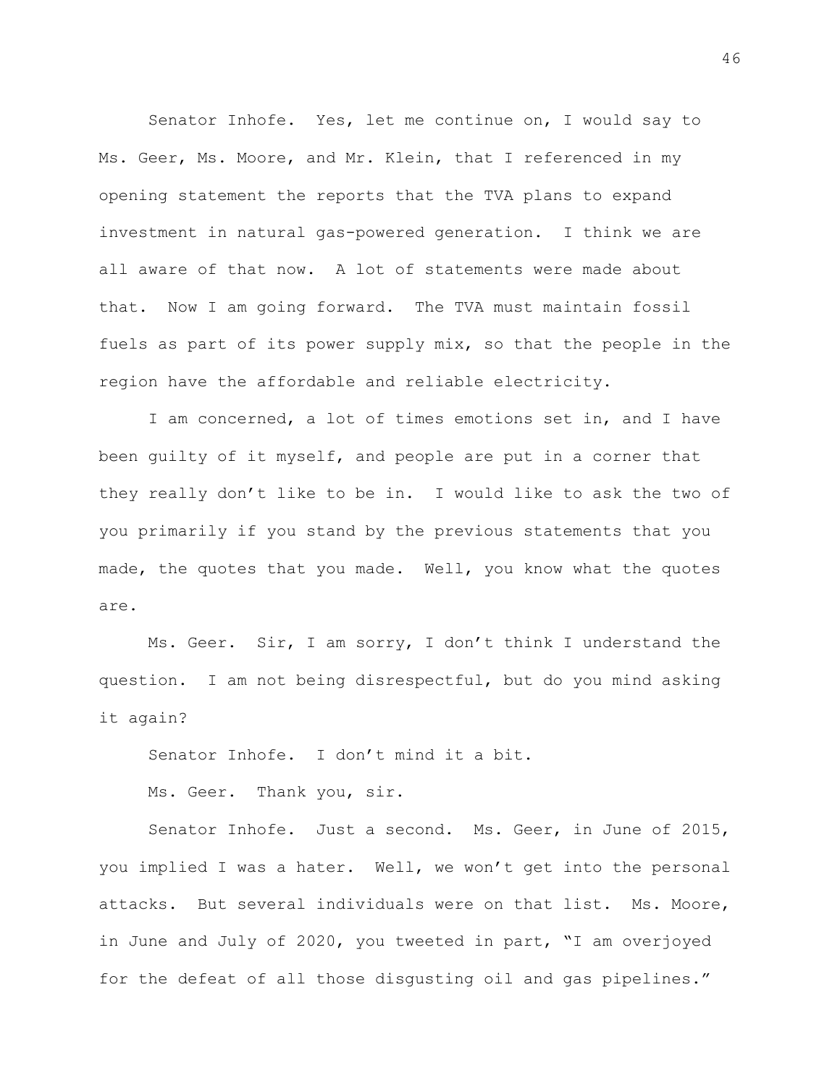Senator Inhofe. Yes, let me continue on, I would say to Ms. Geer, Ms. Moore, and Mr. Klein, that I referenced in my opening statement the reports that the TVA plans to expand investment in natural gas-powered generation. I think we are all aware of that now. A lot of statements were made about that. Now I am going forward. The TVA must maintain fossil fuels as part of its power supply mix, so that the people in the region have the affordable and reliable electricity.

I am concerned, a lot of times emotions set in, and I have been guilty of it myself, and people are put in a corner that they really don't like to be in. I would like to ask the two of you primarily if you stand by the previous statements that you made, the quotes that you made. Well, you know what the quotes are.

Ms. Geer. Sir, I am sorry, I don't think I understand the question. I am not being disrespectful, but do you mind asking it again?

Senator Inhofe. I don't mind it a bit.

Ms. Geer. Thank you, sir.

Senator Inhofe. Just a second. Ms. Geer, in June of 2015, you implied I was a hater. Well, we won't get into the personal attacks. But several individuals were on that list. Ms. Moore, in June and July of 2020, you tweeted in part, "I am overjoyed for the defeat of all those disgusting oil and gas pipelines."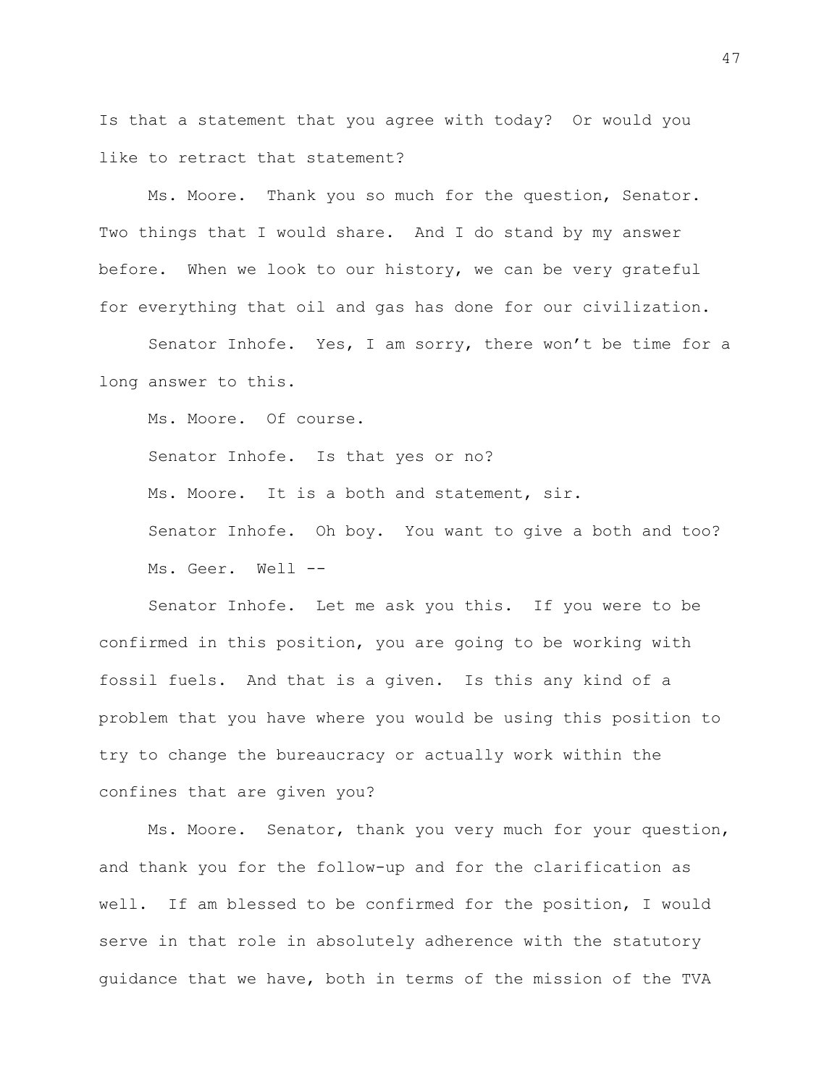Is that a statement that you agree with today? Or would you like to retract that statement?

Ms. Moore. Thank you so much for the question, Senator. Two things that I would share. And I do stand by my answer before. When we look to our history, we can be very grateful for everything that oil and gas has done for our civilization.

Senator Inhofe. Yes, I am sorry, there won't be time for a long answer to this.

Ms. Moore. Of course.

Senator Inhofe. Is that yes or no?

Ms. Moore. It is a both and statement, sir.

Senator Inhofe. Oh boy. You want to give a both and too? Ms. Geer. Well --

Senator Inhofe. Let me ask you this. If you were to be confirmed in this position, you are going to be working with fossil fuels. And that is a given. Is this any kind of a problem that you have where you would be using this position to try to change the bureaucracy or actually work within the confines that are given you?

Ms. Moore. Senator, thank you very much for your question, and thank you for the follow-up and for the clarification as well. If am blessed to be confirmed for the position, I would serve in that role in absolutely adherence with the statutory guidance that we have, both in terms of the mission of the TVA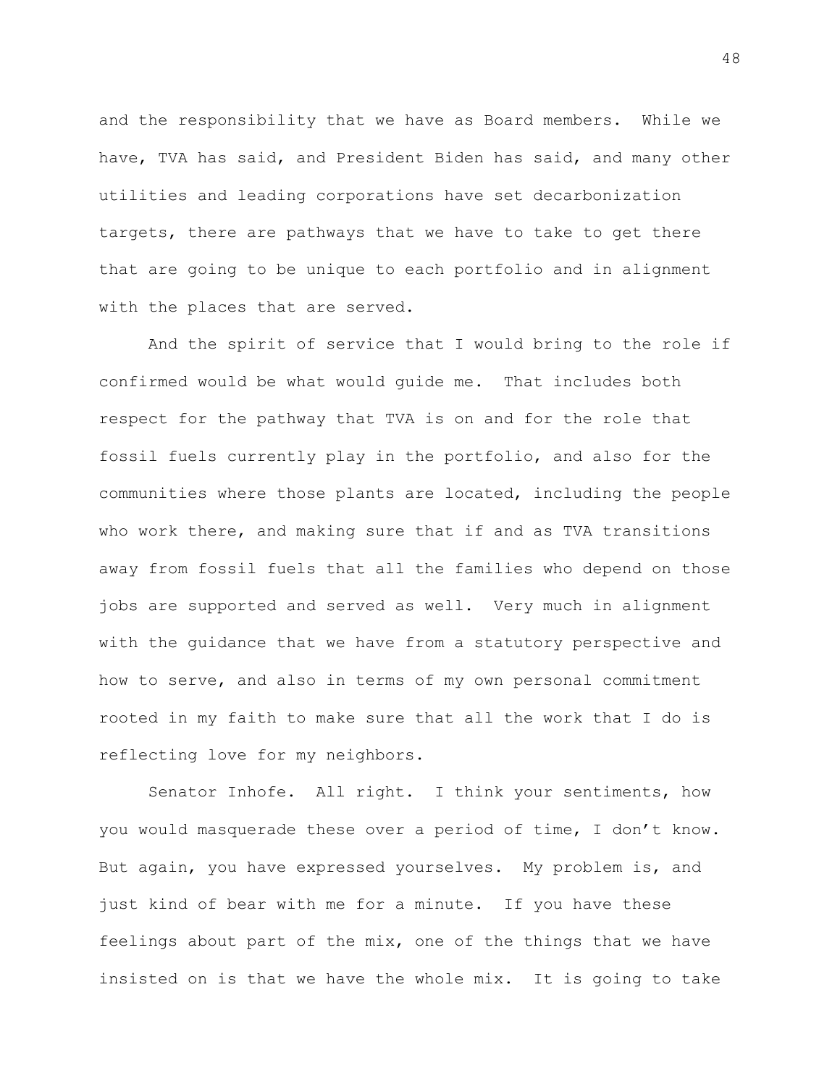and the responsibility that we have as Board members. While we have, TVA has said, and President Biden has said, and many other utilities and leading corporations have set decarbonization targets, there are pathways that we have to take to get there that are going to be unique to each portfolio and in alignment with the places that are served.

And the spirit of service that I would bring to the role if confirmed would be what would guide me. That includes both respect for the pathway that TVA is on and for the role that fossil fuels currently play in the portfolio, and also for the communities where those plants are located, including the people who work there, and making sure that if and as TVA transitions away from fossil fuels that all the families who depend on those jobs are supported and served as well. Very much in alignment with the guidance that we have from a statutory perspective and how to serve, and also in terms of my own personal commitment rooted in my faith to make sure that all the work that I do is reflecting love for my neighbors.

Senator Inhofe. All right. I think your sentiments, how you would masquerade these over a period of time, I don't know. But again, you have expressed yourselves. My problem is, and just kind of bear with me for a minute. If you have these feelings about part of the mix, one of the things that we have insisted on is that we have the whole mix. It is going to take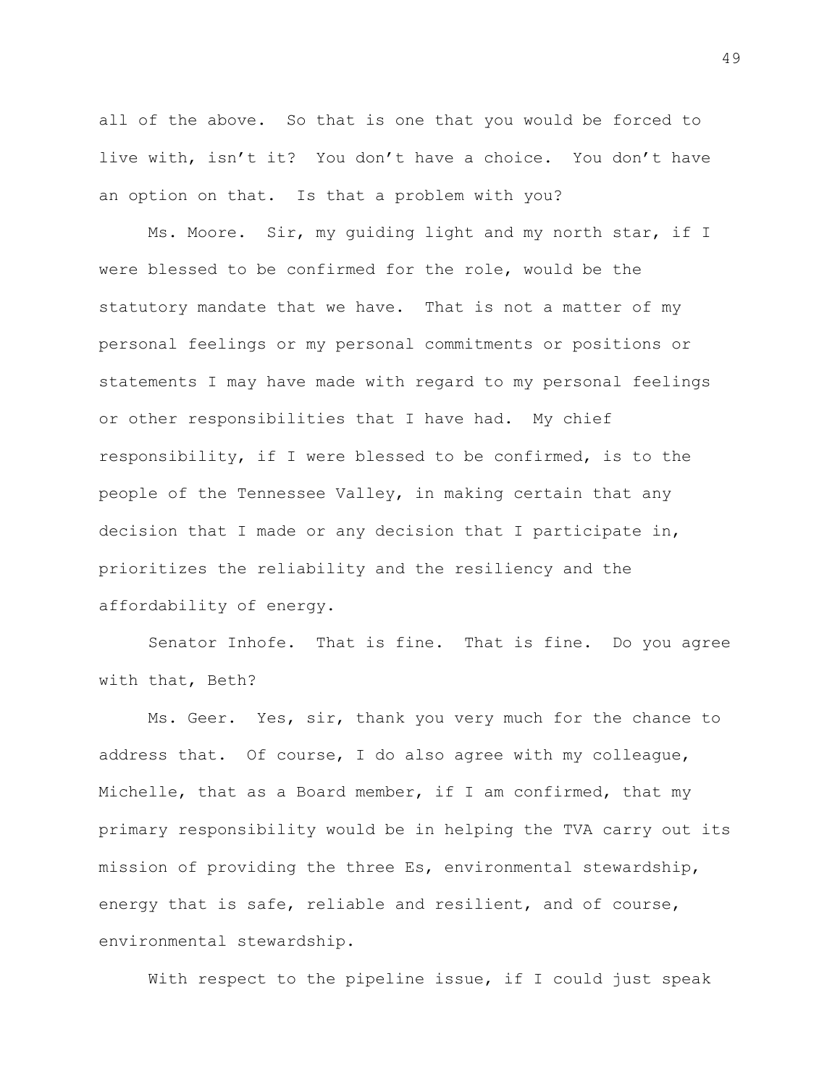all of the above. So that is one that you would be forced to live with, isn't it? You don't have a choice. You don't have an option on that. Is that a problem with you?

Ms. Moore. Sir, my guiding light and my north star, if I were blessed to be confirmed for the role, would be the statutory mandate that we have. That is not a matter of my personal feelings or my personal commitments or positions or statements I may have made with regard to my personal feelings or other responsibilities that I have had. My chief responsibility, if I were blessed to be confirmed, is to the people of the Tennessee Valley, in making certain that any decision that I made or any decision that I participate in, prioritizes the reliability and the resiliency and the affordability of energy.

Senator Inhofe. That is fine. That is fine. Do you agree with that, Beth?

Ms. Geer. Yes, sir, thank you very much for the chance to address that. Of course, I do also agree with my colleague, Michelle, that as a Board member, if I am confirmed, that my primary responsibility would be in helping the TVA carry out its mission of providing the three Es, environmental stewardship, energy that is safe, reliable and resilient, and of course, environmental stewardship.

With respect to the pipeline issue, if I could just speak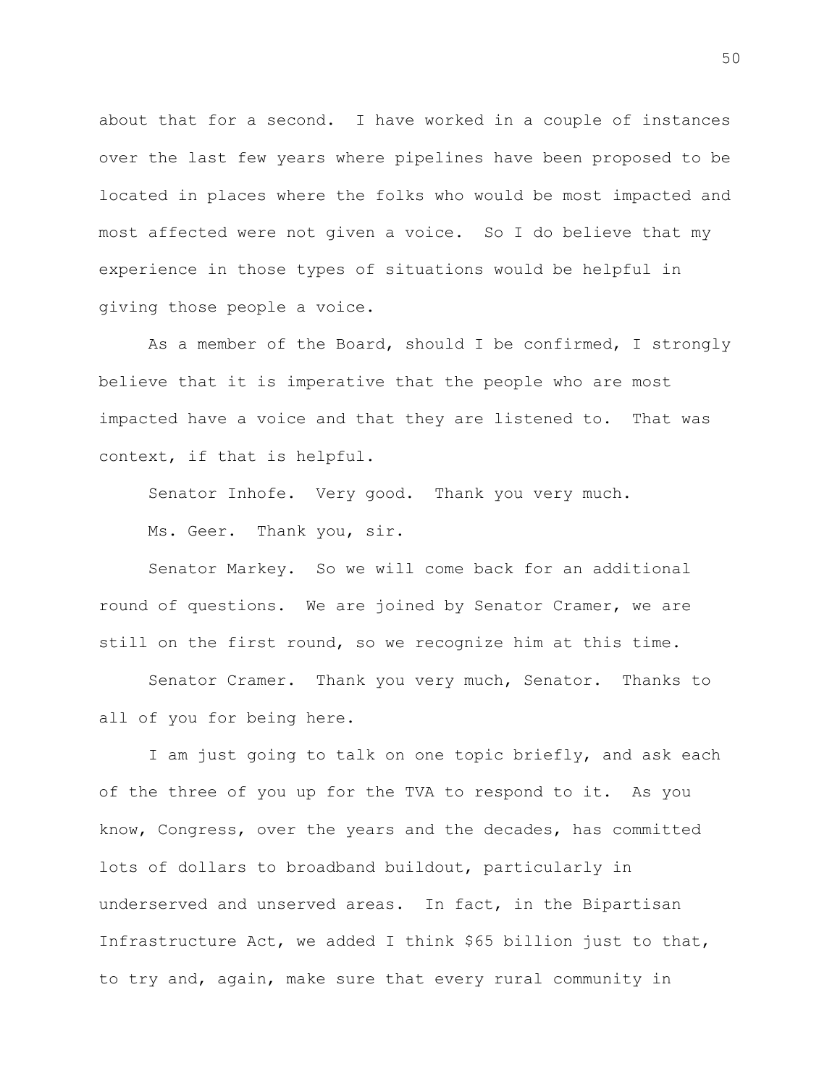about that for a second. I have worked in a couple of instances over the last few years where pipelines have been proposed to be located in places where the folks who would be most impacted and most affected were not given a voice. So I do believe that my experience in those types of situations would be helpful in giving those people a voice.

As a member of the Board, should I be confirmed, I strongly believe that it is imperative that the people who are most impacted have a voice and that they are listened to. That was context, if that is helpful.

Senator Inhofe. Very good. Thank you very much.

Ms. Geer. Thank you, sir.

Senator Markey. So we will come back for an additional round of questions. We are joined by Senator Cramer, we are still on the first round, so we recognize him at this time.

Senator Cramer. Thank you very much, Senator. Thanks to all of you for being here.

I am just going to talk on one topic briefly, and ask each of the three of you up for the TVA to respond to it. As you know, Congress, over the years and the decades, has committed lots of dollars to broadband buildout, particularly in underserved and unserved areas. In fact, in the Bipartisan Infrastructure Act, we added I think \$65 billion just to that, to try and, again, make sure that every rural community in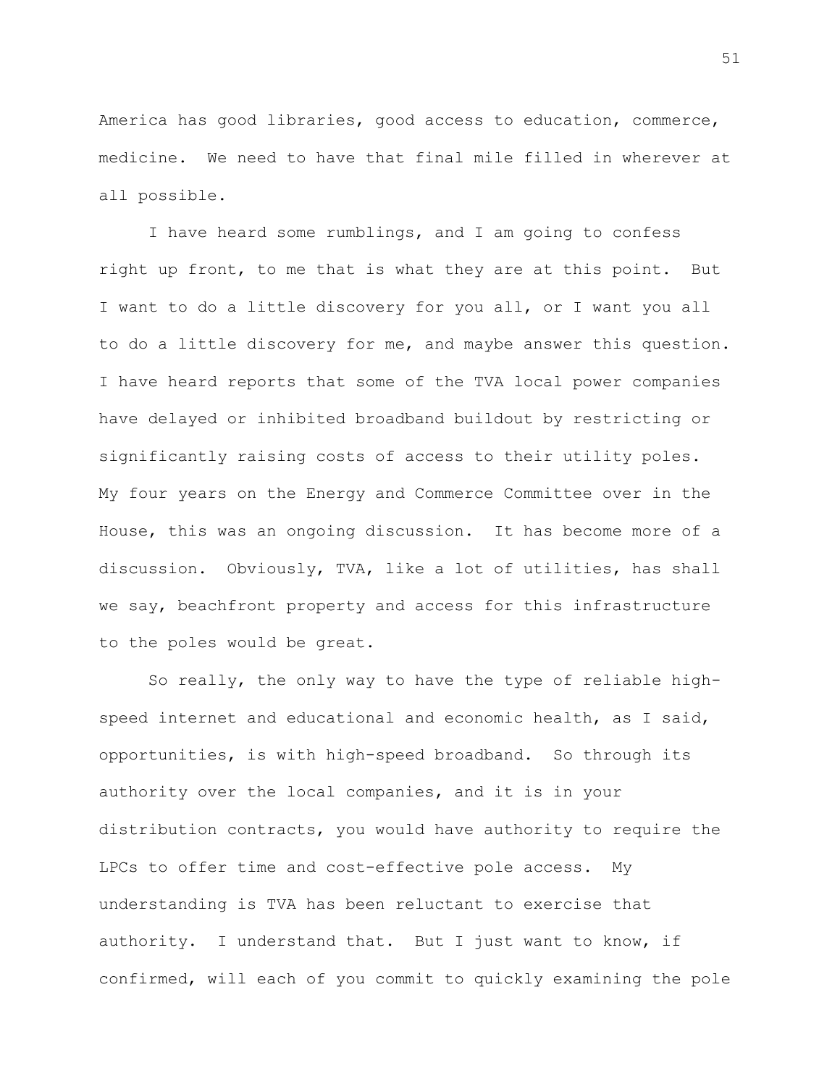America has good libraries, good access to education, commerce, medicine. We need to have that final mile filled in wherever at all possible.

I have heard some rumblings, and I am going to confess right up front, to me that is what they are at this point. But I want to do a little discovery for you all, or I want you all to do a little discovery for me, and maybe answer this question. I have heard reports that some of the TVA local power companies have delayed or inhibited broadband buildout by restricting or significantly raising costs of access to their utility poles. My four years on the Energy and Commerce Committee over in the House, this was an ongoing discussion. It has become more of a discussion. Obviously, TVA, like a lot of utilities, has shall we say, beachfront property and access for this infrastructure to the poles would be great.

So really, the only way to have the type of reliable highspeed internet and educational and economic health, as I said, opportunities, is with high-speed broadband. So through its authority over the local companies, and it is in your distribution contracts, you would have authority to require the LPCs to offer time and cost-effective pole access. My understanding is TVA has been reluctant to exercise that authority. I understand that. But I just want to know, if confirmed, will each of you commit to quickly examining the pole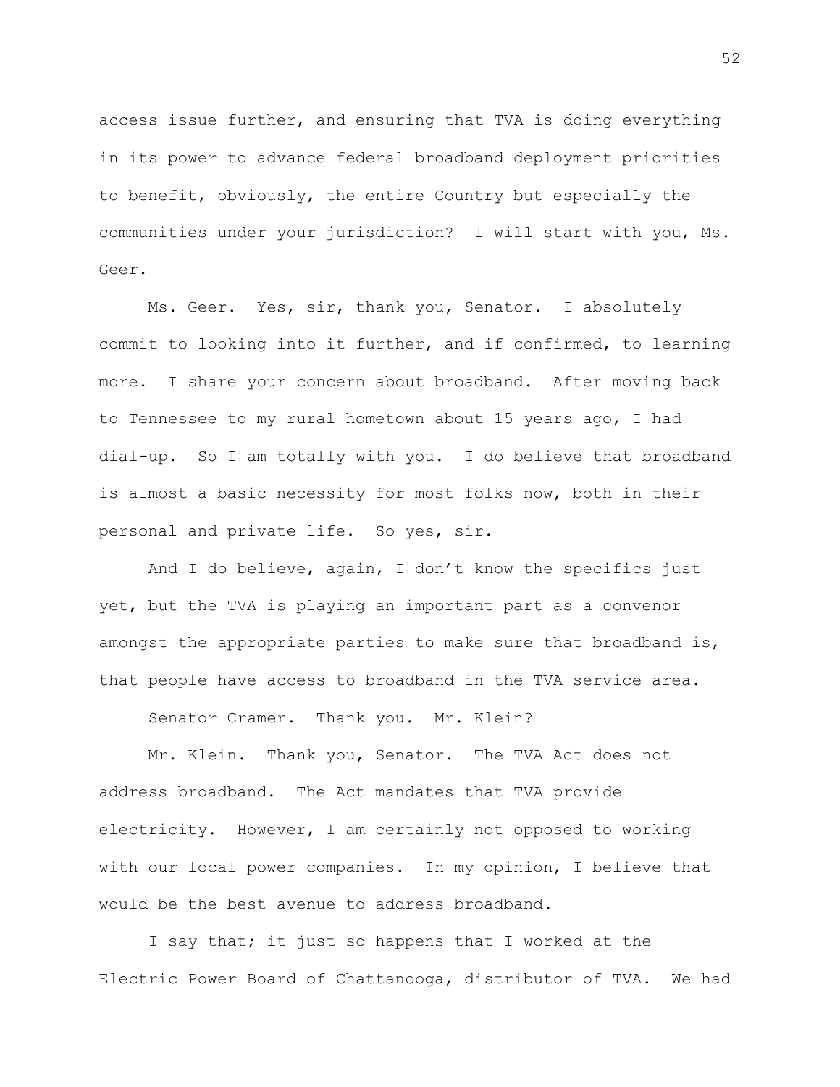access issue further, and ensuring that TVA is doing everything in its power to advance federal broadband deployment priorities to benefit, obviously, the entire Country but especially the communities under your jurisdiction? I will start with you, Ms. Geer.

Ms. Geer. Yes, sir, thank you, Senator. I absolutely commit to looking into it further, and if confirmed, to learning more. I share your concern about broadband. After moving back to Tennessee to my rural hometown about 15 years ago, I had dial-up. So I am totally with you. I do believe that broadband is almost a basic necessity for most folks now, both in their personal and private life. So yes, sir.

And I do believe, again, I don't know the specifics just yet, but the TVA is playing an important part as a convenor amongst the appropriate parties to make sure that broadband is, that people have access to broadband in the TVA service area.

Senator Cramer. Thank you. Mr. Klein?

Mr. Klein. Thank you, Senator. The TVA Act does not address broadband. The Act mandates that TVA provide electricity. However, I am certainly not opposed to working with our local power companies. In my opinion, I believe that would be the best avenue to address broadband.

I say that; it just so happens that I worked at the Electric Power Board of Chattanooga, distributor of TVA. We had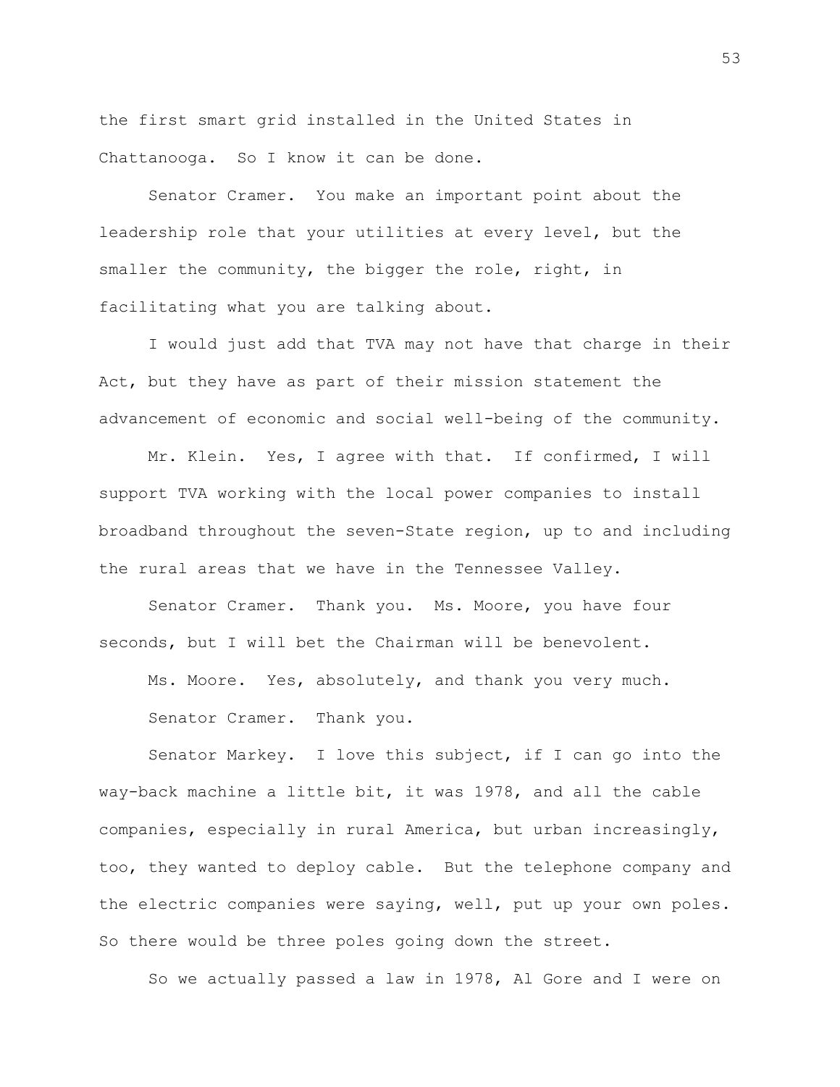the first smart grid installed in the United States in Chattanooga. So I know it can be done.

Senator Cramer. You make an important point about the leadership role that your utilities at every level, but the smaller the community, the bigger the role, right, in facilitating what you are talking about.

I would just add that TVA may not have that charge in their Act, but they have as part of their mission statement the advancement of economic and social well-being of the community.

Mr. Klein. Yes, I agree with that. If confirmed, I will support TVA working with the local power companies to install broadband throughout the seven-State region, up to and including the rural areas that we have in the Tennessee Valley.

Senator Cramer. Thank you. Ms. Moore, you have four seconds, but I will bet the Chairman will be benevolent.

Ms. Moore. Yes, absolutely, and thank you very much.

Senator Cramer. Thank you.

Senator Markey. I love this subject, if I can go into the way-back machine a little bit, it was 1978, and all the cable companies, especially in rural America, but urban increasingly, too, they wanted to deploy cable. But the telephone company and the electric companies were saying, well, put up your own poles. So there would be three poles going down the street.

So we actually passed a law in 1978, Al Gore and I were on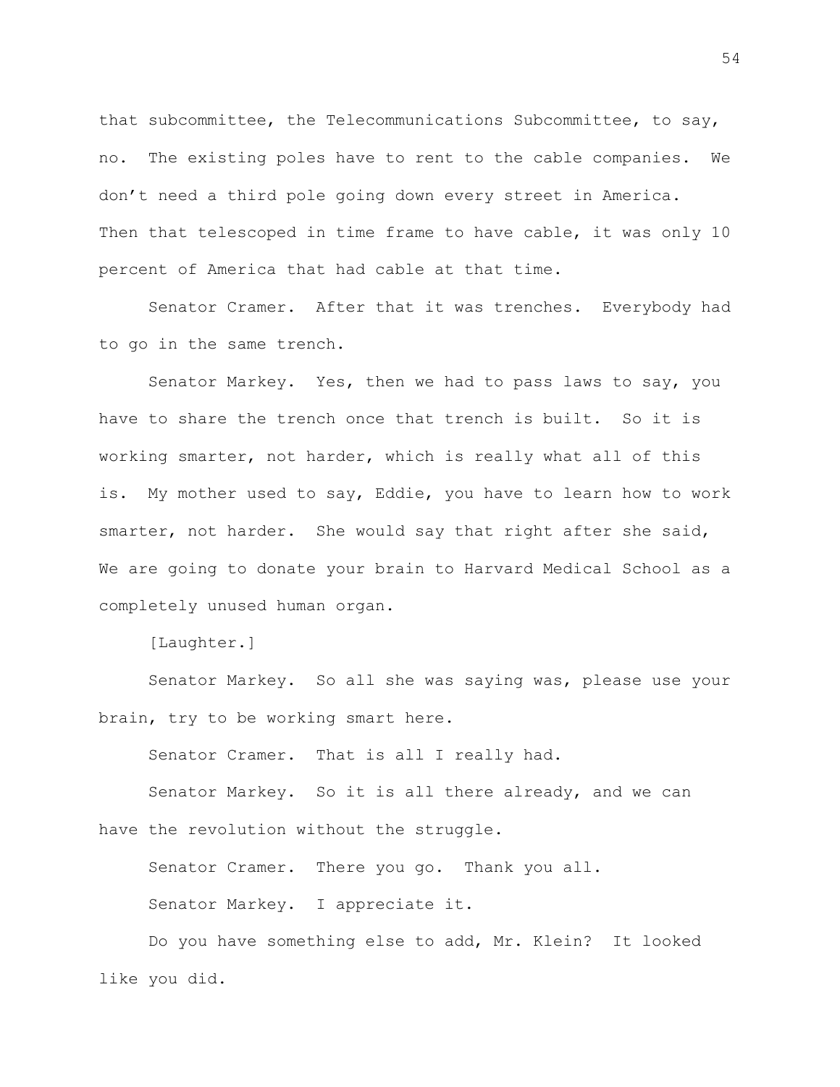that subcommittee, the Telecommunications Subcommittee, to say, no. The existing poles have to rent to the cable companies. We don't need a third pole going down every street in America. Then that telescoped in time frame to have cable, it was only 10 percent of America that had cable at that time.

Senator Cramer. After that it was trenches. Everybody had to go in the same trench.

Senator Markey. Yes, then we had to pass laws to say, you have to share the trench once that trench is built. So it is working smarter, not harder, which is really what all of this is. My mother used to say, Eddie, you have to learn how to work smarter, not harder. She would say that right after she said, We are going to donate your brain to Harvard Medical School as a completely unused human organ.

[Laughter.]

Senator Markey. So all she was saying was, please use your brain, try to be working smart here.

Senator Cramer. That is all I really had.

Senator Markey. So it is all there already, and we can have the revolution without the struggle.

Senator Cramer. There you go. Thank you all. Senator Markey. I appreciate it.

Do you have something else to add, Mr. Klein? It looked like you did.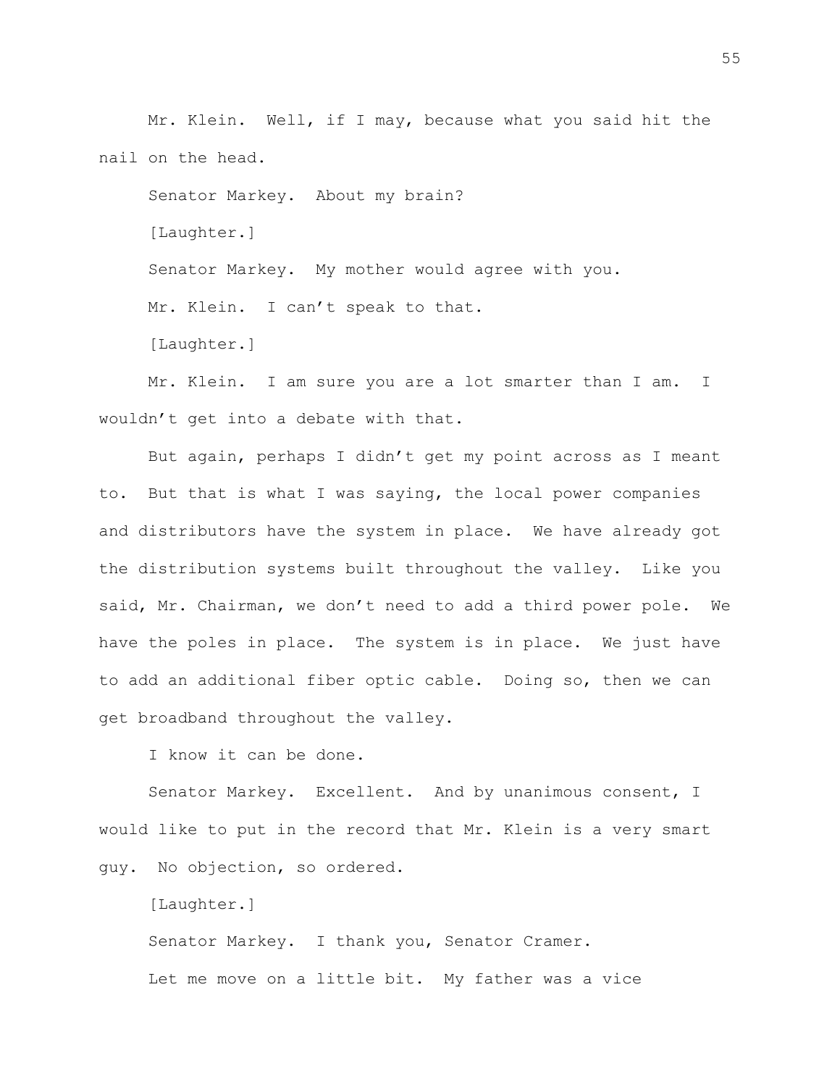Mr. Klein. Well, if I may, because what you said hit the nail on the head.

Senator Markey. About my brain? [Laughter.] Senator Markey. My mother would agree with you. Mr. Klein. I can't speak to that. [Laughter.]

Mr. Klein. I am sure you are a lot smarter than I am. I wouldn't get into a debate with that.

But again, perhaps I didn't get my point across as I meant to. But that is what I was saying, the local power companies and distributors have the system in place. We have already got the distribution systems built throughout the valley. Like you said, Mr. Chairman, we don't need to add a third power pole. We have the poles in place. The system is in place. We just have to add an additional fiber optic cable. Doing so, then we can get broadband throughout the valley.

I know it can be done.

Senator Markey. Excellent. And by unanimous consent, I would like to put in the record that Mr. Klein is a very smart guy. No objection, so ordered.

[Laughter.]

Senator Markey. I thank you, Senator Cramer. Let me move on a little bit. My father was a vice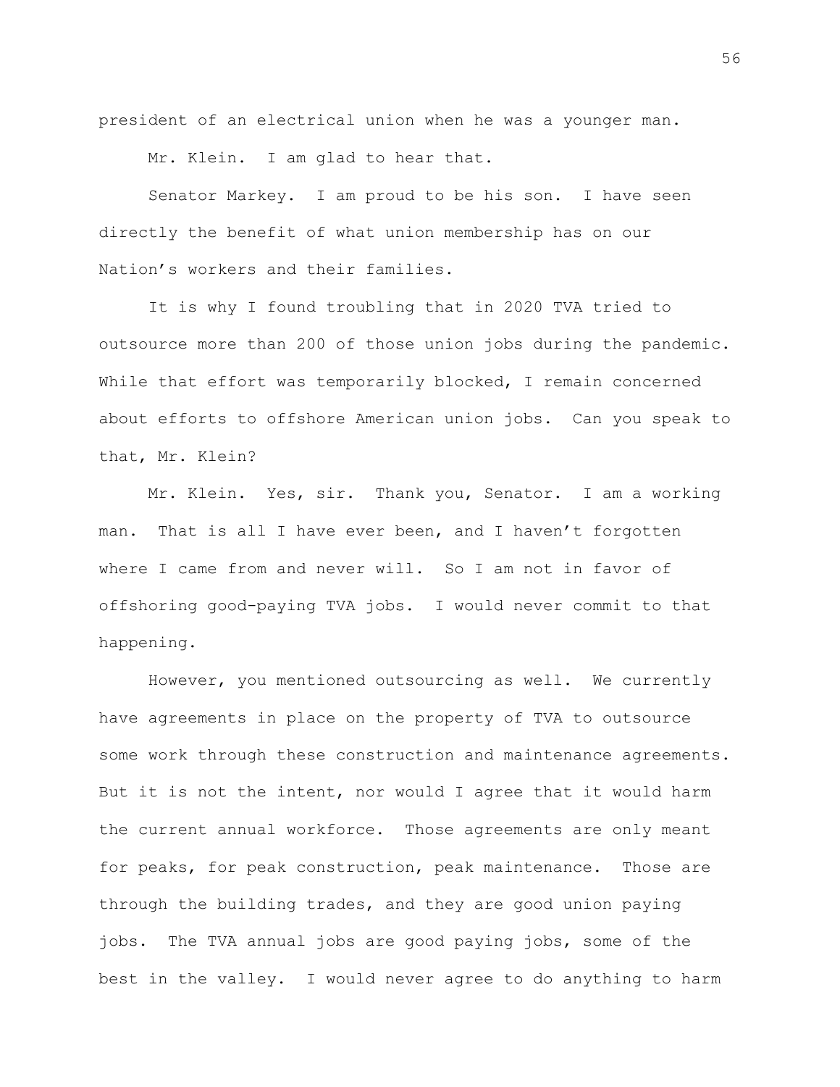president of an electrical union when he was a younger man.

Mr. Klein. I am glad to hear that.

Senator Markey. I am proud to be his son. I have seen directly the benefit of what union membership has on our Nation's workers and their families.

It is why I found troubling that in 2020 TVA tried to outsource more than 200 of those union jobs during the pandemic. While that effort was temporarily blocked, I remain concerned about efforts to offshore American union jobs. Can you speak to that, Mr. Klein?

Mr. Klein. Yes, sir. Thank you, Senator. I am a working man. That is all I have ever been, and I haven't forgotten where I came from and never will. So I am not in favor of offshoring good-paying TVA jobs. I would never commit to that happening.

However, you mentioned outsourcing as well. We currently have agreements in place on the property of TVA to outsource some work through these construction and maintenance agreements. But it is not the intent, nor would I agree that it would harm the current annual workforce. Those agreements are only meant for peaks, for peak construction, peak maintenance. Those are through the building trades, and they are good union paying jobs. The TVA annual jobs are good paying jobs, some of the best in the valley. I would never agree to do anything to harm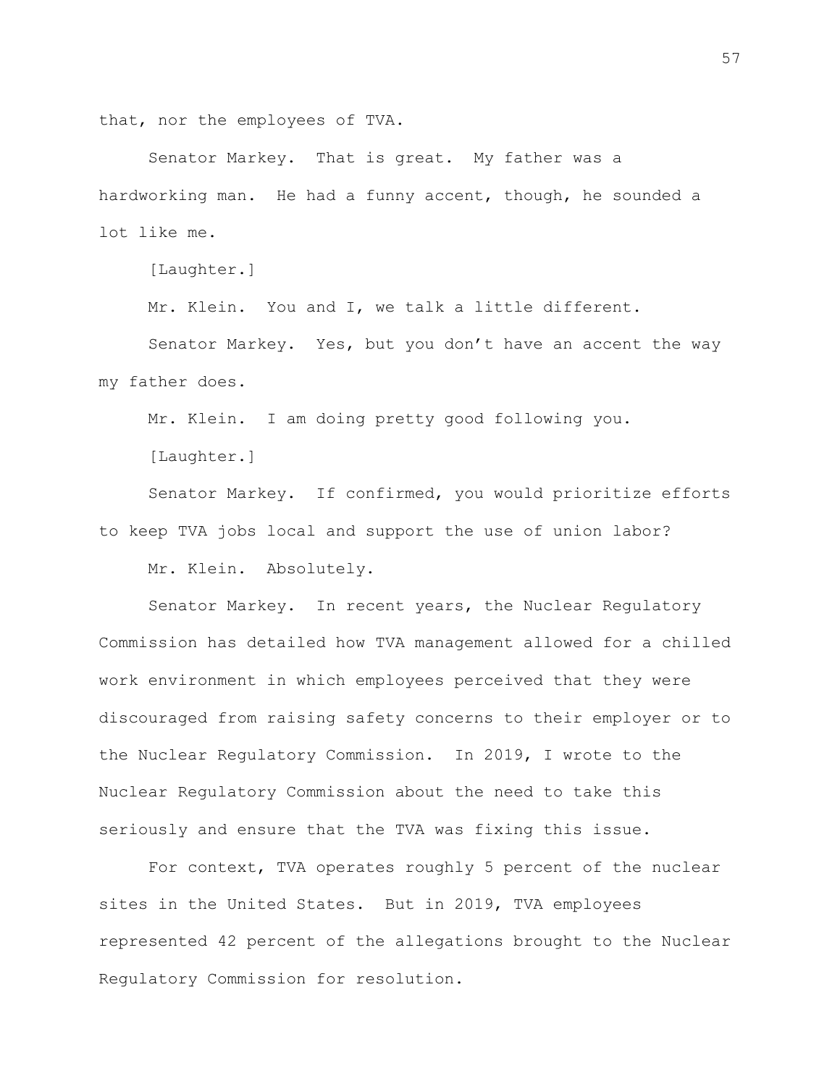that, nor the employees of TVA.

Senator Markey. That is great. My father was a hardworking man. He had a funny accent, though, he sounded a lot like me.

[Laughter.]

Mr. Klein. You and I, we talk a little different.

Senator Markey. Yes, but you don't have an accent the way my father does.

Mr. Klein. I am doing pretty good following you.

[Laughter.]

Senator Markey. If confirmed, you would prioritize efforts to keep TVA jobs local and support the use of union labor? Mr. Klein. Absolutely.

Senator Markey. In recent years, the Nuclear Regulatory Commission has detailed how TVA management allowed for a chilled work environment in which employees perceived that they were discouraged from raising safety concerns to their employer or to the Nuclear Regulatory Commission. In 2019, I wrote to the Nuclear Regulatory Commission about the need to take this seriously and ensure that the TVA was fixing this issue.

For context, TVA operates roughly 5 percent of the nuclear sites in the United States. But in 2019, TVA employees represented 42 percent of the allegations brought to the Nuclear Regulatory Commission for resolution.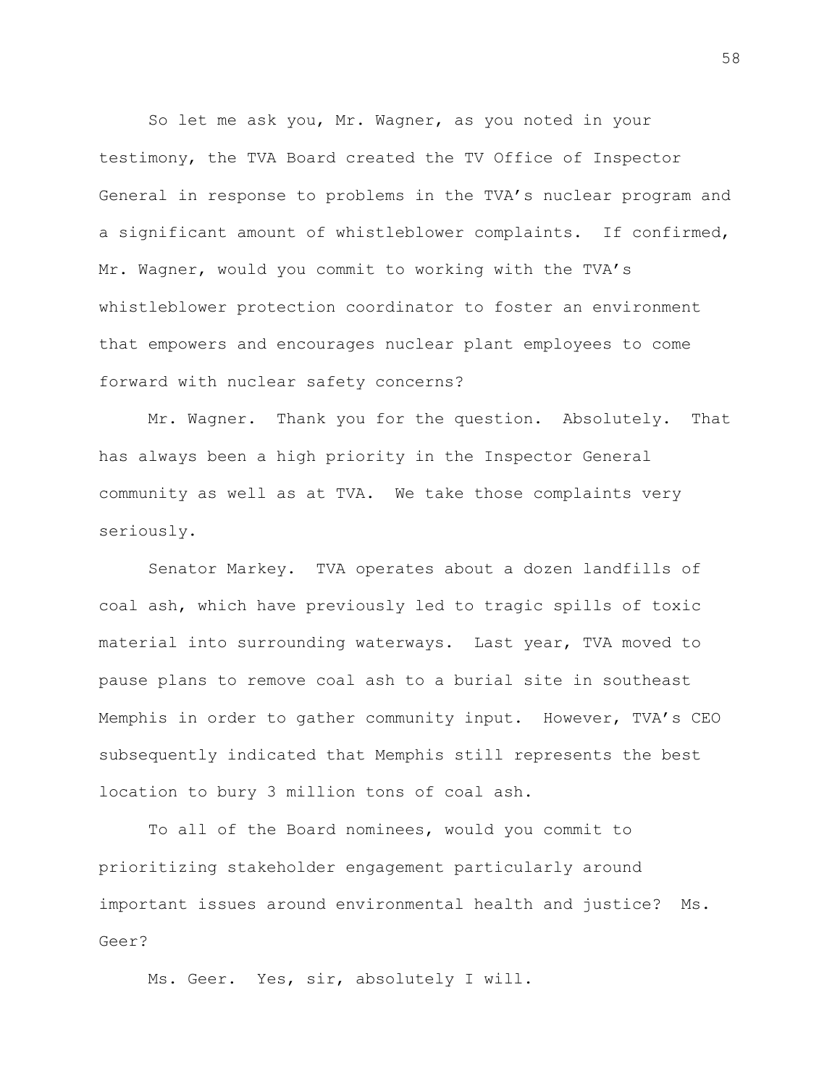So let me ask you, Mr. Wagner, as you noted in your testimony, the TVA Board created the TV Office of Inspector General in response to problems in the TVA's nuclear program and a significant amount of whistleblower complaints. If confirmed, Mr. Wagner, would you commit to working with the TVA's whistleblower protection coordinator to foster an environment that empowers and encourages nuclear plant employees to come forward with nuclear safety concerns?

Mr. Wagner. Thank you for the question. Absolutely. That has always been a high priority in the Inspector General community as well as at TVA. We take those complaints very seriously.

Senator Markey. TVA operates about a dozen landfills of coal ash, which have previously led to tragic spills of toxic material into surrounding waterways. Last year, TVA moved to pause plans to remove coal ash to a burial site in southeast Memphis in order to gather community input. However, TVA's CEO subsequently indicated that Memphis still represents the best location to bury 3 million tons of coal ash.

To all of the Board nominees, would you commit to prioritizing stakeholder engagement particularly around important issues around environmental health and justice? Ms. Geer?

Ms. Geer. Yes, sir, absolutely I will.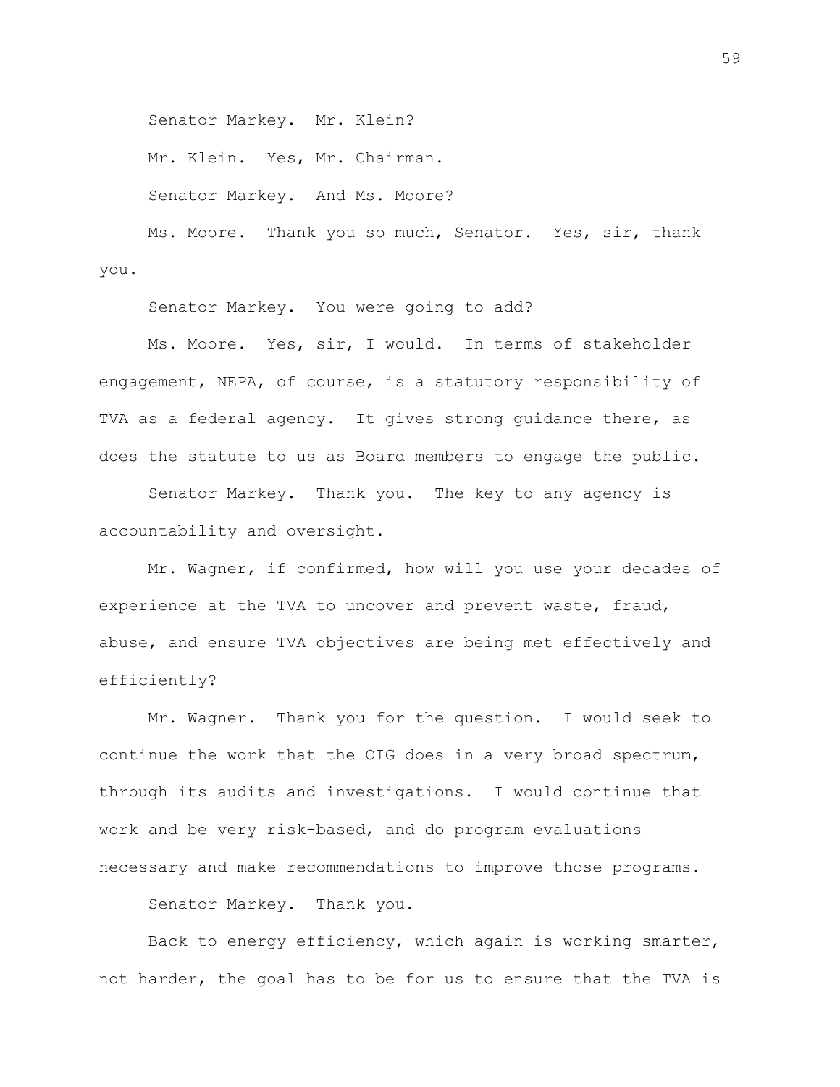Senator Markey. Mr. Klein?

Mr. Klein. Yes, Mr. Chairman.

Senator Markey. And Ms. Moore?

Ms. Moore. Thank you so much, Senator. Yes, sir, thank you.

Senator Markey. You were going to add?

Ms. Moore. Yes, sir, I would. In terms of stakeholder engagement, NEPA, of course, is a statutory responsibility of TVA as a federal agency. It gives strong guidance there, as does the statute to us as Board members to engage the public.

Senator Markey. Thank you. The key to any agency is accountability and oversight.

Mr. Wagner, if confirmed, how will you use your decades of experience at the TVA to uncover and prevent waste, fraud, abuse, and ensure TVA objectives are being met effectively and efficiently?

Mr. Wagner. Thank you for the question. I would seek to continue the work that the OIG does in a very broad spectrum, through its audits and investigations. I would continue that work and be very risk-based, and do program evaluations necessary and make recommendations to improve those programs.

Senator Markey. Thank you.

Back to energy efficiency, which again is working smarter, not harder, the goal has to be for us to ensure that the TVA is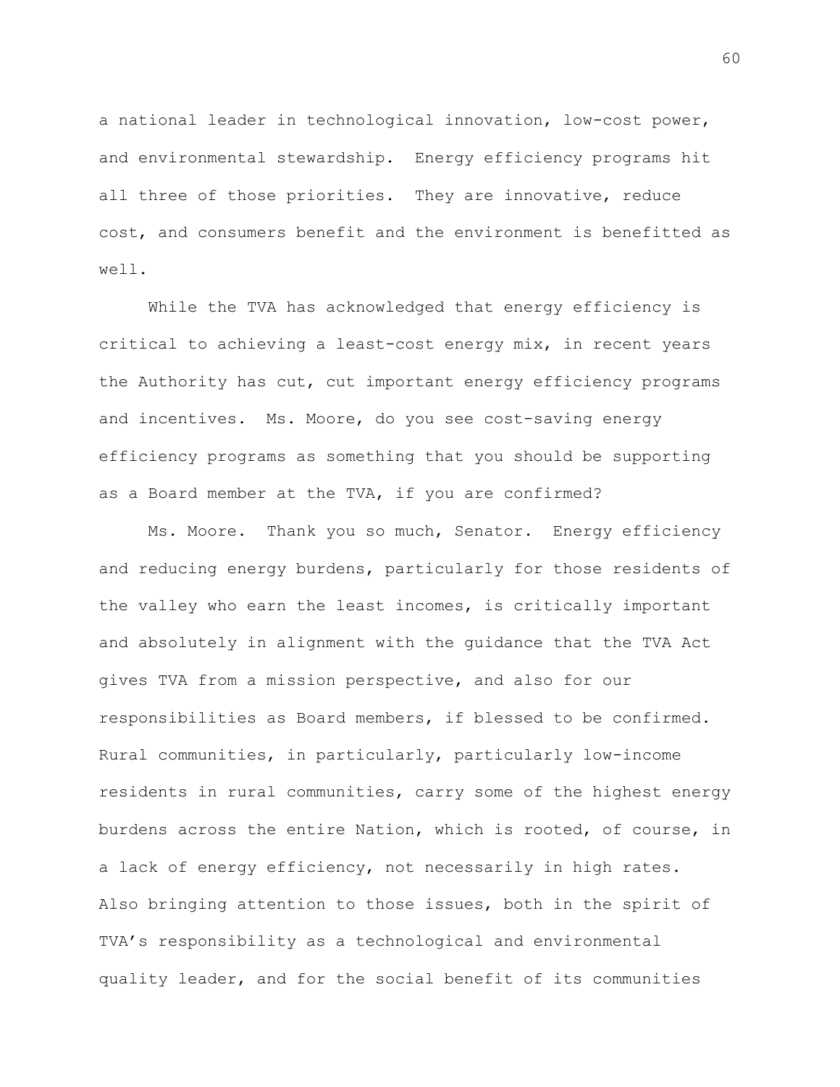a national leader in technological innovation, low-cost power, and environmental stewardship. Energy efficiency programs hit all three of those priorities. They are innovative, reduce cost, and consumers benefit and the environment is benefitted as well.

While the TVA has acknowledged that energy efficiency is critical to achieving a least-cost energy mix, in recent years the Authority has cut, cut important energy efficiency programs and incentives. Ms. Moore, do you see cost-saving energy efficiency programs as something that you should be supporting as a Board member at the TVA, if you are confirmed?

Ms. Moore. Thank you so much, Senator. Energy efficiency and reducing energy burdens, particularly for those residents of the valley who earn the least incomes, is critically important and absolutely in alignment with the guidance that the TVA Act gives TVA from a mission perspective, and also for our responsibilities as Board members, if blessed to be confirmed. Rural communities, in particularly, particularly low-income residents in rural communities, carry some of the highest energy burdens across the entire Nation, which is rooted, of course, in a lack of energy efficiency, not necessarily in high rates. Also bringing attention to those issues, both in the spirit of TVA's responsibility as a technological and environmental quality leader, and for the social benefit of its communities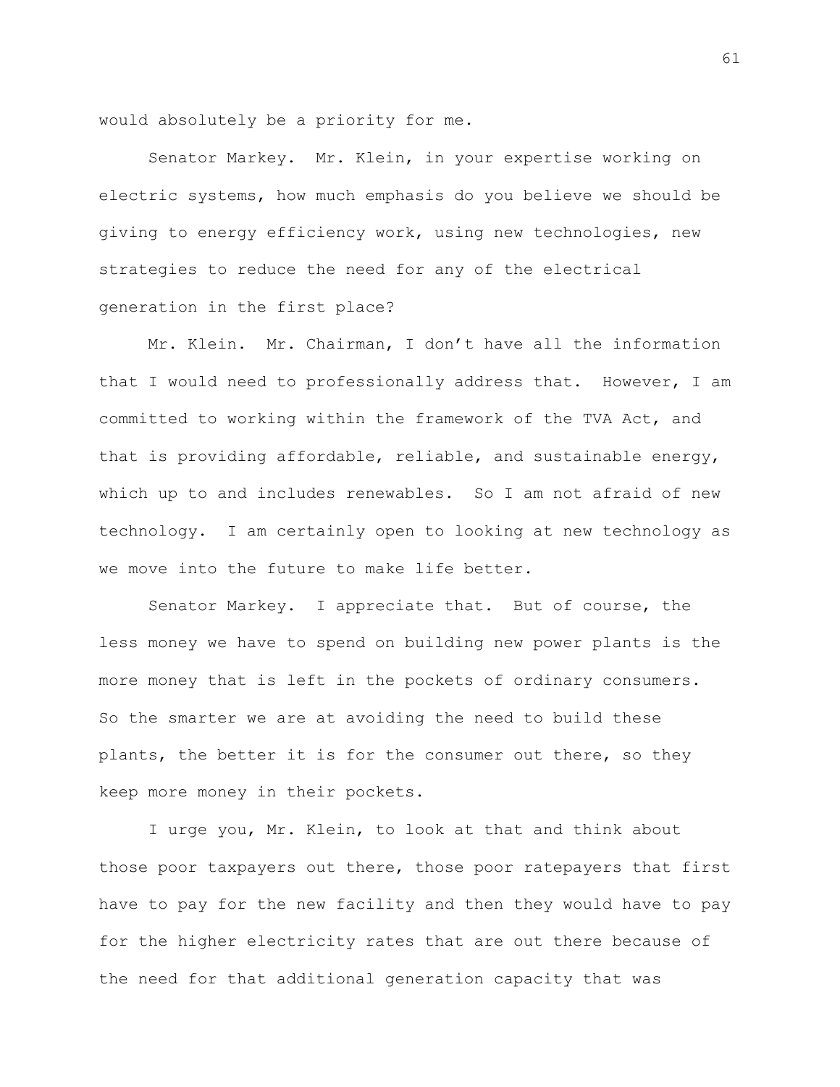would absolutely be a priority for me.

Senator Markey. Mr. Klein, in your expertise working on electric systems, how much emphasis do you believe we should be giving to energy efficiency work, using new technologies, new strategies to reduce the need for any of the electrical generation in the first place?

Mr. Klein. Mr. Chairman, I don't have all the information that I would need to professionally address that. However, I am committed to working within the framework of the TVA Act, and that is providing affordable, reliable, and sustainable energy, which up to and includes renewables. So I am not afraid of new technology. I am certainly open to looking at new technology as we move into the future to make life better.

Senator Markey. I appreciate that. But of course, the less money we have to spend on building new power plants is the more money that is left in the pockets of ordinary consumers. So the smarter we are at avoiding the need to build these plants, the better it is for the consumer out there, so they keep more money in their pockets.

I urge you, Mr. Klein, to look at that and think about those poor taxpayers out there, those poor ratepayers that first have to pay for the new facility and then they would have to pay for the higher electricity rates that are out there because of the need for that additional generation capacity that was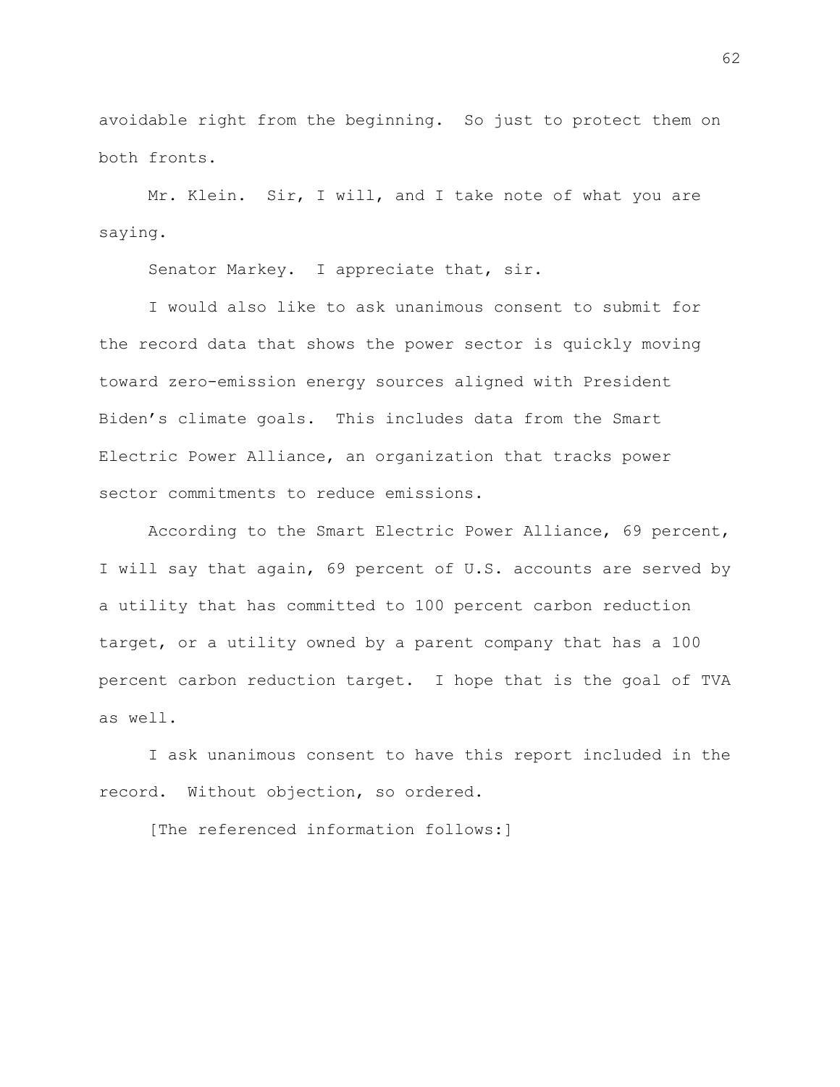avoidable right from the beginning. So just to protect them on both fronts.

Mr. Klein. Sir, I will, and I take note of what you are saying.

Senator Markey. I appreciate that, sir.

I would also like to ask unanimous consent to submit for the record data that shows the power sector is quickly moving toward zero-emission energy sources aligned with President Biden's climate goals. This includes data from the Smart Electric Power Alliance, an organization that tracks power sector commitments to reduce emissions.

According to the Smart Electric Power Alliance, 69 percent, I will say that again, 69 percent of U.S. accounts are served by a utility that has committed to 100 percent carbon reduction target, or a utility owned by a parent company that has a 100 percent carbon reduction target. I hope that is the goal of TVA as well.

I ask unanimous consent to have this report included in the record. Without objection, so ordered.

[The referenced information follows:]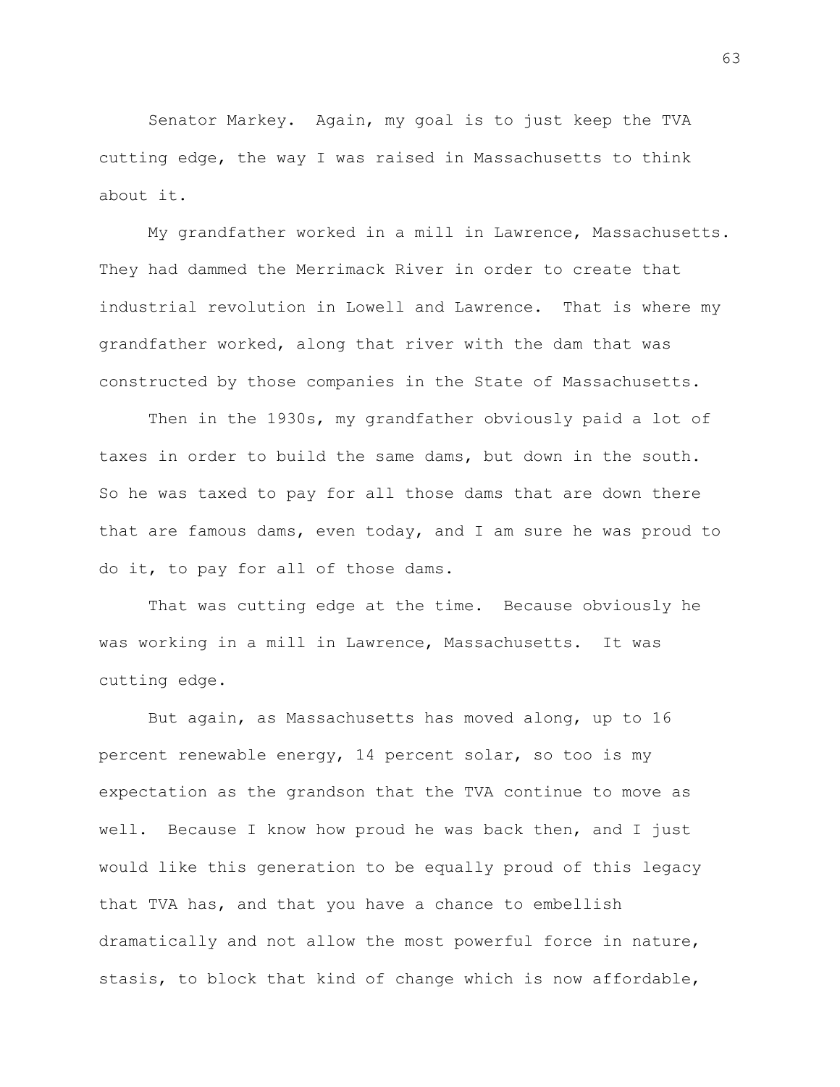Senator Markey. Again, my goal is to just keep the TVA cutting edge, the way I was raised in Massachusetts to think about it.

My grandfather worked in a mill in Lawrence, Massachusetts. They had dammed the Merrimack River in order to create that industrial revolution in Lowell and Lawrence. That is where my grandfather worked, along that river with the dam that was constructed by those companies in the State of Massachusetts.

Then in the 1930s, my grandfather obviously paid a lot of taxes in order to build the same dams, but down in the south. So he was taxed to pay for all those dams that are down there that are famous dams, even today, and I am sure he was proud to do it, to pay for all of those dams.

That was cutting edge at the time. Because obviously he was working in a mill in Lawrence, Massachusetts. It was cutting edge.

But again, as Massachusetts has moved along, up to 16 percent renewable energy, 14 percent solar, so too is my expectation as the grandson that the TVA continue to move as well. Because I know how proud he was back then, and I just would like this generation to be equally proud of this legacy that TVA has, and that you have a chance to embellish dramatically and not allow the most powerful force in nature, stasis, to block that kind of change which is now affordable,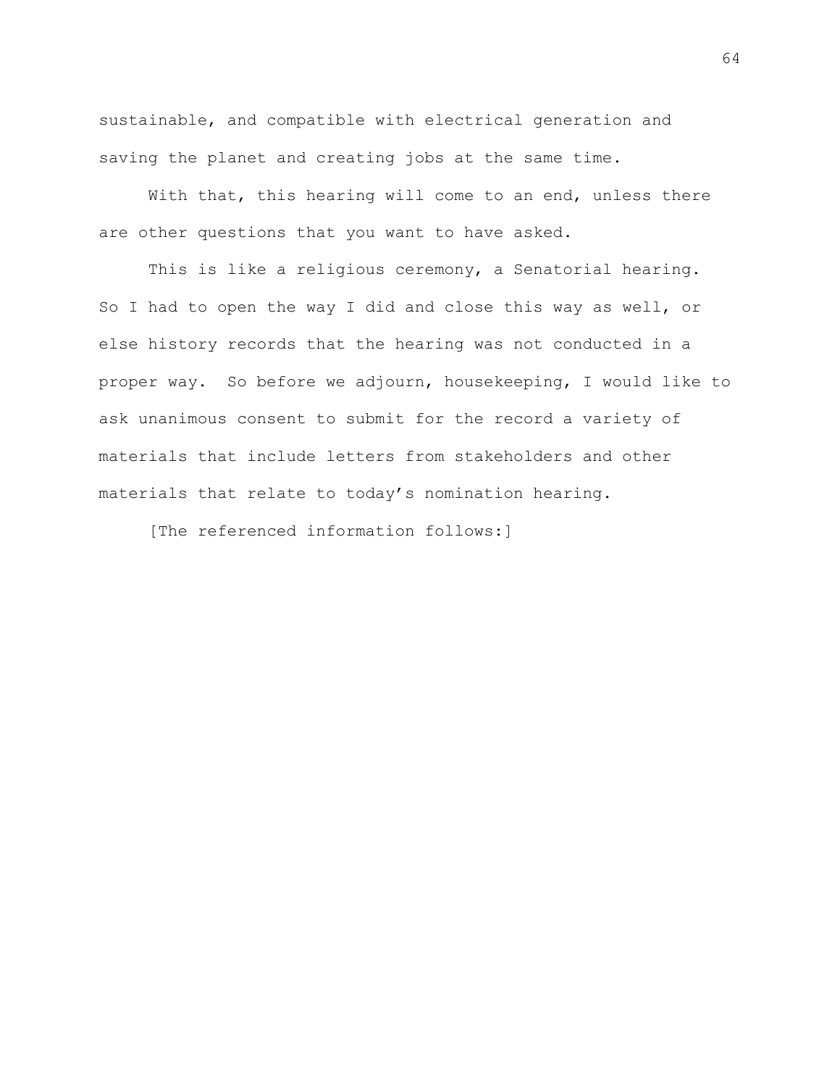sustainable, and compatible with electrical generation and saving the planet and creating jobs at the same time.

With that, this hearing will come to an end, unless there are other questions that you want to have asked.

This is like a religious ceremony, a Senatorial hearing. So I had to open the way I did and close this way as well, or else history records that the hearing was not conducted in a proper way. So before we adjourn, housekeeping, I would like to ask unanimous consent to submit for the record a variety of materials that include letters from stakeholders and other materials that relate to today's nomination hearing.

[The referenced information follows:]